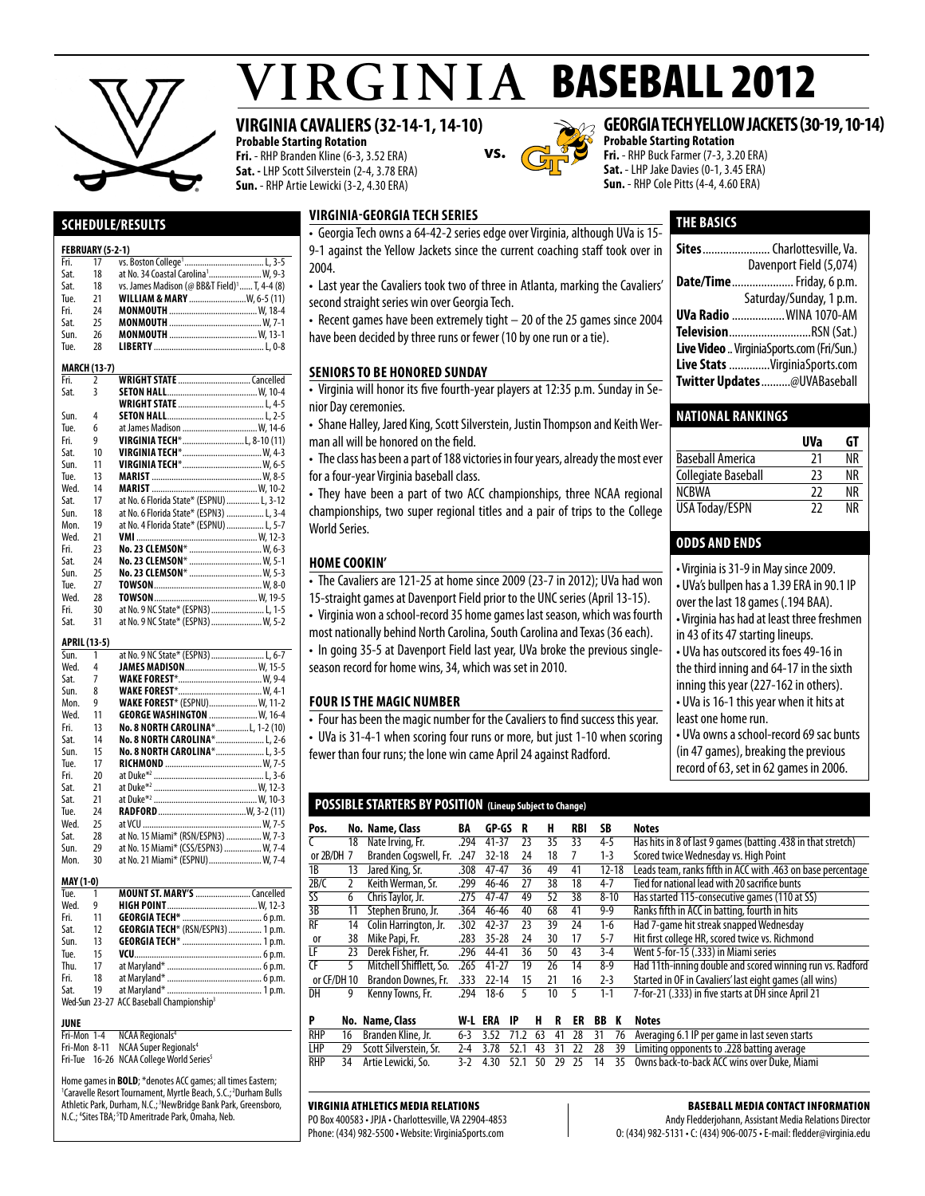

# $VIRGINIA$  BASEBALL 2012

### **VIRGINIA CAVALIERS (32-14-1, 14-10)**

**Probable Starting Rotation Fri.** - RHP Branden Kline (6-3, 3.52 ERA) **Sat. -** LHP Scott Silverstein (2-4, 3.78 ERA) **Sun.** - RHP Artie Lewicki (3-2, 4.30 ERA)



### **georgia tech yellowjackets (30-19, 10-14)**

**Sites**.......................Charlottesville, Va.

**Date/Time**.....................Friday, 6 p.m.

**UVa Radio** ..................WINA 1070-AM **Television**............................RSN (Sat.) **Live Video**..VirginiaSports.com (Fri/Sun.) **Live Stats** ..............VirginiaSports.com **Twitter Updates**..........@UVABaseball

**Baseball America** 21 NR<br> **Collegiate Baseball** 23 NR Collegiate Baseball 23

NCBWA 22 NR<br>USA Todav/ESPN 22 NR

• Virginia is 31-9 in May since 2009. • UVa's bullpen has a 1.39 ERA in 90.1 IP over the last 18 games (.194 BAA). • Virginia has had at least three freshmen

in 43 of its 47 starting lineups. • UVa has outscored its foes 49-16 in the third inning and 64-17 in the sixth inning this year (227-162 in others). • UVa is 16-1 this year when it hits at

• UVa owns a school-record 69 sac bunts (in 47 games), breaking the previous record of 63, set in 62 games in 2006.

**National Rankings**

USA Today/ESPN

**odds and ends** 

least one home run.

Davenport Field (5,074)

Saturday/Sunday, 1 p.m.

**UVa GT**

**Probable Starting Rotation Fri.** - RHP Buck Farmer (7-3, 3.20 ERA) **Sat.** - LHP Jake Davies (0-1, 3.45 ERA) **Sun.** - RHP Cole Pitts (4-4, 4.60 ERA)

**THE basics**

### **Schedule/Results**

#### **FEBRUARY (5-2-1)**

|                      | FEBRUARY (5-2-1) |                                                                                    |  |
|----------------------|------------------|------------------------------------------------------------------------------------|--|
| Fri.                 | 17               |                                                                                    |  |
| Sat.                 | 18               | at No. 34 Coastal Carolina <sup>1</sup> W, 9-3                                     |  |
| Sat.                 | 18               | vs. James Madison (@ BB&T Field) <sup>1</sup> T, 4-4 (8)                           |  |
| Tue.                 | 21               | WILLIAM & MARY  W, 6-5 (11)                                                        |  |
| Fri.                 | 24               |                                                                                    |  |
| Sat.                 | 25               |                                                                                    |  |
| Sun.                 | 26               |                                                                                    |  |
| Tue.                 | 28               |                                                                                    |  |
|                      |                  |                                                                                    |  |
|                      | MARCH (13-7)     |                                                                                    |  |
| Fri.                 | 2                | <b>WRIGHT STATE</b> Cancelled                                                      |  |
| Sat.                 | 3                |                                                                                    |  |
|                      |                  |                                                                                    |  |
| Sun.                 | 4                |                                                                                    |  |
| Tue.                 | 6                | at James Madison  W, 14-6                                                          |  |
| Fri.                 | 9                | VIRGINIA TECH*L, 8-10 (11)                                                         |  |
| Sat.                 | 10               |                                                                                    |  |
|                      | 11               |                                                                                    |  |
| Sun.                 |                  |                                                                                    |  |
| Tue.                 | 13               |                                                                                    |  |
| Wed.                 | 14               |                                                                                    |  |
| Sat.                 | 17               | at No. 6 Florida State* (ESPNU)  L, 3-12                                           |  |
| Sun.                 | 18               | at No. 6 Florida State* (ESPN3)  L, 3-4                                            |  |
| Mon.                 | 19               | at No. 4 Florida State* (ESPNU)  L, 5-7                                            |  |
| Wed.                 | 21               |                                                                                    |  |
| Fri.                 | 23               | No. 23 CLEMSON*  W, 6-3                                                            |  |
| Sat.                 | 24               | No. 23 CLEMSON*  W, 5-1                                                            |  |
| Sun.                 | 25               | No. 23 CLEMSON*  W, 5-3                                                            |  |
| Tue.                 | 27               |                                                                                    |  |
| Wed.                 | 28               |                                                                                    |  |
| Fri.                 | 30               |                                                                                    |  |
|                      | 31               | at No. 9 NC State* (ESPN3)  W, 5-2                                                 |  |
|                      |                  |                                                                                    |  |
| Sat.                 |                  |                                                                                    |  |
|                      |                  |                                                                                    |  |
| APRIL (13-5)<br>Sun. | 1                |                                                                                    |  |
| Wed.                 | 4                | at No. 9 NC State* (ESPN3)  L, 6-7                                                 |  |
|                      |                  | JAMES MADISON W. 15-5                                                              |  |
| Sat.                 | 7                |                                                                                    |  |
| Sun.                 | 8                |                                                                                    |  |
| Mon.                 | 9                | <b>WAKE FOREST*</b> (ESPNU) W, 11-2                                                |  |
| Wed.                 | 11               | GEORGE WASHINGTON  W, 16-4                                                         |  |
| Fri.                 | 13               | No. 8 NORTH CAROLINA*L, 1-2 (10)                                                   |  |
| Sat.                 | 14               |                                                                                    |  |
| Sun.                 | 15               | <mark>No. 8 NORTH CAROLINA</mark> * L, 2-6<br><b>No. 8 NORTH CAROLINA</b> * L, 3-5 |  |
| Tue.                 | 17               |                                                                                    |  |
| Fri.                 | 20               |                                                                                    |  |
| Sat.                 | 21               |                                                                                    |  |
| Sat.                 | 21               |                                                                                    |  |
| Tue.                 | 24               |                                                                                    |  |
| Wed.                 | 25               |                                                                                    |  |
| Sat.                 | 28               | at No. 15 Miami* (RSN/ESPN3)  W, 7-3                                               |  |
| Sun.                 | 29               | at No. 15 Miami* (CSS/ESPN3)  W, 7-4                                               |  |
| Mon.                 | 30               |                                                                                    |  |
|                      |                  | at No. 21 Miami* (ESPNU)  W, 7-4                                                   |  |
| <b>MAY (1-0)</b>     |                  |                                                                                    |  |
| Tue.                 | 1                |                                                                                    |  |
| Wed.                 | 9                |                                                                                    |  |
| Fri.                 | 11               |                                                                                    |  |
| Sat.                 | 12               | GEORGIA TECH* (RSN/ESPN3)  1 p.m.                                                  |  |
| Sun.                 | 13               |                                                                                    |  |
| Tue.                 | 15               |                                                                                    |  |
| Thu.                 | 17               |                                                                                    |  |
| Fri.                 | 18               |                                                                                    |  |
| Sat.                 | 19               |                                                                                    |  |
|                      |                  | Wed-Sun 23-27 ACC Baseball Championship <sup>3</sup>                               |  |

### **JUNE**<br>Fri-Mon 1-4

**NCAA Regionals<sup>4</sup>** Fri-Mon 8-11 NCAA Super Regionals<sup>4</sup>

Fri-Tue 16-26 NCAA College World Series<sup>5</sup>

Home games in **BOLD**; \*denotes ACC games; all times Eastern; <sup>1</sup>Caravelle Resort Tournament, Myrtle Beach, S.C.;<sup>2</sup>Durham Bulls Athletic Park, Durham, N.C.;<sup>3</sup>NewBridge Bank Park, Greensboro, N.C.; <sup>4</sup> Sites TBA; 5TD Ameritrade Park, Omaha, Neb.

### • Georgia Tech owns a 64-42-2 series edge over Virginia, although UVa is 15- 9-1 against the Yellow Jackets since the current coaching staff took over in 2004.

• Last year the Cavaliers took two of three in Atlanta, marking the Cavaliers' second straight series win over Georgia Tech.

• Recent games have been extremely tight – 20 of the 25 games since 2004 have been decided by three runs or fewer (10 by one run or a tie).

### **Seniors to Be Honored Sunday**

**Virginia-georgia tech series**

• Virginia will honor its five fourth-year players at 12:35 p.m. Sunday in Senior Day ceremonies.

• Shane Halley, Jared King, Scott Silverstein, Justin Thompson and Keith Werman all will be honored on the field.

• The class has been a part of 188 victories in four years, already the most ever for a four-year Virginia baseball class.

• They have been a part of two ACC championships, three NCAA regional championships, two super regional titles and a pair of trips to the College World Series.

### **HOME COOKIN'**

• The Cavaliers are 121-25 at home since 2009 (23-7 in 2012); UVa had won

15-straight games at Davenport Field prior to the UNC series (April 13-15).

• Virginia won a school-record 35 home games last season, which was fourth most nationally behind North Carolina, South Carolina and Texas (36 each). • In going 35-5 at Davenport Field last year, UVa broke the previous single-

season record for home wins, 34, which was set in 2010.

### **Four is the Magic Number**

• Four has been the magic number for the Cavaliers to find success this year.

• UVa is 31-4-1 when scoring four runs or more, but just 1-10 when scoring fewer than four runs; the lone win came April 24 against Radford.

### **POSSIBLE STARTERS BY POSITION (Lineup Subject to Change)**

| Pos.                     |              | No. Name, Class         | BA    | GP-GS     | R       |    | н               | RBI | SB        |    | <b>Notes</b>                                                 |
|--------------------------|--------------|-------------------------|-------|-----------|---------|----|-----------------|-----|-----------|----|--------------------------------------------------------------|
|                          | 18           | Nate Irving, Fr.        | .294  | $41 - 37$ | 23      |    | 35              | 33  | $4 - 5$   |    | Has hits in 8 of last 9 games (batting .438 in that stretch) |
| or 2B/DH 7               |              | Branden Cogswell, Fr.   | .247  | $32 - 18$ | 24      |    | 18              |     | $1 - 3$   |    | Scored twice Wednesday vs. High Point                        |
| 1B                       | 13           | Jared King, Sr.         | .308  | $47 - 47$ | 36      |    | 49              | 41  | $12 - 18$ |    | Leads team, ranks fifth in ACC with .463 on base percentage  |
| 2B/C                     | $\mathbf{2}$ | Keith Werman, Sr.       | .299  | 46-46     | 27      |    | 38              | 18  | $4 - 7$   |    | Tied for national lead with 20 sacrifice bunts               |
| $\overline{\mathsf{S}}$  | 6            | Chris Taylor, Jr.       | .275  | $47 - 47$ | 49      |    | 52              | 38  | $8 - 10$  |    | Has started 115-consecutive games (110 at SS)                |
| $\overline{3}$ B         | 11           | Stephen Bruno, Jr.      | .364  | 46-46     | 40      |    | 68              | 41  | $9 - 9$   |    | Ranks fifth in ACC in batting, fourth in hits                |
| RF                       | 14           | Colin Harrington, Jr.   | .302  | $42 - 37$ | 23      |    | 39              | 24  | $1-6$     |    | Had 7-game hit streak snapped Wednesday                      |
| 0ľ                       | 38           | Mike Papi, Fr.          | .283  | $35 - 28$ | 24      |    | 30              | 17  | 5-7       |    | Hit first college HR, scored twice vs. Richmond              |
| ΙF                       | 23           | Derek Fisher, Fr.       | .296  | 44-41     | 36      |    | 50              | 43  | $3-4$     |    | Went 5-for-15 (.333) in Miami series                         |
| $\overline{\mathsf{CF}}$ | 5            | Mitchell Shifflett, So. | .265  | $41 - 27$ | 19      |    | 26              | 14  | $8-9$     |    | Had 11th-inning double and scored winning run vs. Radford    |
| or CF/DH 10              |              | Brandon Downes, Fr.     | .333  | $22 - 14$ | 15      |    | 21              | 16  | $2 - 3$   |    | Started in OF in Cavaliers' last eight games (all wins)      |
| DH                       | 9            | Kenny Towns, Fr.        | .294  | $18-6$    |         |    | 10 <sup>°</sup> | 5   | $1 - 1$   |    | 7-for-21 (.333) in five starts at DH since April 21          |
|                          |              |                         |       |           |         |    |                 |     |           |    |                                                              |
| P                        |              | No. Name, Class         | W-L   | ERA       | -IP     | н  | R               | ER  | BB        | к  | <b>Notes</b>                                                 |
| <b>RHP</b>               | 16           | Branden Kline, Jr.      | 6-3   | 3.52      | 71.2    | 63 | 41              | 28  | 31        | 76 | Averaging 6.1 IP per game in last seven starts               |
| HP                       | 79           | Scott Silverstein Sr    | $2-4$ | 3.78      | 52<br>1 | 43 | 31              | วว  | ንጸ        | 30 | l imiting opponents to 228 hatting average                   |

|  |  |  |  |  | RHP = 16 = Branden Kilne, Jr. = = = 6-3 = 3.52 = 7 1.2 = 63 = 41 = 28 = 31 = 76 = Averaging 6.1 IP per game in last seven starts |
|--|--|--|--|--|----------------------------------------------------------------------------------------------------------------------------------|
|  |  |  |  |  | LHP 29 Scott Silverstein, Sr. 2-4 3.78 52.1 43 31 22 28 39 Limiting opponents to .228 batting average                            |
|  |  |  |  |  | RHP 34 Artie Lewicki, So. 3-2 4.30 52.1 50 29 25 14 35 Owns back-to-back ACC wins over Duke, Miami                               |

#### Virginia Athletics Media Relations

PO Box 400583 • JPJA • Charlottesville, VA 22904-4853 Phone: (434) 982-5500 • Website: VirginiaSports.com

### Baseball Media Contact Information

Andy Fledderjohann, Assistant Media Relations Director O: (434) 982-5131 • C: (434) 906-0075 • E-mail: fledder@virginia.edu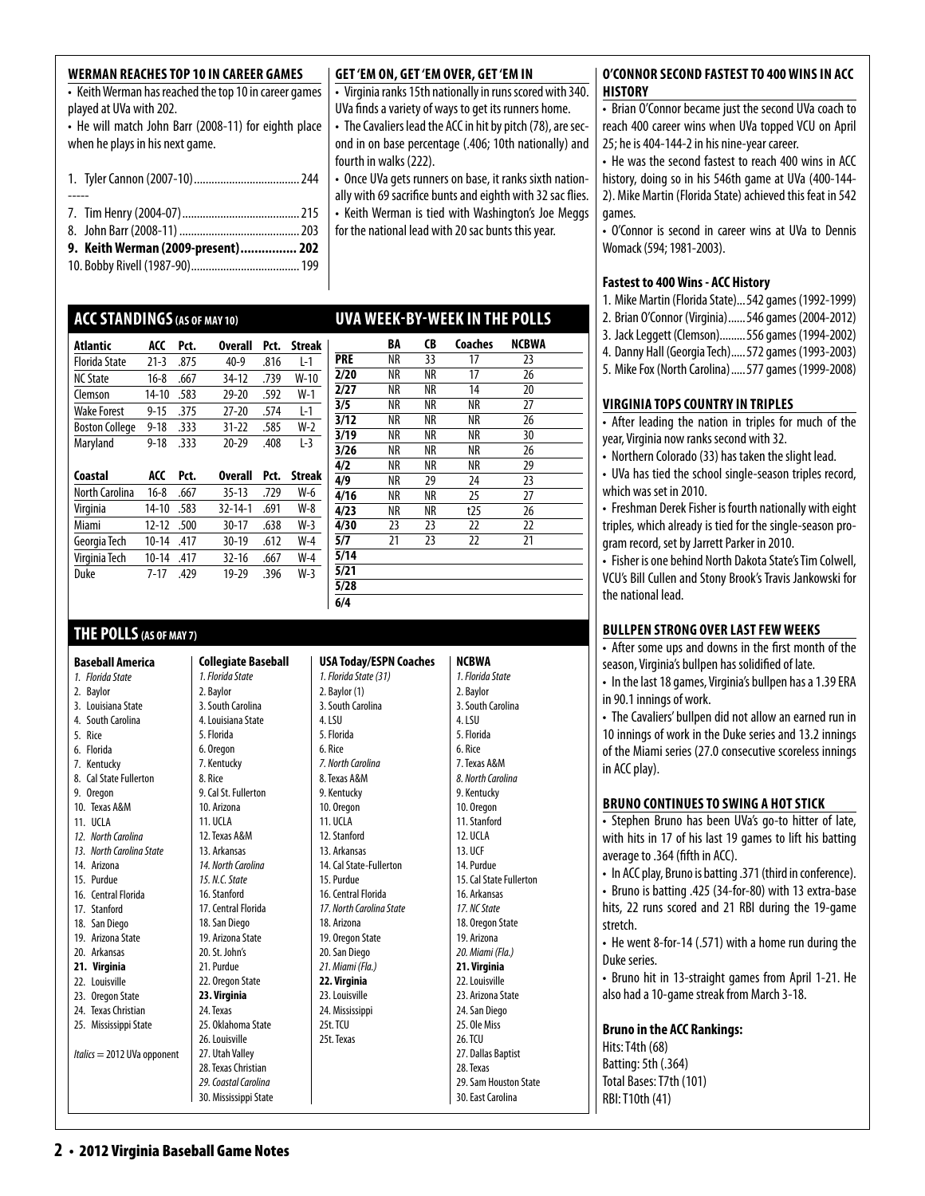| WERMAN REACHES TOP 10 IN CAREER GAMES<br>• Keith Werman has reached the top 10 in career games<br>played at UVa with 202.<br>• He will match John Barr (2008-11) for eighth place<br>when he plays in his next game. |  |
|----------------------------------------------------------------------------------------------------------------------------------------------------------------------------------------------------------------------|--|
|                                                                                                                                                                                                                      |  |
|                                                                                                                                                                                                                      |  |
|                                                                                                                                                                                                                      |  |
| 9. Keith Werman (2009-present) 202                                                                                                                                                                                   |  |

### 10. Bobby Rivell (1987-90).....................................199

### **ACCStandings(as of may 10)**

| <b>Atlantic</b>       | ACC       | Pct. | <b>Overall</b> | Pct. | <b>Streak</b> |
|-----------------------|-----------|------|----------------|------|---------------|
| <b>Florida State</b>  | $21 - 3$  | .875 | $40-9$         | .816 | L-1           |
| <b>NC State</b>       | $16 - 8$  | .667 | $34 - 12$      | .739 | $W-10$        |
| Clemson               | $14 - 10$ | .583 | $29 - 20$      | .592 | $W-1$         |
| <b>Wake Forest</b>    | $9 - 15$  | .375 | $27 - 20$      | .574 | L-1           |
| <b>Boston College</b> | $9 - 18$  | .333 | $31 - 22$      | .585 | $W-2$         |
| Maryland              | $9 - 18$  | .333 | $20 - 29$      | .408 | $L-3$         |
|                       |           |      |                |      |               |
|                       |           |      |                |      |               |
| Coastal               | ACC       | Pct. | <b>Overall</b> | Pct. | <b>Streak</b> |
| North Carolina        | $16 - 8$  | .667 | $35 - 13$      | .729 | $W-6$         |
| Virginia              | 14-10     | .583 | $32 - 14 - 1$  | .691 | $W-8$         |
| Miami                 | $12 - 12$ | .500 | $30 - 17$      | .638 | $W-3$         |
| Georgia Tech          | $10 - 14$ | .417 | 30-19          | .612 | $W-4$         |
| Virginia Tech         | $10 - 14$ | .417 | $32 - 16$      | .667 | $W-4$         |
| Duke                  | $7 - 17$  | .429 | 19-29          | .396 | $W-3$         |

### **THE POLLS(AS OF MAY 7)**

**Baseball America** 

- 2. Baylor
- 3. Louisiana State
- 4. South Carolina
- 5. Rice
- 6. Florida 7. Kentucky
- 8. Cal State Fullerton
- 9. Oregon
- 10. Texas A&M
- 11. UCLA *12. North Carolina*
- *13. North Carolina State*
- 14. Arizona
- 15. Purdue
- 16. Central Florida
- 17. Stanford
- 18. San Diego 19. Arizona State
- 20. Arkansas
- **21. Virginia**
- 22. Louisville
- 23. Oregon State 24. Texas Christian
- 25. Mississippi State
- 

*Italics* = 2012 UVa opponent

27. Utah Valley 28. Texas Christian *29. Coastal Carolina*

### **Get 'Em On, Get 'Em Over, Get 'Em In**

- Virginia ranks 15th nationally in runs scored with 340. UVa finds a variety of ways to get its runners home.
- The Cavaliers lead the ACC in hit by pitch (78), are second in on base percentage (.406; 10th nationally) and fourth in walks (222).
- Once UVa gets runners on base, it ranks sixth nationally with 69 sacrifice bunts and eighth with 32 sac flies. • Keith Werman is tied with Washington's Joe Meggs for the national lead with 20 sac bunts this year.

### **uva week-by-week in the polls**

|            | BA | CB | Coaches | NCBWA |
|------------|----|----|---------|-------|
| <b>PRE</b> | NR | 33 | 17      | 23    |
| 2/20       | NR | NR | 17      | 26    |
| 2/27       | NR | NR | 14      | 20    |
| 3/5        | NR | ΝR | NR      | 27    |
| 3/12       | NR | NR | ΝR      | 26    |
| 3/19       | NR | NR | ΝR      | 30    |
| 3/26       | NR | NR | ΝR      | 26    |
| 4/2        | NR | NR | ΝR      | 29    |
| 4/9        | NR | 29 | 24      | 23    |
| 4/16       | NR | ΝR | 25      | 27    |
| 4/23       | NR | ΝR | t25     | 26    |
| 4/30       | 23 | 23 | 22      | 22    |
| 5/7        | 21 | 23 | 22      | 21    |
| 5/14       |    |    |         |       |
| 5/21       |    |    |         |       |
| 5/28       |    |    |         |       |
| 6/4        |    |    |         |       |

**NCBWA**

### *1. Florida State*

| 3. South Carolina    |
|----------------------|
| 4. Louisiana State   |
| 5. Florida           |
| 6. Oregon            |
| 7. Kentucky          |
| 8. Rice              |
| 9. Cal St. Fullerton |
| 10. Arizona          |
| <b>11. UCLA</b>      |
| 12. Texas A&M        |
| 13. Arkansas         |
| 14. North Carolina   |
| 15, N.C. State       |
| 16. Stanford         |
| 17. Central Florida  |
| 18. San Diego        |
| 19. Arizona State    |
| 20. St. John's       |
| 21. Purdue           |
| 22. Oregon State     |
| 23. Virginia         |
| 24. Texas            |
| 25. Oklahoma State   |

26. Louisville

30. Mississippi State

**Collegiate Baseball**  *1. Florida State* 2. Baylor

*1. Florida State (31)*  2. Baylor (1) 3. South Carolina 5. Florida *7. North Carolina*  8. Texas A&M 9. Kentucky 10. Oregon 11. UCLA 12. Stanford 13. Arkansas 14. Cal State-Fullerton 15. Purdue 16. Central Florida *17. North Carolina State*  18. Arizona 19. Oregon State 20. San Diego *21. Miami (Fla.)*  **22. Virginia**  23. Louisville 24. Mississippi 25t. TCU 25t. Texas

**USA Today/ESPN Coaches**

4. LSU

6. Rice

*1. Florida State* 2. Baylor 3. South Carolina 4. LSU 5. Florida 6. Rice 7. Texas A&M *8. North Carolina*  9. Kentucky 10. Oregon 11. Stanford 12. UCLA 13. UCF 14. Purdue 15. Cal State Fullerton 16. Arkansas *17. NC State* 18. Oregon State 19. Arizona *20. Miami (Fla.)*  **21. Virginia**  22. Louisville 23. Arizona State 24. San Diego 25. Ole Miss 26. TCU 27. Dallas Baptist 28. Texas 29. Sam Houston State

### 30. East Carolina

### **O'CONNOR SECOND FASTEST TO 400 WINS IN ACC history**

• Brian O'Connor became just the second UVa coach to reach 400 career wins when UVa topped VCU on April 25; he is 404-144-2 in his nine-year career.

• He was the second fastest to reach 400 wins in ACC history, doing so in his 546th game at UVa (400-144- 2). Mike Martin (Florida State) achieved this feat in 542 games.

• O'Connor is second in career wins at UVa to Dennis Womack (594; 1981-2003).

### **Fastest to 400 Wins - ACC History**

- 1. Mike Martin (Florida State)...542 games (1992-1999)
- 2. Brian O'Connor (Virginia)......546 games (2004-2012)
- 3. Jack Leggett (Clemson).........556 games (1994-2002)
- 4. Danny Hall (Georgia Tech).....572 games (1993-2003)
- 5. Mike Fox (North Carolina).....577 games (1999-2008)

### **virginia tops country in triples**

- After leading the nation in triples for much of the year, Virginia now ranks second with 32.
- Northern Colorado (33) has taken the slight lead.
- UVa has tied the school single-season triples record, which was set in 2010.
- Freshman Derek Fisher is fourth nationally with eight triples, which already is tied for the single-season program record, set by Jarrett Parker in 2010.

• Fisher is one behind North Dakota State's Tim Colwell, VCU's Bill Cullen and Stony Brook's Travis Jankowski for the national lead.

### **BULLPEN STRONG OVER LAST FEW WEEKS**

• After some ups and downs in the first month of the season, Virginia's bullpen has solidified of late.

• In the last 18 games, Virginia's bullpen has a 1.39 ERA in 90.1 innings of work.

• The Cavaliers' bullpen did not allow an earned run in 10 innings of work in the Duke series and 13.2 innings of the Miami series (27.0 consecutive scoreless innings in ACC play).

### **bruno continues to swing a hot stick**

• Stephen Bruno has been UVa's go-to hitter of late, with hits in 17 of his last 19 games to lift his batting average to .364 (fifth in ACC).

• In ACC play, Bruno is batting .371 (third in conference).

• Bruno is batting .425 (34-for-80) with 13 extra-base hits, 22 runs scored and 21 RBI during the 19-game stretch.

• He went 8-for-14 (.571) with a home run during the Duke series.

• Bruno hit in 13-straight games from April 1-21. He also had a 10-game streak from March 3-18.

**Bruno in the ACC Rankings:**

Hits: T4th (68) Batting: 5th (.364) Total Bases: T7th (101) RBI: T10th (41)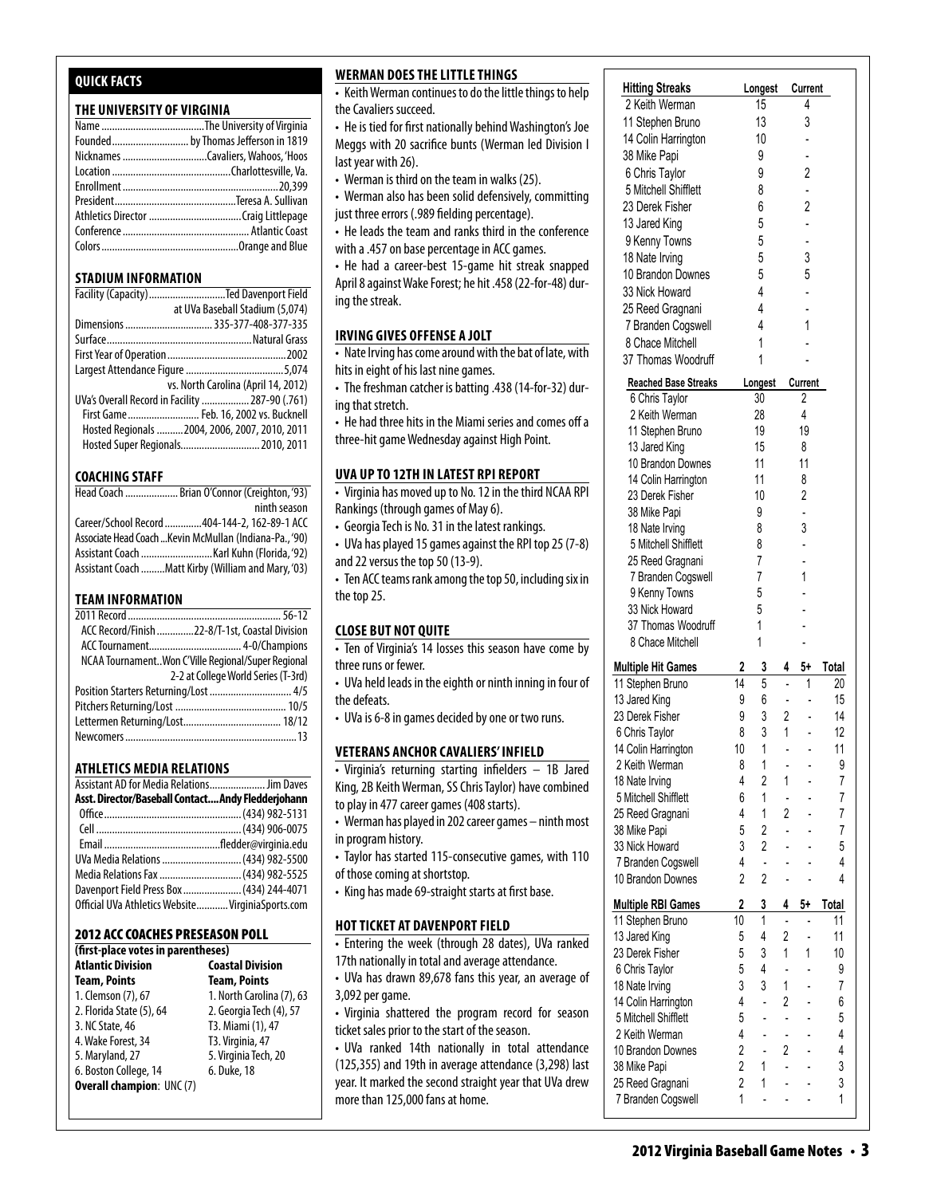### **Quick Facts**

### **THE UNIVERSITY OF VIRGINIA**

| Founded by Thomas Jefferson in 1819 |
|-------------------------------------|
|                                     |
|                                     |
|                                     |
|                                     |
|                                     |
|                                     |
|                                     |
|                                     |

### **STADIUM INFORMATION**

| Facility (Capacity) Ted Davenport Field         |
|-------------------------------------------------|
| at UVa Baseball Stadium (5,074)                 |
| Dimensions  335-377-408-377-335                 |
|                                                 |
|                                                 |
|                                                 |
| vs. North Carolina (April 14, 2012)             |
| UVa's Overall Record in Facility  287-90 (.761) |
| First Game Feb. 16, 2002 vs. Bucknell           |
| Hosted Regionals  2004, 2006, 2007, 2010, 2011  |
| Hosted Super Regionals 2010, 2011               |

### **COACHING STAFF**

| Head Coach  Brian O'Connor (Creighton, '93)             |
|---------------------------------------------------------|
| ninth season                                            |
| Career/School Record  404-144-2, 162-89-1 ACC           |
| Associate Head Coach  Kevin McMullan (Indiana-Pa., '90) |
|                                                         |
| Assistant Coach Matt Kirby (William and Mary, '03)      |

### **TEAM INFORMATION**

| ACC Record/Finish 22-8/T-1st, Coastal Division     |  |
|----------------------------------------------------|--|
|                                                    |  |
| NCAA TournamentWon C'Ville Regional/Super Regional |  |
| 2-2 at College World Series (T-3rd)                |  |
| Position Starters Returning/Lost  4/5              |  |
|                                                    |  |
|                                                    |  |
|                                                    |  |
|                                                    |  |

### **Athletics MEDIA RELATIONS**

| Assistant AD for Media Relations Jim Daves         |  |
|----------------------------------------------------|--|
| Asst. Director/Baseball Contact Andy Fledderjohann |  |
|                                                    |  |
|                                                    |  |
|                                                    |  |
| UVa Media Relations  (434) 982-5500                |  |
| Media Relations Fax  (434) 982-5525                |  |
| Davenport Field Press Box  (434) 244-4071          |  |
| Official UVa Athletics Website VirginiaSports.com  |  |

### 2012 ACC Coaches Preseason Poll

| (first-place votes in parentheses) |                           |  |  |  |  |  |  |  |  |  |
|------------------------------------|---------------------------|--|--|--|--|--|--|--|--|--|
| <b>Atlantic Division</b>           | <b>Coastal Division</b>   |  |  |  |  |  |  |  |  |  |
| <b>Team, Points</b>                | <b>Team, Points</b>       |  |  |  |  |  |  |  |  |  |
| 1. Clemson (7), 67                 | 1. North Carolina (7), 63 |  |  |  |  |  |  |  |  |  |
| 2. Florida State (5), 64           | 2. Georgia Tech (4), 57   |  |  |  |  |  |  |  |  |  |
| 3. NC State, 46                    | T3. Miami (1), 47         |  |  |  |  |  |  |  |  |  |
| 4. Wake Forest, 34                 | T3. Virginia, 47          |  |  |  |  |  |  |  |  |  |
| 5. Maryland, 27                    | 5. Virginia Tech, 20      |  |  |  |  |  |  |  |  |  |
| 6. Boston College, 14              | 6. Duke, 18               |  |  |  |  |  |  |  |  |  |
| <b>Overall champion: UNC (7)</b>   |                           |  |  |  |  |  |  |  |  |  |

### **Werman does thelittlethings**

• Keith Werman continues to do the little things to help | the Cavaliers succeed. **11 Stephen Bruno 14 Stephen Bruno 14 Stephen Bruno 14 5 - 120 Stephen Bruno 14 5 - 120 Stephen Bruno 14 Stephen Bruno 14 Stephen Bruno 14 Stephen Bruno 14 Stephen Bruno 14 Stephen Bruno 14 Stephen B** 

- He is tied for first nationally behind Washington's Joe | Meggs with 20 sacrifice bunts (Werman led Division  $| \cdot |$  $\int$  last year with 26).
- Werman is third on the team in walks  $(25)$ .

• Werman also has been solid defensively, committing  $\left| \right|$ just three errors (.989 fielding percentage). 18 Nate Irving 4 2 1 - 7

 $\bullet$  He leads the team and ranks third in the conference  $\vert$ with a .457 on base percentage in ACC games.  $\vert$  $25$  are team and ranks anno in the conference

• He had a career-best 15-game hit streak snapped  $\vert$ April 8 against Wake Forest; he hit .458 (22-for-48) dur-  $\quad$   $\mid$ ing the streak. 10 Brandon Downes 2 2 - - 4

### IRVING GIVES OFFENSE A JOLT

• Nate Irving has come around with the bat of late, with hits in eight of his last nine games.

 $\mathcal{P}(\mathcal{P}) = \mathcal{P}(\mathcal{P})$  . And the experimental probability  $\mathcal{P}(\mathcal{P})$ 

• The freshman catcher is batting .438 (14-for-32) dur-**Hitting Streaks Longest Current** ing that stretch.

• He had three hits in the Miami series and comes off a three-hit game Wednesday against High Point. 38 Mike Papi 9 -

### **uva up to 12th in latest RPI report** 6 Chris Taylor 9 2

**EXAMPLE TO THE THE SHIFFLE SHIFFLE SHIFFLE SHIFFLE SHIFFLE SHIFFLE SHIFFLE SHIFFLE SHIFFLE SHIFFLE** Rankings (through games of May 6).  $\alpha$  nas moved up to ivo. iz in the time iv

• Georgia Tech is No. 31 in the latest rankings.

• UVa has played 15 games against the RPI top 25 (7-8) and 22 versus the top 50 (13-9).

• Ten ACC teams rank among the top 50, including six in the top 25.  $25.$ 

### **Close But Not Quite** 8 Chace Mitchell 1 -

• Ten of Virginia's 14 losses this season have come by three runs or fewer.

• UVa held leads in the eighth or ninth inning in four of the defeats.

• UVa is 6-8 in games decided by one or two runs.

### **Veterans anchor cavaliers' infield**

• Virginia's returning starting infielders – 1B Jared King, 2B Keith Werman, SS Chris Taylor) have combined to play in 477 career games (408 starts).

- Werman has played in 202 career games ninth most  $\frac{20}{38}$  Miko Baseball in program history.
- Taylor has started 115-consecutive games, with 110 of those coming at shortstop.
- King has made 69-straight starts at first base.

### **HOT TICKET AT DAVENPORT FIELD**

• Entering the week (through 28 dates), UVa ranked 17th nationally in total and average attendance.

- $\cdot$  UVa has drawn 89,678 fans this year, an average of 3,092 per game.  $14$  Colin Harrington 10  $\pm$  11  $\pm$  110  $\pm$  110  $\pm$
- eyoon per game.<br>• Virginia shattered the program record for season ticket sales prior to the start of the season. If you can be program record to be about

• UVa ranked 14th nationally in total attendance  $(125, 355)$  and 19th in average attendance  $(3, 298)$  last year. It marked the second straight year that UVa drew more than 125,000 fans at home.

9 Kenny Towns 2 - - - 2

| כטא                    |                             |                |                                    |                            |                          |                 |
|------------------------|-----------------------------|----------------|------------------------------------|----------------------------|--------------------------|-----------------|
| little things to help  | <b>Hitting Streaks</b>      |                | Longest                            |                            | Current                  |                 |
|                        | 2 Keith Werman              |                | 15                                 |                            | 4                        |                 |
| nd Washington's Joe    | 11 Stephen Bruno            |                | 13                                 |                            | 3                        |                 |
| rman led Division I    | 14 Colin Harrington         |                | 10                                 |                            |                          |                 |
|                        | 38 Mike Papi                |                | 9                                  |                            |                          |                 |
| alks (25).             | 6 Chris Taylor              |                | 9                                  |                            | 2                        |                 |
| nsively, committing    | 5 Mitchell Shifflett        |                | 8                                  |                            |                          |                 |
| entage).               | 23 Derek Fisher             |                | 6                                  |                            | $\overline{2}$           |                 |
| d in the conference    | 13 Jared King               |                | 5                                  |                            |                          |                 |
|                        | 9 Kenny Towns               |                | 5                                  |                            |                          |                 |
| CC games.              | 18 Nate Irving              |                | 5                                  |                            | 3                        |                 |
| hit streak snapped     | 10 Brandon Downes           |                | 5                                  |                            | 5                        |                 |
| 458 (22-for-48) dur-   | 33 Nick Howard              |                | $\overline{4}$                     |                            |                          |                 |
|                        | 25 Reed Gragnani            |                | 4                                  |                            |                          |                 |
|                        | 7 Branden Cogswell          |                | $\overline{4}$                     |                            | 1                        |                 |
|                        |                             |                |                                    |                            |                          |                 |
| the bat of late, with  | 8 Chace Mitchell            |                | 1                                  |                            |                          |                 |
|                        | 37 Thomas Woodruff          |                | 1                                  |                            |                          |                 |
| +38 (14-for-32) dur-   | <b>Reached Base Streaks</b> |                | Longest                            |                            | Current                  |                 |
|                        | 6 Chris Taylor              |                | 30                                 |                            | $\overline{2}$           |                 |
|                        | 2 Keith Werman              |                | 28                                 |                            | 4                        |                 |
| ries and comes off a   | 11 Stephen Bruno            |                | 19                                 |                            | 19                       |                 |
| High Point.            | 13 Jared King               |                | 15                                 |                            | 8                        |                 |
|                        | 10 Brandon Downes           |                | 11                                 |                            | 11                       |                 |
| <b>REPORT</b>          | 14 Colin Harrington         |                | 11                                 |                            | 8                        |                 |
| the third NCAA RPI     | 23 Derek Fisher             |                | 10                                 |                            | $\overline{2}$           |                 |
|                        | 38 Mike Papi                |                | 9                                  |                            |                          |                 |
| t rankings.            | 18 Nate Irving              |                | 8                                  |                            | 3                        |                 |
| the RPI top 25 (7-8)   | 5 Mitchell Shifflett        |                | 8                                  |                            |                          |                 |
|                        | 25 Reed Gragnani            |                | $\overline{7}$                     |                            |                          |                 |
|                        | 7 Branden Cogswell          |                | 7                                  |                            | 1                        |                 |
| p 50, including six in | 9 Kenny Towns               |                | 5                                  |                            |                          |                 |
|                        | 33 Nick Howard              |                | 5                                  |                            |                          |                 |
|                        | 37 Thomas Woodruff          |                | 1                                  |                            |                          |                 |
|                        |                             |                | 1                                  |                            |                          |                 |
| ason have come by      | 8 Chace Mitchell            |                |                                    |                            |                          |                 |
|                        | <b>Multiple Hit Games</b>   | 2              | 3                                  | 4                          | 5+                       | <b>Total</b>    |
| nth inning in four of  | 11 Stephen Bruno            | 14             | 5                                  |                            | 1                        | 20              |
|                        | 13 Jared King               | 9              | $6\degree$                         |                            |                          | 15              |
| e or two runs.         | 23 Derek Fisher             | 9              | 3 <sup>1</sup>                     | $2^{\circ}$                |                          | 14              |
|                        | 6 Chris Taylor              | 8              | 3                                  | 1                          |                          | 12              |
|                        | 14 Colin Harrington         | 10             | $\mathbf{1}$                       |                            |                          | 11              |
| 'INFIELD               | 2 Keith Werman              | 8              | 1                                  |                            |                          | 9               |
| elders - 1B Jared      | 18 Nate Irving              | 4              | $2^{\circ}$                        | 1                          | $\mathcal{L}$            | 7               |
| lor) have combined     | 5 Mitchell Shifflett        | 6              | $1 - 1$                            |                            | $\overline{\phantom{a}}$ | $\overline{7}$  |
| arts).                 | 25 Reed Gragnani            | $\overline{4}$ | $\overline{1}$                     | $2^{\circ}$                | L.                       | 7               |
| games – ninth most     | 38 Mike Papi                | 5              | $2^{\circ}$                        | $\Delta \phi$              |                          | 7               |
|                        |                             | $\mathbf{3}$   | $2^{\circ}$                        |                            |                          |                 |
| ve games, with 110     | 33 Nick Howard              |                |                                    |                            |                          | 5               |
|                        | 7 Branden Cogswell          | 4              | $\mathbf{L}^{\mathbf{r}}$          |                            | $\overline{a}$           | 4               |
| at first base.         | 10 Brandon Downes           | $\overline{2}$ | $\overline{2}$                     |                            | $\overline{a}$           | 4               |
|                        | <b>Multiple RBI Games</b>   | 2              | 3                                  | 4                          | 5+                       | Total           |
|                        | 11 Stephen Bruno            | 10             | 1                                  |                            |                          | 11              |
| LD                     | 13 Jared King               | 5              | 4                                  | $\overline{2}$             |                          | 11              |
| dates), UVa ranked     | 23 Derek Fisher             | 5              | $3 \quad 1$                        |                            | 1                        | 10 <sup>°</sup> |
| attendance.            |                             | 5              | $\overline{4}$                     | $\sim 10^{-1}$             | L.                       | 9               |
| year, an average of    | 6 Chris Taylor              | 3              | 3 <sup>7</sup>                     | 1                          |                          |                 |
|                        | 18 Nate Irving              |                |                                    |                            | ÷.                       | 7               |
| record for season      | 14 Colin Harrington         | $\overline{4}$ | $\mathbb{Z}^{\mathbb{Z}^{\times}}$ | $2^{\circ}$                | $\blacksquare$           | 6               |
|                        | 5 Mitchell Shifflett        | 5 <sup>5</sup> | $\mathbf{L} = \mathbf{L}$          |                            |                          | 5               |
| season.                | 2 Keith Werman              | 4              | $\mathbf{L}^{\text{max}}$          | $\mathcal{L}^{\pm}$        |                          | $\overline{4}$  |
| n total attendance     | 10 Brandon Downes           | $2^{\circ}$    |                                    | $2^{\circ}$                | $\overline{a}$           | 4               |
| ndance (3,298) last    | 38 Mike Papi                | $2^{\sim}$     | $1 \quad$                          | $\mathcal{L}^{\text{max}}$ | $\Box$                   | 3               |
| year that UVa drew     | 25 Reed Gragnani            | $\overline{2}$ | $1 \quad$                          | $\overline{\phantom{a}}$   | $\overline{\phantom{a}}$ | 3               |
|                        | 7 Branden Cogswell          | $\mathbf{1}$   | $\overline{a}$                     |                            |                          | 1               |
|                        |                             |                |                                    |                            |                          |                 |

**Multiple RBI Games 2 3 4 5+ Total** 11 Stephen Bruno 10 1 - - 11 13 Jared King 5 4 2 - 11 23 Derek Fisher 5 3 1 1 10 6 Chris Taylor 5 4 - - 9 18 Nate Irving 3 3 1 - 7 14 Colin Harrington 4 - 2 - 6  $5 - 5$  $2.4$  Keith Werman 10 Brandon Downes 2 - 2 - 4 38 Mike Papi 2 1 - - 3 25 Reed Gragnani 2 1 - - 3 7 Branden Cogswell 1 - - - 1 TEAM 48 17 8 17 8

**Reached Base Streaks Longest Current** 6 Chris Taylor 30 2 2 Keith Werman 28 4 11 Stephen Bruno 19 19 13 Jared King 15 8 10 Brandon Downes 11 11 14 Colin Harrington 11 8 23 Derek Fisher 10 2 38 Mike Papi 9 - 18 Nate Irving 8 3 5 Mitchell Shifflett 8 -

 $18.8 \pm 0.000$ 

<u>TEAM (1988) - An Dùbhlachd ann an Dùbhlachd ann an Dùbhlachd ann an Dùbhlachd ann an Dùbhlachd ann an Dùbhlach</u>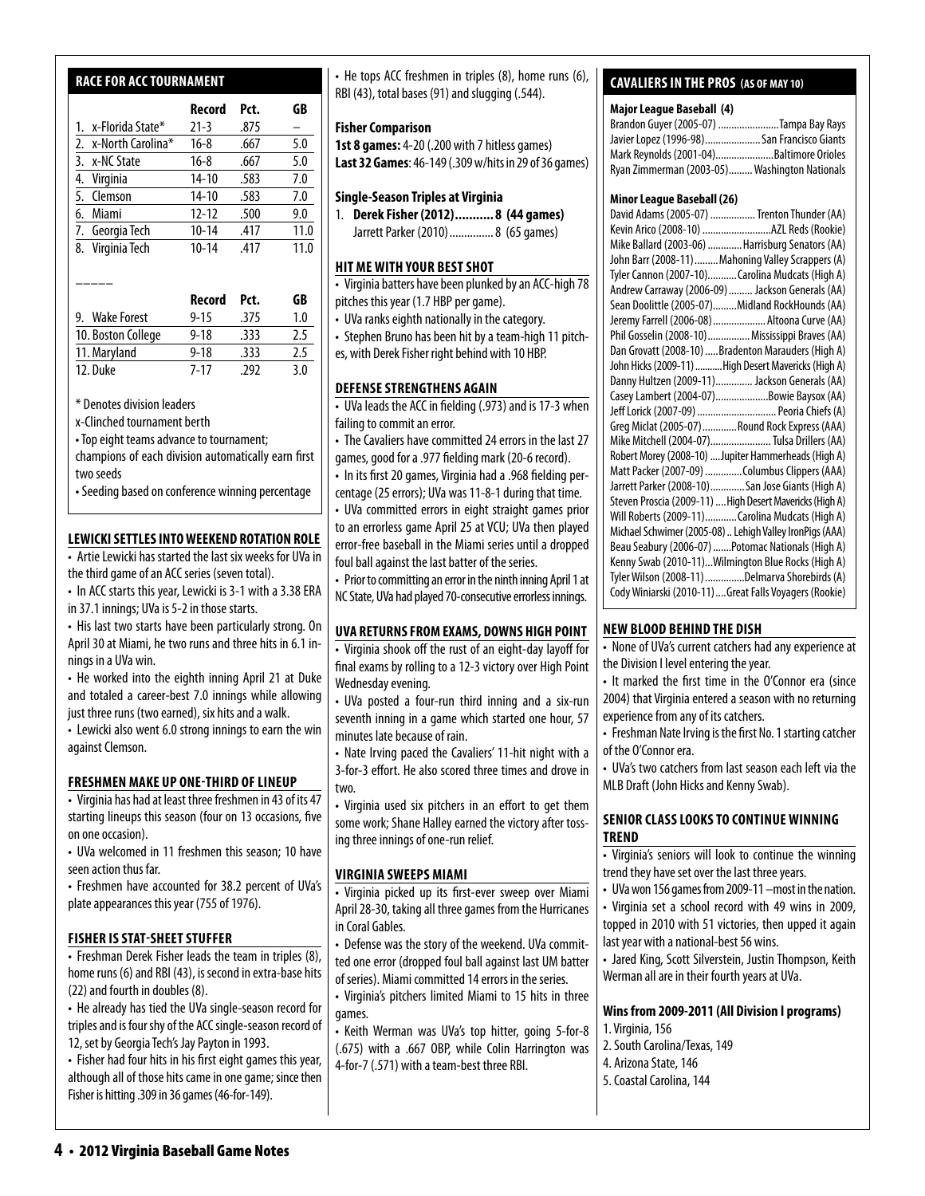### **racefor acc tournament**

|    |                      | Record    | Pct. | GB   |
|----|----------------------|-----------|------|------|
|    | 1. x-Florida State*  | $21 - 3$  | .875 |      |
|    | 2. x-North Carolina* | $16 - 8$  | .667 | 5.0  |
|    | 3. x-NC State        | $16 - 8$  | .667 | 5.0  |
|    | 4. Virginia          | $14 - 10$ | .583 | 7.0  |
|    | 5. Clemson           | $14 - 10$ | .583 | 7.0  |
|    | 6. Miami             | $12 - 12$ | .500 | 9.0  |
|    | 7. Georgia Tech      | $10 - 14$ | .417 | 11.0 |
| 8. | Virginia Tech        | $10 - 14$ | .417 | 11.0 |
|    |                      |           |      |      |

|                    | Record   | Pct.  | GB  |
|--------------------|----------|-------|-----|
| 9. Wake Forest     | $9 - 15$ | .375  | 1.0 |
| 10. Boston College | $9 - 18$ | .333  | 2.5 |
| 11. Maryland       | $9 - 18$ | .333  | 2.5 |
| 12. Duke           | $7 - 17$ | - 292 | 30  |

\* Denotes division leaders

–––––

x-Clinched tournament berth

• Top eight teams advance to tournament;

champions of each division automatically earn first two seeds

• Seeding based on conference winning percentage

### **Lewicki Settles into Weekend Rotation Role**

• Artie Lewicki has started the last six weeks for UVa in the third game of an ACC series (seven total).

• In ACC starts this year, Lewicki is 3-1 with a 3.38 ERA in 37.1 innings; UVa is 5-2 in those starts.

• His last two starts have been particularly strong. On April 30 at Miami, he two runs and three hits in 6.1 innings in a UVa win.

• He worked into the eighth inning April 21 at Duke and totaled a career-best 7.0 innings while allowing just three runs (two earned), six hits and a walk.

• Lewicki also went 6.0 strong innings to earn the win against Clemson.

### **Freshmen make up one-third oflineup**

• Virginia has had at least three freshmen in 43 of its 47 starting lineups this season (four on 13 occasions, five on one occasion).

• UVa welcomed in 11 freshmen this season; 10 have seen action thus far.

• Freshmen have accounted for 38.2 percent of UVa's plate appearances this year (755 of 1976).

### **fisher is stat-sheet stuffer**

• Freshman Derek Fisher leads the team in triples (8), home runs (6) and RBI (43), is second in extra-base hits (22) and fourth in doubles (8).

• He already has tied the UVa single-season record for triples and is four shy of the ACC single-season record of 12, set by Georgia Tech's Jay Payton in 1993.

• Fisher had four hits in his first eight games this year, although all of those hits came in one game; since then Fisher is hitting .309 in 36 games (46-for-149).

• He tops ACC freshmen in triples (8), home runs (6), RBI (43), total bases (91) and slugging (.544).

### **Fisher Comparison**

**1st 8 games:** 4-20 (.200 with 7 hitless games) **Last 32 Games**: 46-149 (.309 w/hits in 29 of 36 games)

### **Single-Season Triples at Virginia**

1. **Derek Fisher (2012)........... 8 (44 games)** Jarrett Parker (2010)...............8 (65 games)

### **hit mewith your best shot**

• Virginia batters have been plunked by an ACC-high 78 pitches this year (1.7 HBP per game).

- UVa ranks eighth nationally in the category.
- Stephen Bruno has been hit by a team-high 11 pitch-
- es, with Derek Fisher right behind with 10 HBP.

### **defense strengthens again**

• UVa leads the ACC in fielding (.973) and is 17-3 when failing to commit an error.

• The Cavaliers have committed 24 errors in the last 27 games, good for a .977 fielding mark (20-6 record).

• In its first 20 games, Virginia had a .968 fielding percentage (25 errors); UVa was 11-8-1 during that time.

• UVa committed errors in eight straight games prior to an errorless game April 25 at VCU; UVa then played error-free baseball in the Miami series until a dropped foul ball against the last batter of the series.

• Prior to committing an error in the ninth inning April 1 at NC State, UVa had played 70-consecutive errorless innings.

### **uva returns from exams, downs high point**

• Virginia shook off the rust of an eight-day layoff for final exams by rolling to a 12-3 victory over High Point Wednesday evening.

• UVa posted a four-run third inning and a six-run seventh inning in a game which started one hour, 57 minutes late because of rain.

• Nate Irving paced the Cavaliers' 11-hit night with a 3-for-3 effort. He also scored three times and drove in two.

• Virginia used six pitchers in an effort to get them some work; Shane Halley earned the victory after tossing three innings of one-run relief.

### **virginia sweeps miami**

• Virginia picked up its first-ever sweep over Miami April 28-30, taking all three games from the Hurricanes in Coral Gables.

• Defense was the story of the weekend. UVa committed one error (dropped foul ball against last UM batter of series). Miami committed 14 errors in the series.

• Virginia's pitchers limited Miami to 15 hits in three games.

• Keith Werman was UVa's top hitter, going 5-for-8 (.675) with a .667 OBP, while Colin Harrington was 4-for-7 (.571) with a team-best three RBI.

### **cavaliers in the pros (as of may 10)**

### **Major League Baseball (4)**

| Brandon Guyer (2005-07) Tampa Bay Rays        |  |
|-----------------------------------------------|--|
| Javier Lopez (1996-98) San Francisco Giants   |  |
| Mark Reynolds (2001-04)Baltimore Orioles      |  |
| Ryan Zimmerman (2003-05) Washington Nationals |  |

#### **Minor League Baseball (26)**

### **new blood behind the dish**

• None of UVa's current catchers had any experience at the Division I level entering the year.

• It marked the first time in the O'Connor era (since 2004) that Virginia entered a season with no returning experience from any of its catchers.

• Freshman Nate Irving is the first No. 1 starting catcher of the O'Connor era.

• UVa's two catchers from last season each left via the MLB Draft (John Hicks and Kenny Swab).

### **senior class looks to continuewinning trend**

• Virginia's seniors will look to continue the winning trend they have set over the last three years.

• UVa won 156 games from 2009-11 –most in the nation. • Virginia set a school record with 49 wins in 2009, topped in 2010 with 51 victories, then upped it again last year with a national-best 56 wins.

• Jared King, Scott Silverstein, Justin Thompson, Keith Werman all are in their fourth years at UVa.

### **Wins from 2009-2011 (All Division I programs)** 1. Virginia, 156

- 2. South Carolina/Texas, 149
- 4. Arizona State, 146
- 5. Coastal Carolina, 144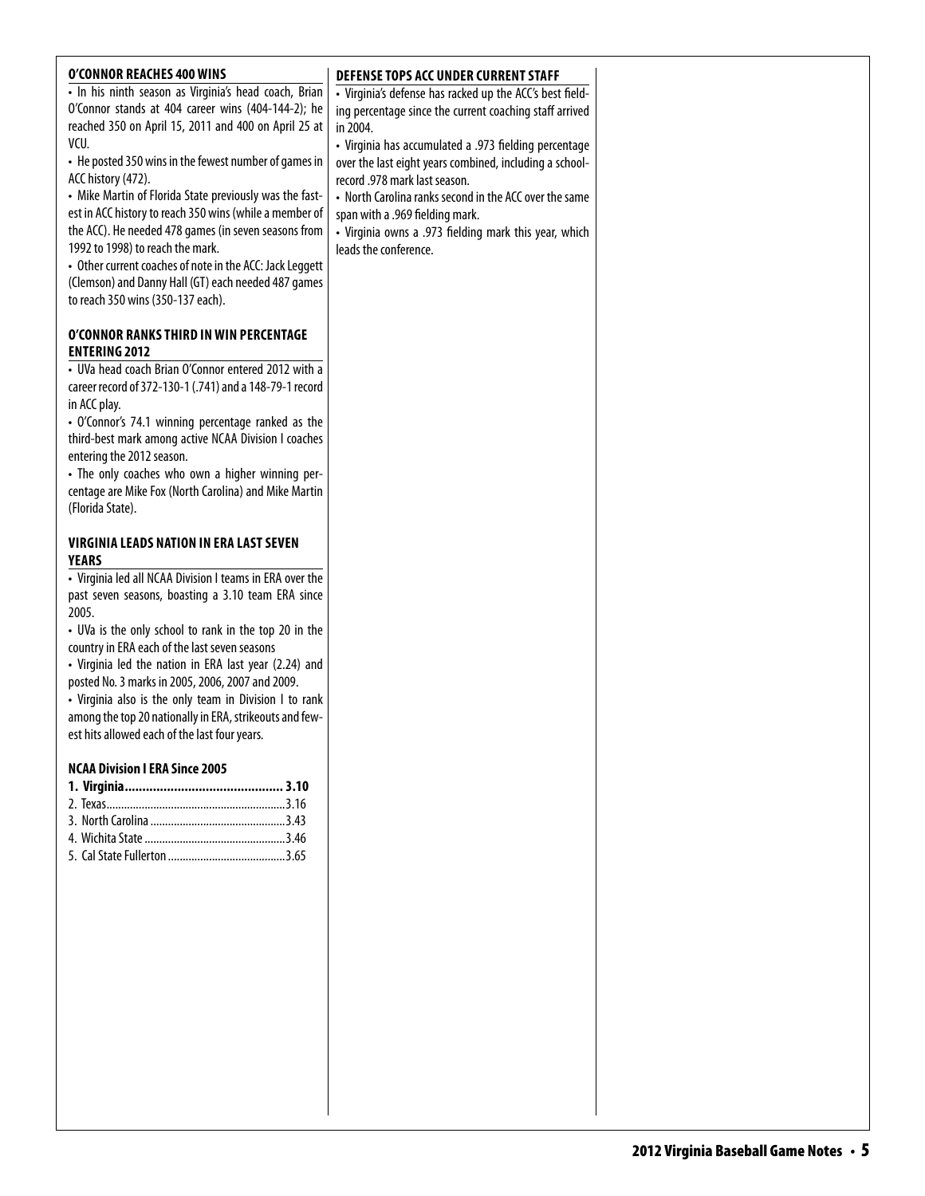| <b>O'CONNOR REACHES 400 WINS</b><br>• In his ninth season as Virginia's head coach, Brian<br>O'Connor stands at 404 career wins (404-144-2); he<br>reached 350 on April 15, 2011 and 400 on April 25 at<br>VCU.<br>• He posted 350 wins in the fewest number of games in<br>ACC history (472).<br>• Mike Martin of Florida State previously was the fast-<br>est in ACC history to reach 350 wins (while a member of<br>the ACC). He needed 478 games (in seven seasons from<br>1992 to 1998) to reach the mark.<br>• Other current coaches of note in the ACC: Jack Leggett | DEFENSE TOPS ACC UNDER CURRENT STAFF<br>• Virginia's defense has racked up the ACC's best field-<br>ing percentage since the current coaching staff arrived<br>in 2004.<br>• Virginia has accumulated a .973 fielding percentage<br>over the last eight years combined, including a school-<br>record .978 mark last season.<br>• North Carolina ranks second in the ACC over the same<br>span with a .969 fielding mark.<br>• Virginia owns a .973 fielding mark this year, which<br>leads the conference. |  |
|------------------------------------------------------------------------------------------------------------------------------------------------------------------------------------------------------------------------------------------------------------------------------------------------------------------------------------------------------------------------------------------------------------------------------------------------------------------------------------------------------------------------------------------------------------------------------|-------------------------------------------------------------------------------------------------------------------------------------------------------------------------------------------------------------------------------------------------------------------------------------------------------------------------------------------------------------------------------------------------------------------------------------------------------------------------------------------------------------|--|
| (Clemson) and Danny Hall (GT) each needed 487 games<br>to reach 350 wins (350-137 each).<br>O'CONNOR RANKS THIRD IN WIN PERCENTAGE<br><b>ENTERING 2012</b><br>• UVa head coach Brian O'Connor entered 2012 with a<br>career record of 372-130-1 (.741) and a 148-79-1 record<br>in ACC play.<br>• O'Connor's 74.1 winning percentage ranked as the<br>third-best mark among active NCAA Division I coaches                                                                                                                                                                   |                                                                                                                                                                                                                                                                                                                                                                                                                                                                                                             |  |
| entering the 2012 season.<br>• The only coaches who own a higher winning per-<br>centage are Mike Fox (North Carolina) and Mike Martin<br>(Florida State).<br><b>VIRGINIA LEADS NATION IN ERA LAST SEVEN</b><br>YEARS<br>• Virginia led all NCAA Division I teams in ERA over the<br>past seven seasons, boasting a 3.10 team ERA since<br>2005.                                                                                                                                                                                                                             |                                                                                                                                                                                                                                                                                                                                                                                                                                                                                                             |  |
| • UVa is the only school to rank in the top 20 in the<br>country in ERA each of the last seven seasons<br>• Virginia led the nation in ERA last year (2.24) and<br>posted No. 3 marks in 2005, 2006, 2007 and 2009.<br>• Virginia also is the only team in Division I to rank<br>among the top 20 nationally in ERA, strikeouts and few-<br>est hits allowed each of the last four years.<br><b>NCAA Division I ERA Since 2005</b>                                                                                                                                           |                                                                                                                                                                                                                                                                                                                                                                                                                                                                                                             |  |
|                                                                                                                                                                                                                                                                                                                                                                                                                                                                                                                                                                              |                                                                                                                                                                                                                                                                                                                                                                                                                                                                                                             |  |
|                                                                                                                                                                                                                                                                                                                                                                                                                                                                                                                                                                              |                                                                                                                                                                                                                                                                                                                                                                                                                                                                                                             |  |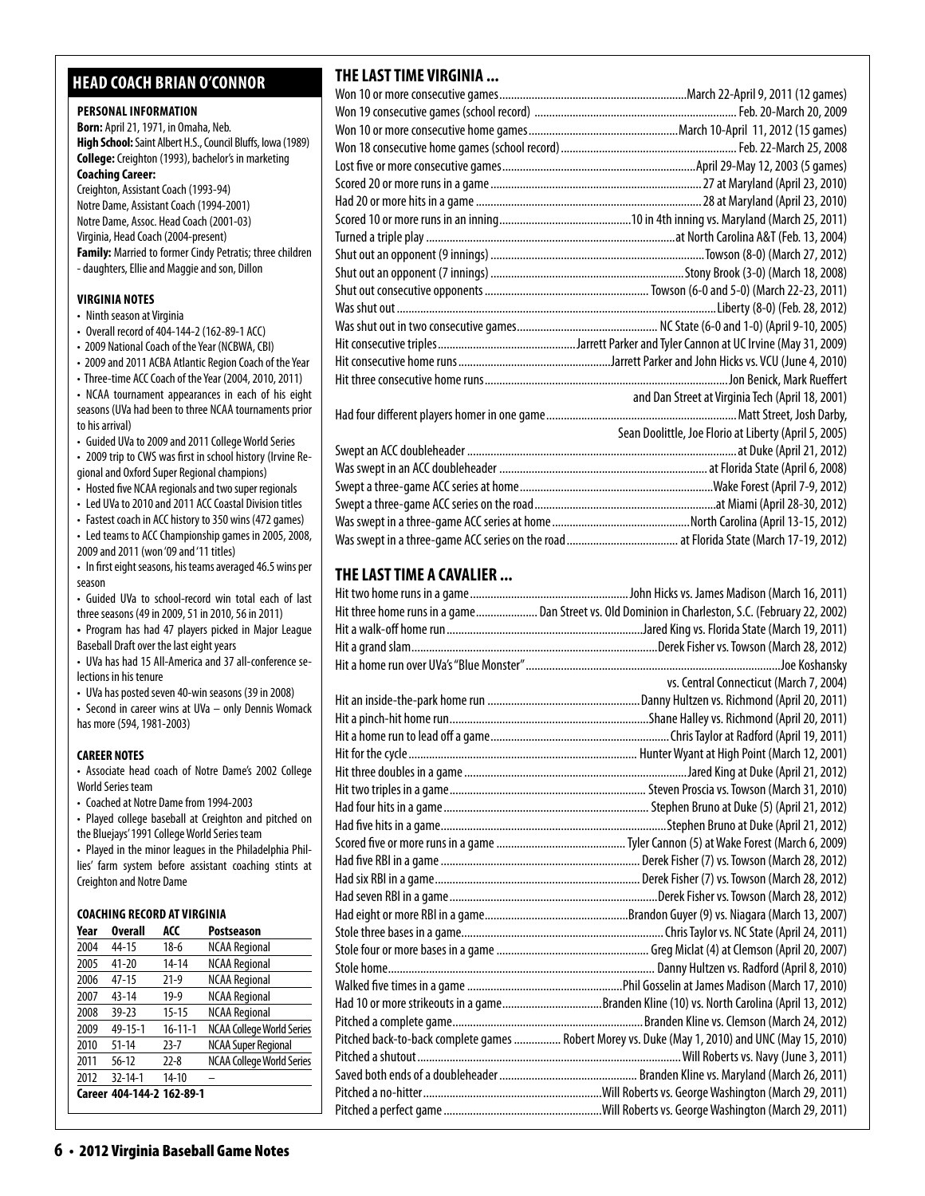### **head coach brian o'connor**

#### **PERSONAL INFORMATION**

**Born:** April 21, 1971, in Omaha, Neb. **High School:** Saint Albert H.S., Council Bluffs, Iowa (1989) **College:** Creighton (1993), bachelor's in marketing **Coaching Career:**  Creighton, Assistant Coach (1993-94) Notre Dame, Assistant Coach (1994-2001)

Notre Dame, Assoc. Head Coach (2001-03) Virginia, Head Coach (2004-present) **Family:** Married to former Cindy Petratis; three children - daughters, Ellie and Maggie and son, Dillon

#### **virginia Notes**

- Ninth season at Virginia
- Overall record of 404-144-2 (162-89-1 ACC)
- 2009 National Coach of the Year (NCBWA, CBI)
- 2009 and 2011 ACBA Atlantic Region Coach of the Year

• Three-time ACC Coach of the Year (2004, 2010, 2011) • NCAA tournament appearances in each of his eight seasons (UVa had been to three NCAA tournaments prior to his arrival)

• Guided UVa to 2009 and 2011 College World Series

• 2009 trip to CWS was first in school history (Irvine Regional and Oxford Super Regional champions)

• Hosted five NCAA regionals and two super regionals

• Led UVa to 2010 and 2011 ACC Coastal Division titles

• Fastest coach in ACC history to 350 wins (472 games) • Led teams to ACC Championship games in 2005, 2008,

- 2009 and 2011 (won '09 and '11 titles)
- In first eight seasons, his teams averaged 46.5 wins per season

• Guided UVa to school-record win total each of last three seasons (49 in 2009, 51 in 2010, 56 in 2011)

**•**  Program has had 47 players picked in Major League Baseball Draft over the last eight years

• UVa has had 15 All-America and 37 all-conference selections in his tenure

• UVa has posted seven 40-win seasons (39 in 2008)

• Second in career wins at UVa – only Dennis Womack has more (594, 1981-2003)

### **CAREER NOTES**

• Associate head coach of Notre Dame's 2002 College World Series team

• Coached at Notre Dame from 1994-2003

• Played college baseball at Creighton and pitched on the Bluejays' 1991 College World Series team

• Played in the minor leagues in the Philadelphia Phillies' farm system before assistant coaching stints at Creighton and Notre Dame

### **Coaching Record at virginia**

| Year | <b>Overall</b>            | ACC           | <b>Postseason</b>                |
|------|---------------------------|---------------|----------------------------------|
| 2004 | 44-15                     | $18-6$        | <b>NCAA Regional</b>             |
| 2005 | $41 - 20$                 | 14-14         | <b>NCAA Regional</b>             |
| 2006 | $47 - 15$                 | $21-9$        | <b>NCAA Regional</b>             |
| 2007 | $43 - 14$                 | $19-9$        | <b>NCAA Regional</b>             |
| 2008 | $39 - 23$                 | $15 - 15$     | <b>NCAA Regional</b>             |
| 2009 | 49-15-1                   | $16 - 11 - 1$ | <b>NCAA College World Series</b> |
| 2010 | $51 - 14$                 | $23 - 7$      | <b>NCAA Super Regional</b>       |
| 2011 | $56 - 12$                 | $22 - 8$      | <b>NCAA College World Series</b> |
| 2012 | $32 - 14 - 1$             | $14 - 10$     |                                  |
|      | Career 404-144-2 162-89-1 |               |                                  |

### **THE LAST TIME VIRGINIA ...**

| and Dan Street at Virginia Tech (April 18, 2001)      |
|-------------------------------------------------------|
|                                                       |
| Sean Doolittle, Joe Florio at Liberty (April 5, 2005) |
|                                                       |
|                                                       |
|                                                       |
|                                                       |
|                                                       |
|                                                       |

### **THE LAST TIME A CAVALIER ...**

| Hit three home runs in a game Dan Street vs. Old Dominion in Charleston, S.C. (February 22, 2002) |
|---------------------------------------------------------------------------------------------------|
|                                                                                                   |
|                                                                                                   |
|                                                                                                   |
| vs. Central Connecticut (March 7, 2004)                                                           |
|                                                                                                   |
|                                                                                                   |
|                                                                                                   |
|                                                                                                   |
|                                                                                                   |
|                                                                                                   |
|                                                                                                   |
|                                                                                                   |
|                                                                                                   |
|                                                                                                   |
|                                                                                                   |
|                                                                                                   |
|                                                                                                   |
|                                                                                                   |
|                                                                                                   |
|                                                                                                   |
|                                                                                                   |
| Had 10 or more strikeouts in a gameBranden Kline (10) vs. North Carolina (April 13, 2012)         |
|                                                                                                   |
| Pitched back-to-back complete games  Robert Morey vs. Duke (May 1, 2010) and UNC (May 15, 2010)   |
|                                                                                                   |
|                                                                                                   |
|                                                                                                   |
|                                                                                                   |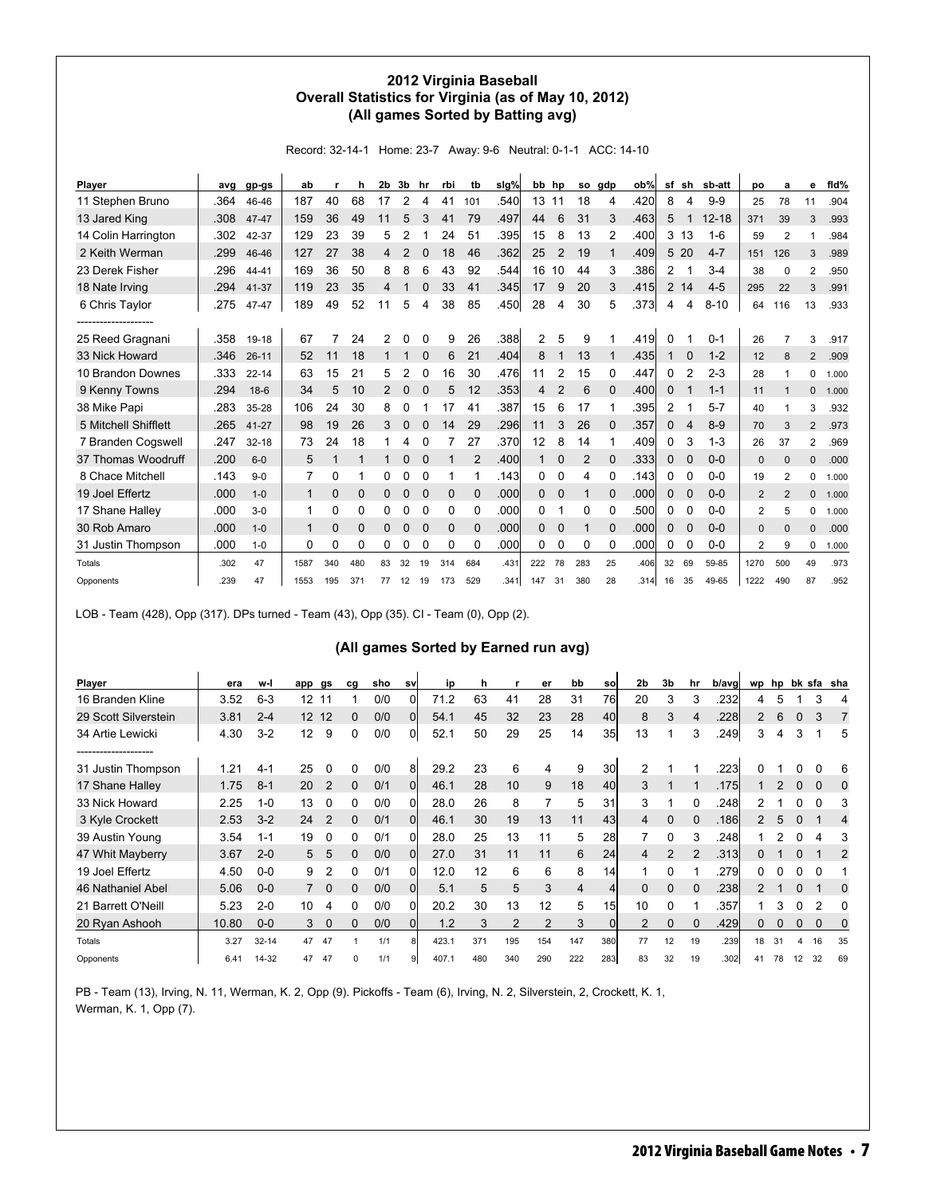### **2012 Virginia Baseball Overall Statistics for Virginia (as of May 10, 2012) (All games Sorted by Batting avg)**

Record: 32-14-1 Home: 23-7 Away: 9-6 Neutral: 0-1-1 ACC: 14-10

| Player               | ava  | gp-gs     | ab           |             | h        | 2b | 3b             | hr          | rbi         | tb          | slg% | bb             | hp          | <b>SO</b>      | gdp         | ob%  | sf             | sh              | sb-att    | DO             | a              | е              | fid%  |
|----------------------|------|-----------|--------------|-------------|----------|----|----------------|-------------|-------------|-------------|------|----------------|-------------|----------------|-------------|------|----------------|-----------------|-----------|----------------|----------------|----------------|-------|
| 11 Stephen Bruno     | .364 | 46-46     | 187          | 40          | 68       | 17 | 2              | 4           | 41          | 101         | .540 | 13             | 11          | 18             | 4           | .420 | 8              | 4               | $9 - 9$   | 25             | 78             | 11             | .904  |
| 13 Jared King        | .308 | 47-47     | 159          | 36          | 49       | 11 | 5              | 3           | 41          | 79          | .497 | 44             | 6           | 31             | 3           | .463 | 5              |                 | $12 - 18$ | 371            | 39             | 3              | .993  |
| 14 Colin Harrington  | .302 | 42-37     | 129          | 23          | 39       | 5  | 2              |             | 24          | 51          | .395 | 15             | 8           | 13             | 2           | .400 |                | 3 <sub>13</sub> | $1 - 6$   | 59             | $\overline{2}$ |                | .984  |
| 2 Keith Werman       | .299 | 46-46     | 127          | 27          | 38       | 4  | $\overline{2}$ | 0           | 18          | 46          | .362 | 25             | 2           | 19             |             | .409 | 5              | 20              | $4 - 7$   | 151            | 126            | 3              | .989  |
| 23 Derek Fisher      | .296 | 44-41     | 169          | 36          | 50       | 8  | 8              | 6           | 43          | 92          | .544 | 16             | 10          | 44             | 3           | .386 | 2              | 1               | $3-4$     | 38             | $\Omega$       | 2              | .950  |
| 18 Nate Irving       | .294 | 41-37     | 119          | 23          | 35       | 4  |                | $\Omega$    | 33          | 41          | .345 | 17             | 9           | 20             | 3           | .415 | $\overline{2}$ | 14              | $4 - 5$   | 295            | 22             | 3              | .991  |
| 6 Chris Taylor       | .275 | 47-47     | 189          | 49          | 52       | 11 | 5              | 4           | 38          | 85          | .450 | 28             | 4           | 30             | 5           | .373 | 4              | 4               | $8 - 10$  | 64             | 116            | 13             | .933  |
| ------------------   |      |           |              |             |          |    |                |             |             |             |      |                |             |                |             |      |                |                 |           |                |                |                |       |
| 25 Reed Gragnani     | .358 | 19-18     | 67           | 7           | 24       | 2  | 0              | 0           | 9           | 26          | .388 | $\overline{2}$ | 5           | 9              |             | .419 | 0              |                 | $0 - 1$   | 26             | $\overline{7}$ | 3              | .917  |
| 33 Nick Howard       | .346 | $26 - 11$ | 52           | 11          | 18       |    |                |             | 6           | 21          | .404 | 8              |             | 13             |             | .435 |                | 0               | $1 - 2$   | 12             | 8              | $\overline{2}$ | .909  |
| 10 Brandon Downes    | .333 | $22 - 14$ | 63           | 15          | 21       | 5  | 2              | O           | 16          | 30          | .476 | 11             | 2           | 15             | 0           | .447 | 0              | $\overline{2}$  | $2 - 3$   | 28             | 1              | 0              | 1.000 |
| 9 Kenny Towns        | .294 | $18-6$    | 34           | 5           | 10       |    | 0              | 0           | 5           | 12          | .353 | 4              | 2           | 6              | $\Omega$    | .400 | $\mathbf{0}$   |                 | $1 - 1$   | 11             |                | 0              | 1.000 |
| 38 Mike Papi         | .283 | 35-28     | 106          | 24          | 30       | 8  | 0              |             | 17          | 41          | .387 | 15             | 6           | 17             |             | .395 | 2              |                 | $5 - 7$   | 40             | 1              | 3              | .932  |
| 5 Mitchell Shifflett | .265 | $41 - 27$ | 98           | 19          | 26       | 3  | 0              | 0           | 14          | 29          | .296 | 11             | 3           | 26             | $\Omega$    | .357 | 0              | 4               | $8-9$     | 70             | 3              | $\overline{2}$ | .973  |
| 7 Branden Cogswell   | .247 | $32 - 18$ | 73           | 24          | 18       |    | 4              | 0           |             | 27          | .370 | 12             | 8           | 14             |             | .409 | 0              | 3               | $1 - 3$   | 26             | 37             | 2              | .969  |
| 37 Thomas Woodruff   | .200 | $6 - 0$   | 5            | 1           |          | 1  | 0              | $\Omega$    |             | 2           | .400 |                | $\Omega$    | $\overline{2}$ | $\Omega$    | .333 | $\mathbf{0}$   | 0               | $0 - 0$   | 0              | $\Omega$       | 0              | .000  |
| 8 Chace Mitchell     | .143 | $9 - 0$   | 7            | 0           |          | 0  | 0              | 0           | 1           |             | .143 | 0              | 0           | 4              | 0           | .143 | 0              | 0               | $0-0$     | 19             | 2              | 0              | 1.000 |
| 19 Joel Effertz      | .000 | $1 - 0$   | $\mathbf{1}$ | $\mathbf 0$ | 0        | 0  | 0              | $\mathbf 0$ | $\mathbf 0$ | $\mathbf 0$ | .000 | 0              | $\mathbf 0$ |                | $\mathbf 0$ | .000 | 0              | $\mathbf 0$     | $0 - 0$   | $\overline{2}$ | 2              | 0              | 1.000 |
| 17 Shane Halley      | .000 | $3 - 0$   | 1            | 0           | 0        | 0  | 0              | 0           | 0           | 0           | .000 | 0              |             | 0              | 0           | .500 | 0              | 0               | $0-0$     | $\overline{2}$ | 5              | 0              | 1.000 |
| 30 Rob Amaro         | .000 | $1 - 0$   | $\mathbf 1$  | $\mathbf 0$ | $\Omega$ | 0  | 0              | $\Omega$    | $\Omega$    | $\Omega$    | .000 | $\Omega$       | 0           |                | $\Omega$    | .000 | 0              | $\mathbf 0$     | $0 - 0$   | 0              | $\Omega$       | 0              | .000  |
| 31 Justin Thompson   | .000 | $1 - 0$   | 0            | 0           | 0        | 0  | 0              | 0           | 0           | 0           | .000 | 0              | 0           | 0              | 0           | .000 | 0              | 0               | $0-0$     | $\overline{2}$ | 9              | 0              | 1.000 |
| Totals               | .302 | 47        | 1587         | 340         | 480      | 83 | 32             | 19          | 314         | 684         | .431 | 222            | 78          | 283            | 25          | .406 | 32             | 69              | 59-85     | 1270           | 500            | 49             | .973  |
| Opponents            | .239 | 47        | 1553         | 195         | 371      | 77 | 12             | 19          | 173         | 529         | .341 | 147            | 31          | 380            | 28          | .314 | 16             | 35              | 49-65     | 1222           | 490            | 87             | .952  |

LOB - Team (428), Opp (317). DPs turned - Team (43), Opp (35). CI - Team (0), Opp (2).

### **(All games Sorted by Earned run avg)**

| Player               | era   | w-l       | app               | gs             | cg | sho | sv          | ip    | h   |                | er             | bb  | <b>SO</b>      | 2 <sub>b</sub> | 3b             | hr            | b/avg |                |    |          |    | wp hp bk sfa sha |
|----------------------|-------|-----------|-------------------|----------------|----|-----|-------------|-------|-----|----------------|----------------|-----|----------------|----------------|----------------|---------------|-------|----------------|----|----------|----|------------------|
| 16 Branden Kline     | 3.52  | $6 - 3$   | 12                | 11             |    | 0/0 | 0           | 71.2  | 63  | 41             | 28             | 31  | 76l            | 20             | 3              | 3             | 232   | 4              | 5  |          | 3  |                  |
| 29 Scott Silverstein | 3.81  | $2 - 4$   | $12 \overline{ }$ | 12             | 0  | 0/0 | 0           | 54.1  | 45  | 32             | 23             | 28  | 40             | 8              | 3              | 4             | .228  | $\overline{2}$ | 6  | $\Omega$ | 3  |                  |
| 34 Artie Lewicki     | 4.30  | $3-2$     | 12                | 9              | 0  | 0/0 | 01          | 52.1  | 50  | 29             | 25             | 14  | 35             | 13             |                | 3             | .249  | 3              | 4  | 3        |    | 5                |
| ------------------   |       |           |                   |                |    |     |             |       |     |                |                |     |                |                |                |               |       |                |    |          |    |                  |
| 31 Justin Thompson   | 1.21  | $4-1$     | 25                | 0              | 0  | 0/0 | 81          | 29.2  | 23  | 6              | 4              | 9   | 30             | 2              |                |               | .223  |                |    |          |    | 6                |
| 17 Shane Halley      | 1.75  | $8 - 1$   | 20                | $\overline{2}$ | 0  | 0/1 | 0l          | 46.1  | 28  | 10             | 9              | 18  | 40l            | 3              |                |               | .175  |                |    | $\Omega$ | 0  | $\Omega$         |
| 33 Nick Howard       | 2.25  | $1 - 0$   | 13                | 0              | 0  | 0/0 | 0           | 28.0  | 26  | 8              | 7              | 5   | 31             | 3              |                | 0             | .248  | 2              |    |          | ი  | 3                |
| 3 Kyle Crockett      | 2.53  | $3 - 2$   | 24                | $\mathcal{P}$  | 0  | 0/1 | $\mathbf 0$ | 46.1  | 30  | 19             | 13             | 11  | 43             | 4              | $\Omega$       | $\Omega$      | 186   | $\mathcal{P}$  | 5  | $\Omega$ |    | 4                |
| 39 Austin Young      | 3.54  | $1 - 1$   | 19                | 0              | 0  | 0/1 | 0           | 28.0  | 25  | 13             | 11             | 5   | 28             |                | 0              | 3             | .248  |                |    |          |    | 3                |
| 47 Whit Mayberry     | 3.67  | $2 - 0$   | 5                 | 5              | 0  | 0/0 | $\Omega$    | 27.0  | 31  | 11             | 11             | 6   | 24             | 4              | $\overline{2}$ | $\mathcal{P}$ | .313  | 0              |    | $\Omega$ |    | 2                |
| 19 Joel Effertz      | 4.50  | $0-0$     | 9                 | 2              | 0  | 0/1 | 0           | 12.0  | 12  | 6              | 6              | 8   | 14             |                | 0              |               | .279  |                |    |          |    |                  |
| 46 Nathaniel Abel    | 5.06  | $0-0$     |                   | 0              | 0  | 0/0 | 0l          | 5.1   | 5   | 5              | 3              | 4   | $\overline{4}$ | $\Omega$       | $\Omega$       | $\Omega$      | .238  | $\mathcal{P}$  |    | U        |    | 0                |
| 21 Barrett O'Neill   | 5.23  | $2 - 0$   | 10                | 4              | 0  | 0/0 | 0           | 20.2  | 30  | 13             | 12             | 5   | 15             | 10             | $\Omega$       |               | .357  |                | 3  |          | 2  | 0                |
| 20 Ryan Ashooh       | 10.80 | $0-0$     | 3                 | $\Omega$       | O. | 0/0 | Οl          | 1.2   | 3   | $\overline{2}$ | $\overline{2}$ | 3   | <sup>0</sup>   | 2              | $\Omega$       |               | .429  | 0              |    | $\Omega$ | 0  | 0                |
| Totals               | 3.27  | $32 - 14$ | 47                | 47             |    | 1/1 |             | 423.1 | 371 | 195            | 154            | 147 | 380            | 77             | 12             | 19            | .239  | 18             | 31 | 4        | 16 | 35               |
| Opponents            | 6.41  | $14 - 32$ | 47                | 47             | ŋ  | 1/1 |             | 407.1 | 480 | 340            | 290            | 222 | 283            | 83             | 32             | 19            | .302  | 41             | 78 | 12       | 32 | 69               |

PB - Team (13), Irving, N. 11, Werman, K. 2, Opp (9). Pickoffs - Team (6), Irving, N. 2, Silverstein, 2, Crockett, K. 1, Werman, K. 1, Opp (7).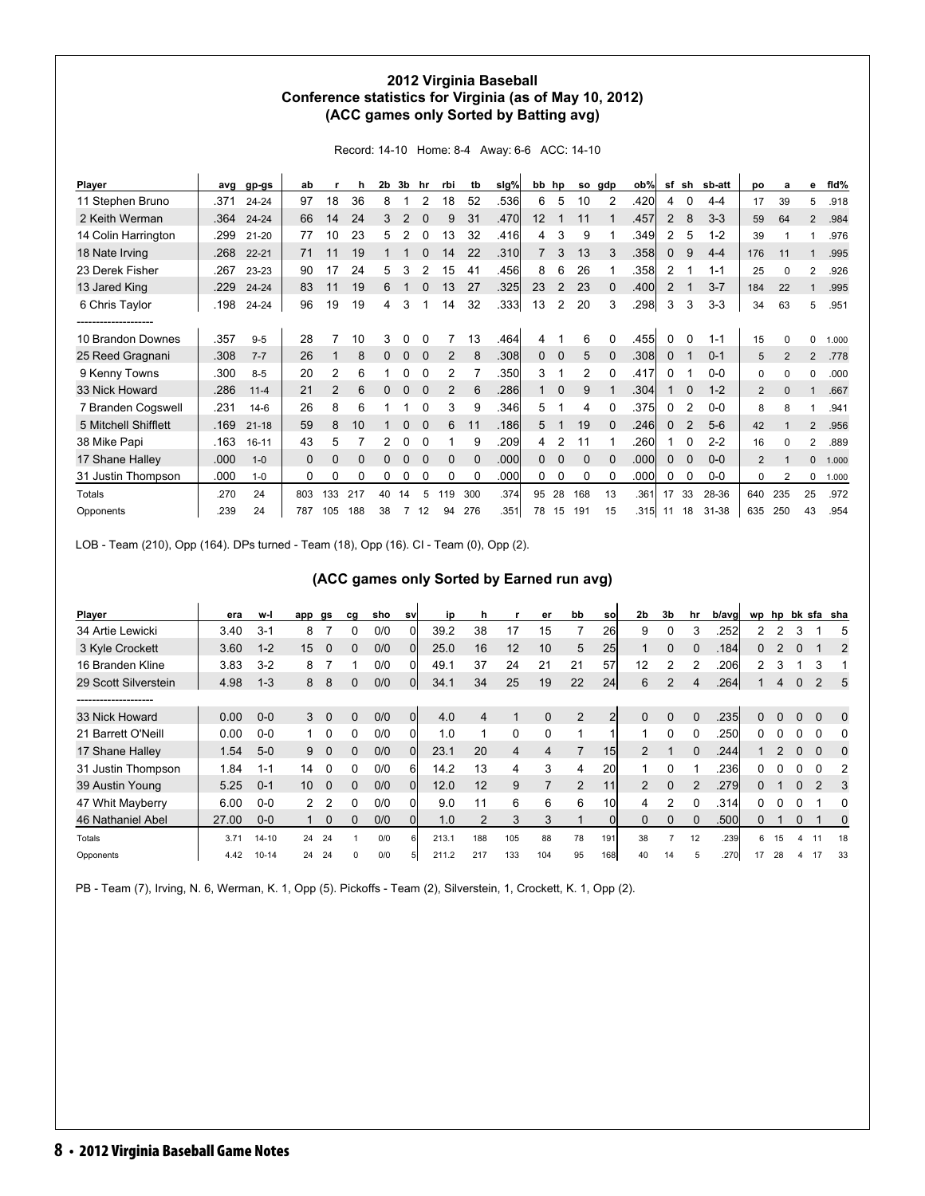### **2012 Virginia Baseball Conference statistics for Virginia (as of May 10, 2012) (ACC games only Sorted by Batting avg)**

Record: 14-10 Home: 8-4 Away: 6-6 ACC: 14-10

| <b>Player</b>        | ava  | gp-gs     | ab           |                | h        | 2 <sub>b</sub> | 3b | hr       | rbi          | tb           | slg% | bb | hp          | so          | gdp          | ob%  | sf             | sh             | sb-att  | po             | a              | е              | fid%  |
|----------------------|------|-----------|--------------|----------------|----------|----------------|----|----------|--------------|--------------|------|----|-------------|-------------|--------------|------|----------------|----------------|---------|----------------|----------------|----------------|-------|
| 11 Stephen Bruno     | .371 | $24 - 24$ | 97           | 18             | 36       | 8              |    |          | 18           | 52           | .536 | 6  | 5           | 10          | 2            | .420 | 4              | 0              | $4 - 4$ | 17             | 39             | 5              | .918  |
| 2 Keith Werman       | .364 | $24 - 24$ | 66           | 14             | 24       | 3              | 2  | $\Omega$ | 9            | 31           | .470 | 12 |             | 11          |              | .457 | $\overline{2}$ | 8              | $3-3$   | 59             | 64             | $\overline{2}$ | .984  |
| 14 Colin Harrington  | .299 | $21 - 20$ | 77           | 10             | 23       | 5              | 2  | 0        | 13           | 32           | .416 | 4  | 3           | 9           |              | .349 | $\overline{2}$ | 5              | $1 - 2$ | 39             |                |                | .976  |
| 18 Nate Irving       | .268 | $22 - 21$ | 71           | 11             | 19       |                |    |          | 14           | 22           | .310 |    | 3           | 13          | 3            | .358 | $\mathbf{0}$   | 9              | $4 - 4$ | 176            | 11             |                | .995  |
| 23 Derek Fisher      | .267 | 23-23     | 90           | 17             | 24       | 5              | 3  | 2        | 15           | 41           | .456 | 8  | 6           | 26          |              | .358 | $\overline{2}$ |                | $1 - 1$ | 25             | $\Omega$       | 2              | .926  |
| 13 Jared King        | .229 | $24 - 24$ | 83           | 11             | 19       | 6              |    |          | 13           | 27           | .325 | 23 | 2           | 23          | $\Omega$     | .400 | $\overline{2}$ |                | $3 - 7$ | 184            | 22             |                | .995  |
| 6 Chris Taylor       | .198 | $24 - 24$ | 96           | 19             | 19       | 4              | 3  |          | 14           | 32           | .333 | 13 | 2           | 20          | 3            | .298 | 3              | 3              | $3-3$   | 34             | 63             | 5              | .951  |
|                      |      |           |              |                |          |                |    |          |              |              |      |    |             |             |              |      |                |                |         |                |                |                |       |
| 10 Brandon Downes    | .357 | $9 - 5$   | 28           |                | 10       | 3              | 0  | 0        |              | 13           | .464 | 4  |             | 6           | 0            | .455 | $\Omega$       | 0              | $1 - 1$ | 15             | $\Omega$       | 0              | 1.000 |
| 25 Reed Gragnani     | .308 | $7 - 7$   | 26           | 1              | 8        | 0              | 0  | $\Omega$ | 2            | 8            | .308 | 0  | $\mathbf 0$ | 5           | $\mathbf{0}$ | .308 | $\mathbf{0}$   | 1              | $0 - 1$ | 5              | $\overline{2}$ | $\overline{2}$ | .778  |
| 9 Kenny Towns        | .300 | $8 - 5$   | 20           | 2              | 6        |                | 0  | $\Omega$ | 2            |              | .350 | 3  |             | 2           | 0            | .417 | 0              |                | $0-0$   | 0              | $\Omega$       | 0              | .000  |
| 33 Nick Howard       | .286 | $11 - 4$  | 21           | $\overline{2}$ | 6        | 0              | 0  |          | 2            | 6            | .286 |    | $\Omega$    | 9           |              | .304 |                | $\Omega$       | $1 - 2$ | $\overline{2}$ | 0              |                | .667  |
| 7 Branden Cogswell   | .231 | $14-6$    | 26           | 8              | 6        |                |    |          | 3            | 9            | .346 | 5  |             | 4           | 0            | .375 | 0              | 2              | $0-0$   | 8              | 8              |                | .941  |
| 5 Mitchell Shifflett | .169 | $21 - 18$ | 59           | 8              | 10       |                | 0  |          | 6            | 11           | .186 | 5  |             | 19          | $\Omega$     | .246 | $\Omega$       | $\overline{2}$ | $5-6$   | 42             |                | $\overline{2}$ | .956  |
| 38 Mike Papi         | .163 | $16 - 11$ | 43           | 5              |          | 2              | 0  |          |              | 9            | .209 | 4  | 2           | 11          |              | .260 |                | $\Omega$       | $2 - 2$ | 16             | $\Omega$       | 2              | .889  |
| 17 Shane Halley      | .000 | $1 - 0$   | $\mathbf{0}$ | $\mathbf 0$    | $\Omega$ | 0              | 0  | $\Omega$ | $\mathbf{0}$ | $\Omega$     | .000 | 0  | $\mathbf 0$ | $\mathbf 0$ | $\Omega$     | .000 | $\mathbf{0}$   | $\mathbf 0$    | $0-0$   | $\overline{2}$ |                | 0              | 1.000 |
| 31 Justin Thompson   | .000 | $1 - 0$   | 0            | 0              | 0        | 0              | 0  | 0        | 0            | <sup>0</sup> | .000 | 0  | $\Omega$    | 0           | 0            | .000 | 0              | 0              | $0-0$   | 0              | $\overline{2}$ | 0              | 1.000 |
| Totals               | .270 | 24        | 803          | 133            | 217      | 40             | 14 | 5        | 19           | 300          | .374 | 95 | 28          | 168         | 13           | .361 | 17             | 33             | 28-36   | 640            | 235            | 25             | .972  |
| Opponents            | .239 | 24        | 787          | 105            | 188      | 38             |    | 12       | 94           | 276          | .351 | 78 | 15          | 191         | 15           | .315 | 11             | 18             | 31-38   | 635            | 250            | 43             | .954  |

LOB - Team (210), Opp (164). DPs turned - Team (18), Opp (16). CI - Team (0), Opp (2).

| (ACC games only Sorted by Earned run avg) |  |  |  |
|-------------------------------------------|--|--|--|
|-------------------------------------------|--|--|--|

| Player               | era   | w-l       | app                  | gs       | ca | sho | sv           | ip    | h   |     | er  | bb             | sol             | 2 <sub>b</sub> | 3b             | hr            | b/avg | wp                   | hp |          |                | bk sfa sha   |
|----------------------|-------|-----------|----------------------|----------|----|-----|--------------|-------|-----|-----|-----|----------------|-----------------|----------------|----------------|---------------|-------|----------------------|----|----------|----------------|--------------|
| 34 Artie Lewicki     | 3.40  | $3 - 1$   | 8                    |          | 0  | 0/0 | 0            | 39.2  | 38  | 17  | 15  |                | <b>26</b>       | 9              | 0              | 3             | .252  | 2                    |    |          |                | 5            |
| 3 Kyle Crockett      | 3.60  | $1 - 2$   | 15                   | 0        | 0  | 0/0 | $\Omega$     | 25.0  | 16  | 12  | 10  | 5              | 25              |                | 0              |               | .184  | 0                    |    | $\Omega$ |                | 2            |
| 16 Branden Kline     | 3.83  | $3 - 2$   | 8                    |          |    | 0/0 | Οl           | 49.1  | 37  | 24  | 21  | 21             | 57              | 12             |                |               | .2061 | $\mathbf{2}^{\circ}$ | 3  |          | 3              |              |
| 29 Scott Silverstein | 4.98  | $1 - 3$   | 8                    | 8        | 0  | 0/0 | 0l           | 34.1  | 34  | 25  | 19  | 22             | 24              | 6              | $\overline{2}$ |               | .264  |                      | 4  |          | 2              | 5            |
| ------------------   |       |           |                      |          |    |     |              |       |     |     |     |                |                 |                |                |               |       |                      |    |          |                |              |
| 33 Nick Howard       | 0.00  | $0 - 0$   | 3                    | $\Omega$ | 0  | 0/0 | <sub>0</sub> | 4.0   | 4   |     | 0   | 2              | $\overline{2}$  | $\Omega$       | $\Omega$       |               | .2351 | $\Omega$             |    | $\Omega$ | $\Omega$       | $\mathbf{0}$ |
| 21 Barrett O'Neill   | 0.00  | $0-0$     |                      | 0        | 0  | 0/0 | 0l           | 1.0   |     | 0   | 0   |                |                 |                |                |               | .250  | 0                    |    | 0        | O              | 0            |
| 17 Shane Halley      | 1.54  | $5-0$     | 9                    | $\Omega$ | 0  | 0/0 | 0l           | 23.1  | 20  | 4   | 4   |                | 15 <sub>l</sub> | $\mathcal{P}$  |                |               | .244  |                      |    | $\Omega$ | $\Omega$       | $\Omega$     |
| 31 Justin Thompson   | 1.84  | $1 - 1$   | 14                   | 0        | 0  | 0/0 | 6            | 14.2  | 13  | 4   | 3   | 4              | <b>20l</b>      |                |                |               | .236  | 0                    |    | 0        | O              |              |
| 39 Austin Young      | 5.25  | $0 - 1$   | 10                   | $\Omega$ | 0  | 0/0 | Οl           | 12.0  | 12  | 9   | 7   | $\overline{2}$ | 11              | $\overline{2}$ | $\Omega$       | $\mathcal{P}$ | .279  | 0                    |    | $\Omega$ | $\mathfrak{p}$ | 3            |
| 47 Whit Mayberry     | 6.00  | $0 - 0$   | $\mathbf{2}^{\circ}$ | 2        | 0  | 0/0 | ΩI           | 9.0   |     | 6   | 6   | 6              | 10l             | 4              |                |               | .3141 | 0                    |    |          |                | 0            |
| 46 Nathaniel Abel    | 27.00 | $0-0$     |                      | $\Omega$ | 0  | 0/0 | Οl           | 1.0   | 2   | 3   | 3   |                | Οl              |                | 0              |               | .500  | 0                    |    | 0        |                | 0            |
| Totals               | 3.71  | $14 - 10$ | 24                   | 24       |    | 0/0 | 6            | 213.1 | 188 | 105 | 88  | 78             | 191             | 38             |                | 12            | .239  | 6                    | 15 | 4        | 11             | 18           |
| Opponents            | 4.42  | $10 - 14$ | 24                   | 24       | O  | 0/0 |              | 211.2 | 217 | 133 | 104 | 95             | 168             | 40             | 14             |               | .270  | 17                   | 28 |          |                | 33           |

PB - Team (7), Irving, N. 6, Werman, K. 1, Opp (5). Pickoffs - Team (2), Silverstein, 1, Crockett, K. 1, Opp (2).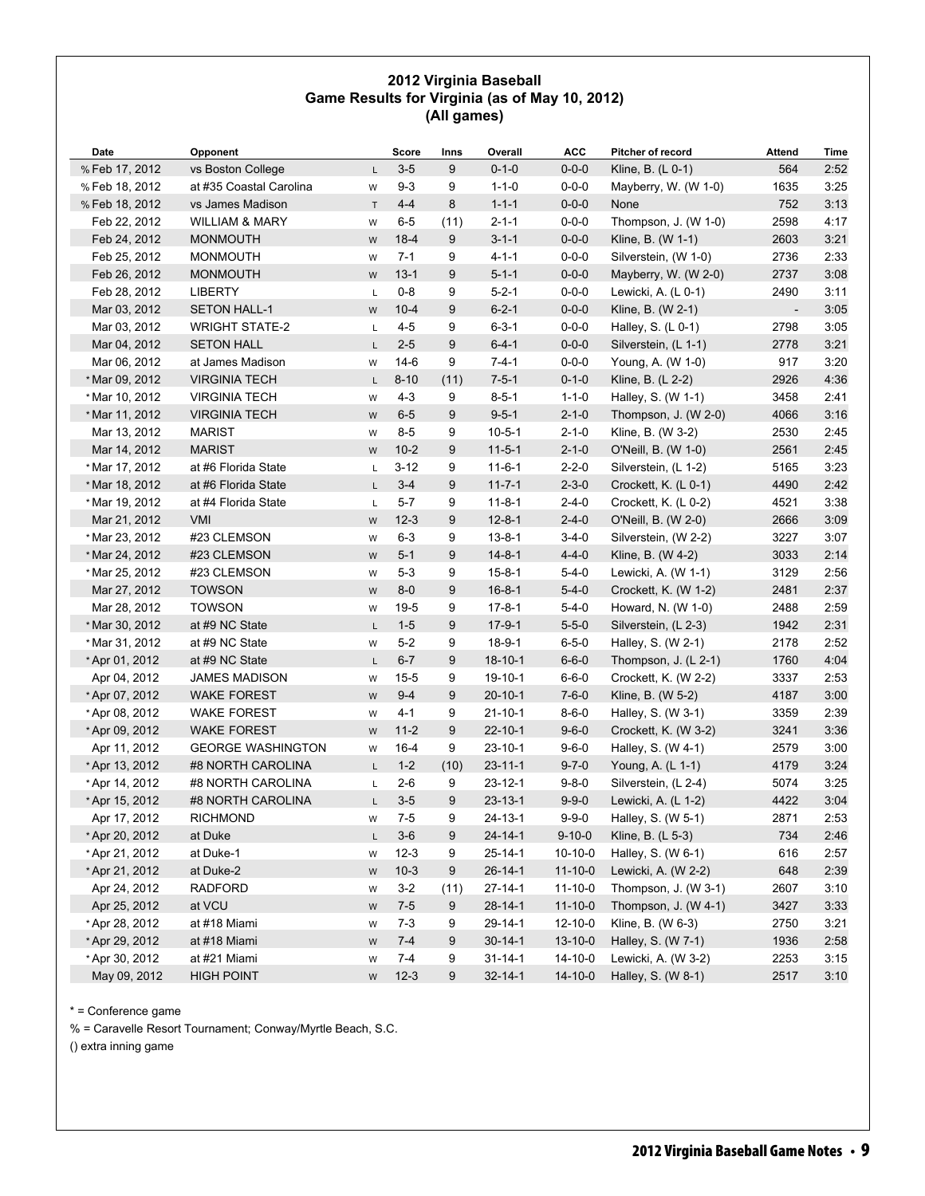### **2012 Virginia Baseball Game Results for Virginia (as of May 10, 2012) (All games)**

| Date           | Opponent                  |             | Score    | Inns | Overall       | <b>ACC</b>    | Pitcher of record                       | Attend | Time |
|----------------|---------------------------|-------------|----------|------|---------------|---------------|-----------------------------------------|--------|------|
| % Feb 17, 2012 | vs Boston College         | L.          | $3-5$    | 9    | $0 - 1 - 0$   | $0 - 0 - 0$   | Kline, B. $(L 0-1)$                     | 564    | 2:52 |
| % Feb 18, 2012 | at #35 Coastal Carolina   | W           | $9 - 3$  | 9    | $1 - 1 - 0$   | $0 - 0 - 0$   | Mayberry, W. (W 1-0)                    | 1635   | 3:25 |
| % Feb 18, 2012 | vs James Madison          | $\mathsf T$ | $4 - 4$  | 8    | $1 - 1 - 1$   | $0 - 0 - 0$   | None                                    | 752    | 3:13 |
| Feb 22, 2012   | <b>WILLIAM &amp; MARY</b> | W           | $6-5$    | (11) | $2 - 1 - 1$   | $0 - 0 - 0$   | Thompson, J. (W 1-0)                    | 2598   | 4:17 |
| Feb 24, 2012   | <b>MONMOUTH</b>           | ${\sf W}$   | $18-4$   | 9    | $3 - 1 - 1$   | $0 - 0 - 0$   | Kline, B. (W 1-1)                       | 2603   | 3:21 |
| Feb 25, 2012   | <b>MONMOUTH</b>           | W           | $7 - 1$  | 9    | $4 - 1 - 1$   | $0 - 0 - 0$   | Silverstein, (W 1-0)                    | 2736   | 2:33 |
| Feb 26, 2012   | <b>MONMOUTH</b>           | W           | $13 - 1$ | 9    | $5 - 1 - 1$   | $0 - 0 - 0$   | Mayberry, W. (W 2-0)                    | 2737   | 3:08 |
| Feb 28, 2012   | <b>LIBERTY</b>            | L           | $0 - 8$  | 9    | $5 - 2 - 1$   | $0 - 0 - 0$   | Lewicki, A. (L 0-1)                     | 2490   | 3:11 |
| Mar 03, 2012   | <b>SETON HALL-1</b>       | W           | $10 - 4$ | 9    | $6 - 2 - 1$   | $0 - 0 - 0$   | Kline, B. (W 2-1)                       |        | 3:05 |
| Mar 03, 2012   | <b>WRIGHT STATE-2</b>     | Г           | $4 - 5$  | 9    | $6 - 3 - 1$   | $0 - 0 - 0$   | Halley, S. (L 0-1)                      | 2798   | 3:05 |
| Mar 04, 2012   | <b>SETON HALL</b>         | L.          | $2 - 5$  | 9    | $6 - 4 - 1$   | $0 - 0 - 0$   | Silverstein, (L 1-1)                    | 2778   | 3:21 |
| Mar 06, 2012   | at James Madison          | W           | $14-6$   | 9    | $7 - 4 - 1$   | $0 - 0 - 0$   | Young, A. (W 1-0)                       | 917    | 3:20 |
| * Mar 09, 2012 | <b>VIRGINIA TECH</b>      | L           | $8 - 10$ | (11) | $7 - 5 - 1$   | $0 - 1 - 0$   | Kline, B. (L 2-2)                       | 2926   | 4:36 |
| * Mar 10, 2012 | <b>VIRGINIA TECH</b>      | W           | $4 - 3$  | 9    | $8 - 5 - 1$   | $1 - 1 - 0$   | Halley, S. (W 1-1)                      | 3458   | 2:41 |
| * Mar 11, 2012 | <b>VIRGINIA TECH</b>      | W           | $6-5$    | 9    | $9 - 5 - 1$   | $2 - 1 - 0$   | Thompson, J. (W 2-0)                    | 4066   | 3:16 |
| Mar 13, 2012   | <b>MARIST</b>             | W           | 8-5      | 9    | $10 - 5 - 1$  | $2 - 1 - 0$   | Kline, B. (W 3-2)                       | 2530   | 2:45 |
| Mar 14, 2012   | <b>MARIST</b>             | W           | $10-2$   | 9    | $11 - 5 - 1$  | $2 - 1 - 0$   | O'Neill, B. (W 1-0)                     | 2561   | 2:45 |
| * Mar 17, 2012 | at #6 Florida State       | Г           | $3 - 12$ | 9    | $11 - 6 - 1$  | $2 - 2 - 0$   | Silverstein, (L 1-2)                    | 5165   | 3:23 |
| * Mar 18, 2012 | at #6 Florida State       | L.          | $3 - 4$  | 9    | $11 - 7 - 1$  | $2 - 3 - 0$   | Crockett, K. (L 0-1)                    | 4490   | 2:42 |
| * Mar 19, 2012 | at #4 Florida State       | L           | $5 - 7$  | 9    | $11 - 8 - 1$  | $2 - 4 - 0$   | Crockett, K. (L 0-2)                    | 4521   | 3:38 |
| Mar 21, 2012   | <b>VMI</b>                | W           | $12-3$   | 9    | $12 - 8 - 1$  | $2 - 4 - 0$   | O'Neill, B. (W 2-0)                     | 2666   | 3:09 |
| * Mar 23, 2012 | #23 CLEMSON               | W           | $6 - 3$  | 9    | $13 - 8 - 1$  | $3-4-0$       | Silverstein, (W 2-2)                    | 3227   | 3:07 |
| * Mar 24, 2012 | #23 CLEMSON               | W           | $5 - 1$  | 9    | $14 - 8 - 1$  | $4 - 4 - 0$   | Kline, B. (W 4-2)                       | 3033   | 2:14 |
| * Mar 25, 2012 | #23 CLEMSON               | W           | $5 - 3$  | 9    | $15 - 8 - 1$  | $5 - 4 - 0$   | Lewicki, A. (W 1-1)                     | 3129   | 2:56 |
| Mar 27, 2012   | <b>TOWSON</b>             | W           | $8-0$    | 9    | $16 - 8 - 1$  | $5 - 4 - 0$   | Crockett, K. (W 1-2)                    | 2481   | 2:37 |
| Mar 28, 2012   | <b>TOWSON</b>             | W           | $19-5$   | 9    | $17 - 8 - 1$  | $5 - 4 - 0$   | Howard, N. (W 1-0)                      | 2488   | 2:59 |
| * Mar 30, 2012 | at #9 NC State            | L           | $1 - 5$  | 9    | $17-9-1$      | $5 - 5 - 0$   | Silverstein, (L 2-3)                    | 1942   | 2:31 |
| * Mar 31, 2012 | at #9 NC State            | W           | $5-2$    | 9    | $18-9-1$      | $6 - 5 - 0$   | Halley, S. (W 2-1)                      | 2178   | 2:52 |
| *Apr 01, 2012  | at #9 NC State            | L.          | $6-7$    | 9    | $18 - 10 - 1$ | $6 - 6 - 0$   | Thompson, J. (L 2-1)                    | 1760   | 4:04 |
| Apr 04, 2012   | <b>JAMES MADISON</b>      | W           | $15 - 5$ | 9    | $19 - 10 - 1$ | $6 - 6 - 0$   | Crockett, K. (W 2-2)                    | 3337   | 2:53 |
| * Apr 07, 2012 | <b>WAKE FOREST</b>        | W           | $9 - 4$  | 9    | $20 - 10 - 1$ | $7 - 6 - 0$   | Kline, B. (W 5-2)                       | 4187   | 3:00 |
| * Apr 08, 2012 | <b>WAKE FOREST</b>        | W           | $4 - 1$  | 9    | $21 - 10 - 1$ | $8 - 6 - 0$   | Halley, S. (W 3-1)                      | 3359   | 2:39 |
| *Apr 09, 2012  | <b>WAKE FOREST</b>        | W           | $11 - 2$ | 9    | $22 - 10 - 1$ | $9 - 6 - 0$   | Crockett, K. (W 3-2)                    | 3241   | 3:36 |
| Apr 11, 2012   | <b>GEORGE WASHINGTON</b>  |             | $16 - 4$ | 9    | $23 - 10 - 1$ | $9 - 6 - 0$   |                                         | 2579   | 3:00 |
|                | #8 NORTH CAROLINA         | W           | $1 - 2$  |      | $23 - 11 - 1$ | $9 - 7 - 0$   | Halley, S. (W 4-1)<br>Young, A. (L 1-1) | 4179   | 3:24 |
| *Apr 13, 2012  |                           | L.          |          | (10) |               |               |                                         |        |      |
| * Apr 14, 2012 | #8 NORTH CAROLINA         | L           | $2 - 6$  | 9    | $23 - 12 - 1$ | $9 - 8 - 0$   | Silverstein, (L 2-4)                    | 5074   | 3:25 |
| *Apr 15, 2012  | #8 NORTH CAROLINA         | L.          | $3-5$    | 9    | $23 - 13 - 1$ | $9 - 9 - 0$   | Lewicki, A. (L 1-2)                     | 4422   | 3:04 |
| Apr 17, 2012   | <b>RICHMOND</b>           | W           | $7-5$    | 9    | 24-13-1       | $9 - 9 - 0$   | Halley, S. (W 5-1)                      | 2871   | 2:53 |
| * Apr 20, 2012 | at Duke                   | L           | $3-6$    | 9    | $24 - 14 - 1$ | $9 - 10 - 0$  | Kline, B. (L 5-3)                       | 734    | 2:46 |
| *Apr 21, 2012  | at Duke-1                 | W           | $12-3$   | 9    | $25 - 14 - 1$ | $10-10-0$     | Halley, S. (W 6-1)                      | 616    | 2:57 |
| * Apr 21, 2012 | at Duke-2                 | W           | $10-3$   | 9    | $26 - 14 - 1$ | $11 - 10 - 0$ | Lewicki, A. (W 2-2)                     | 648    | 2:39 |
| Apr 24, 2012   | <b>RADFORD</b>            | W           | $3-2$    | (11) | 27-14-1       | $11 - 10 - 0$ | Thompson, J. (W 3-1)                    | 2607   | 3:10 |
| Apr 25, 2012   | at VCU                    | W           | $7 - 5$  | 9    | $28 - 14 - 1$ | $11 - 10 - 0$ | Thompson, J. (W 4-1)                    | 3427   | 3:33 |
| * Apr 28, 2012 | at #18 Miami              | W           | $7 - 3$  | 9    | 29-14-1       | 12-10-0       | Kline, B. (W 6-3)                       | 2750   | 3:21 |
| * Apr 29, 2012 | at #18 Miami              | W           | $7 - 4$  | 9    | $30 - 14 - 1$ | $13 - 10 - 0$ | Halley, S. (W 7-1)                      | 1936   | 2:58 |
| * Apr 30, 2012 | at #21 Miami              | W           | $7 - 4$  | 9    | $31 - 14 - 1$ | 14-10-0       | Lewicki, A. (W 3-2)                     | 2253   | 3:15 |
| May 09, 2012   | <b>HIGH POINT</b>         | W           | $12-3$   | 9    | $32 - 14 - 1$ | $14 - 10 - 0$ | Halley, S. (W 8-1)                      | 2517   | 3:10 |

\* = Conference game

% = Caravelle Resort Tournament; Conway/Myrtle Beach, S.C.

() extra inning game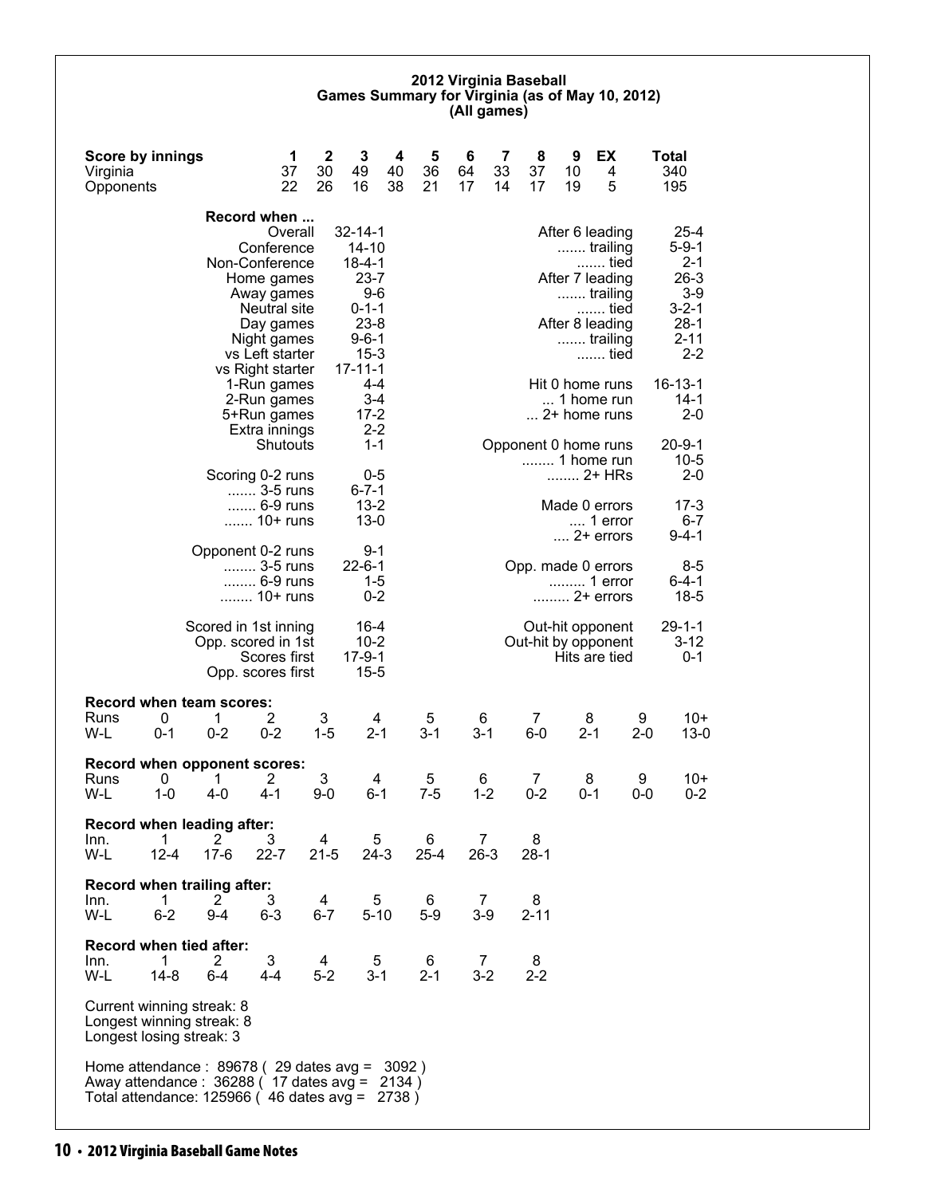#### **2012 Virginia Baseball Games Summary for Virginia (as of May 10, 2012) (All games)**

| Score by innings<br>Virginia<br>Opponents                                                                                                           |                                            | 1<br>37<br>22                                                                                    | $\mathbf 2$<br>30<br>26 | 3<br>49<br>16                                                                              | 4<br>40<br>38 | 5<br>36<br>21 | 6<br>64<br>17 | 7<br>33<br>14 | 8<br>37<br>17        | 9<br>10<br>19 | EX<br>4<br>5                                                                                  |              | <b>Total</b><br>340<br>195                                                     |
|-----------------------------------------------------------------------------------------------------------------------------------------------------|--------------------------------------------|--------------------------------------------------------------------------------------------------|-------------------------|--------------------------------------------------------------------------------------------|---------------|---------------|---------------|---------------|----------------------|---------------|-----------------------------------------------------------------------------------------------|--------------|--------------------------------------------------------------------------------|
|                                                                                                                                                     |                                            | Record when                                                                                      |                         |                                                                                            |               |               |               |               |                      |               |                                                                                               |              |                                                                                |
|                                                                                                                                                     |                                            | Overall<br>Conference<br>Non-Conference<br>Home games<br>Away games<br>Neutral site<br>Day games |                         | $32 - 14 - 1$<br>$14 - 10$<br>$18 - 4 - 1$<br>$23 - 7$<br>$9-6$<br>$0 - 1 - 1$<br>$23 - 8$ |               |               |               |               |                      |               | After 6 leading<br>trailing<br>tied<br>After 7 leading<br>trailing<br>tied<br>After 8 leading |              | $25 - 4$<br>$5 - 9 - 1$<br>$2 - 1$<br>$26-3$<br>$3-9$<br>$3 - 2 - 1$<br>$28-1$ |
|                                                                                                                                                     |                                            | Night games<br>vs Left starter<br>vs Right starter                                               |                         | $9 - 6 - 1$<br>$15 - 3$<br>$17 - 11 - 1$                                                   |               |               |               |               |                      |               | trailing<br>tied                                                                              |              | $2 - 11$<br>$2 - 2$                                                            |
|                                                                                                                                                     |                                            | 1-Run games<br>2-Run games<br>5+Run games<br>Extra innings                                       |                         | 4-4<br>$3-4$<br>$17 - 2$<br>$2 - 2$                                                        |               |               |               |               |                      |               | Hit 0 home runs<br>1 home run<br>$\dots$ 2+ home runs                                         |              | $16 - 13 - 1$<br>$14-1$<br>$2 - 0$                                             |
|                                                                                                                                                     |                                            | Shutouts<br>Scoring 0-2 runs                                                                     |                         | $1 - 1$<br>0-5                                                                             |               |               |               |               | Opponent 0 home runs |               | 1 home run<br>2+ HRs                                                                          |              | $20 - 9 - 1$<br>$10 - 5$<br>$2 - 0$                                            |
|                                                                                                                                                     |                                            | 3-5 runs<br>6-9 runs<br>10+ runs                                                                 |                         | $6 - 7 - 1$<br>$13 - 2$<br>$13-0$                                                          |               |               |               |               |                      |               | Made 0 errors<br>1 error<br>$\dots$ 2+ errors                                                 |              | 17-3<br>$6 - 7$<br>9-4-1                                                       |
|                                                                                                                                                     | Opponent 0-2 runs                          | 3-5 runs<br>6-9 runs<br>10+ runs                                                                 |                         | 9-1<br>$22 - 6 - 1$<br>$1 - 5$<br>$0 - 2$                                                  |               |               |               |               | Opp. made 0 errors   |               | 1 error<br>2+ errors                                                                          |              | 8-5<br>$6 - 4 - 1$<br>$18 - 5$                                                 |
|                                                                                                                                                     | Scored in 1st inning<br>Opp. scored in 1st | Scores first<br>Opp. scores first                                                                |                         | $16 - 4$<br>$10 - 2$<br>$17 - 9 - 1$<br>$15 - 5$                                           |               |               |               |               | Out-hit by opponent  |               | Out-hit opponent<br>Hits are tied                                                             |              | 29-1-1<br>$3 - 12$<br>$0 - 1$                                                  |
| <b>Record when team scores:</b><br>0<br>Runs<br>W-L<br>0-1                                                                                          | 1<br>$0 - 2$                               | 2<br>$0 - 2$                                                                                     | 3<br>$1 - 5$            | 4<br>$2 - 1$                                                                               |               | 5<br>$3 - 1$  | $3 - 1$       | 6             | 7<br>$6-0$           |               | 8<br>$2 - 1$                                                                                  | 9<br>$2 - 0$ | $10+$<br>$13 - 0$                                                              |
| Record when opponent scores:<br>0<br>Runs<br>W-L<br>$1 - 0$                                                                                         | 1<br>4-0                                   | 2<br>$4 - 1$                                                                                     | 3<br>$9-0$              | 4<br>6-1                                                                                   |               | 5<br>$7 - 5$  |               | 6<br>$1 - 2$  | 7<br>$0 - 2$         |               | 8<br>0-1                                                                                      | 9<br>0-0     | $10+$<br>$0 - 2$                                                               |
| Record when leading after:<br>$\mathbf 1$<br>Inn.<br>W-L<br>$12 - 4$                                                                                | $\overline{2}$<br>$17-6$                   | 3<br>$22 - 7$                                                                                    | 4<br>$21 - 5$           | 5<br>$24-3$                                                                                |               | 6<br>$25 - 4$ |               | 7<br>$26-3$   | 8<br>$28-1$          |               |                                                                                               |              |                                                                                |
| Record when trailing after:<br>Inn.<br>1<br>W-L<br>$6 - 2$                                                                                          | 2<br>9-4                                   | 3<br>$6 - 3$                                                                                     | 4<br>6-7                | 5<br>$5 - 10$                                                                              |               | 6<br>$5-9$    |               | 7<br>$3-9$    | 8<br>$2 - 11$        |               |                                                                                               |              |                                                                                |
| Record when tied after:<br>Inn.<br>1<br>W-L<br>14-8                                                                                                 | $\mathbf{2}^{\prime}$<br>$6 - 4$           | 3<br>4-4                                                                                         | 4<br>$5-2$              | 5<br>$3 - 1$                                                                               |               | 6<br>$2 - 1$  |               | 7<br>$3 - 2$  | 8<br>$2 - 2$         |               |                                                                                               |              |                                                                                |
| Current winning streak: 8<br>Longest winning streak: 8<br>Longest losing streak: 3                                                                  |                                            |                                                                                                  |                         |                                                                                            |               |               |               |               |                      |               |                                                                                               |              |                                                                                |
| Home attendance : $89678$ (29 dates avg = 3092)<br>Away attendance: 36288 ( 17 dates avg = 2134 )<br>Total attendance: 125966 (46 dates avg = 2738) |                                            |                                                                                                  |                         |                                                                                            |               |               |               |               |                      |               |                                                                                               |              |                                                                                |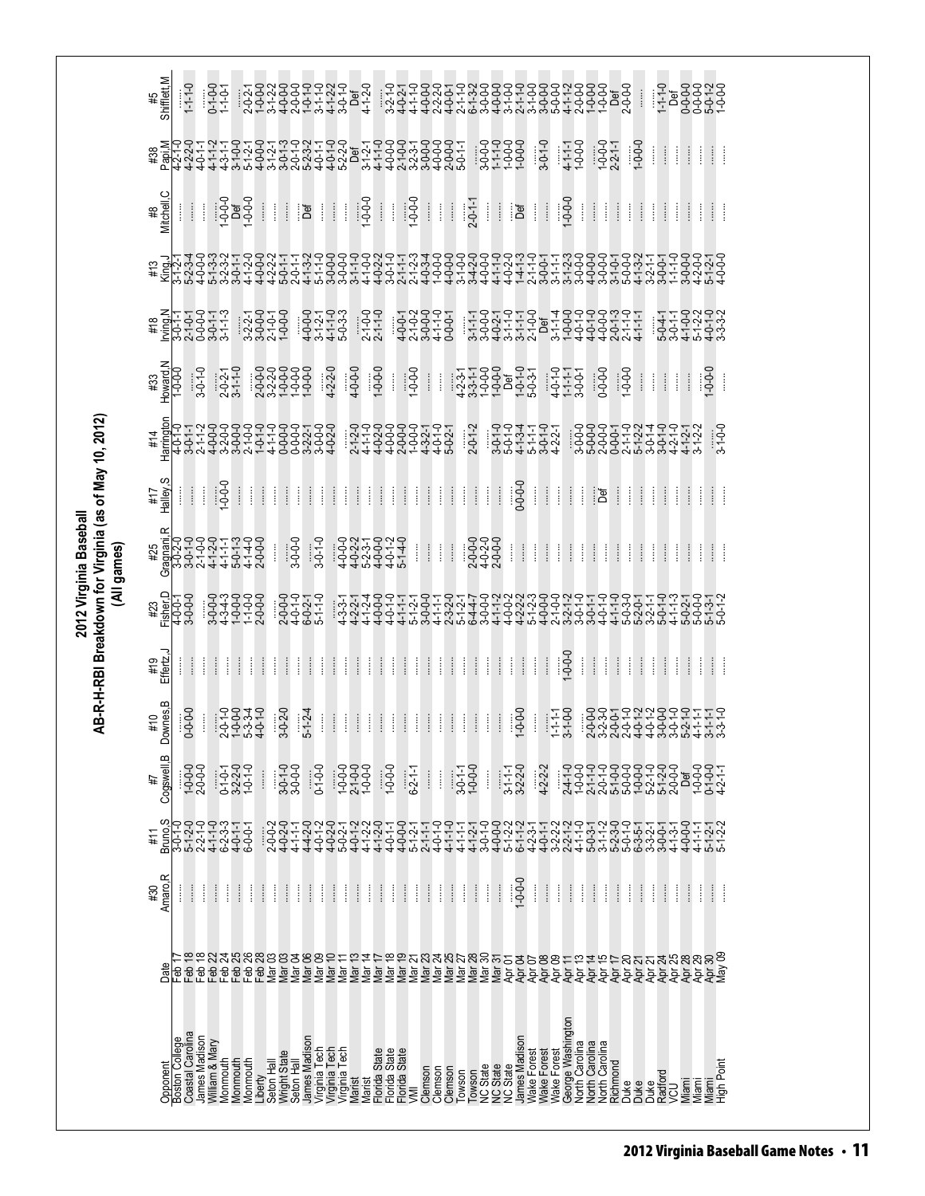| Amaro, R<br>$1 - 0 - 0 - 0$<br>$\vdots$<br>ļ<br>$\frac{1}{2}$<br>$\vdots$<br>ł<br>ļ<br>ļ<br>$\frac{1}{2}$<br>İ<br>$\begin{array}{c} \vdots \\ \vdots \\ \vdots \end{array}$<br>ł<br>ł<br>$\begin{array}{c} \vdots \\ \vdots \\ \vdots \end{array}$<br>ļ<br>$\vdots$<br>ļ<br>$\frac{1}{2}$<br>ļ<br>$\frac{1}{2}$<br>ł<br>ĺ<br>ļ<br>ł<br>$\vdots$<br>ļ<br>ļ<br>ļ<br>$\vdots$<br>$\vdots$<br>ļ<br>İ<br>ł<br>$\vdots$<br>Î<br>$\begin{array}{c} \vdots \\ \vdots \\ \vdots \end{array}$<br>$\frac{1}{2}$<br>$\vdots$<br>ļ<br>$\vdots$<br>Î<br>Î<br>ĺ<br>#30 |
|---------------------------------------------------------------------------------------------------------------------------------------------------------------------------------------------------------------------------------------------------------------------------------------------------------------------------------------------------------------------------------------------------------------------------------------------------------------------------------------------------------------------------------------------------------|
|                                                                                                                                                                                                                                                                                                                                                                                                                                                                                                                                                         |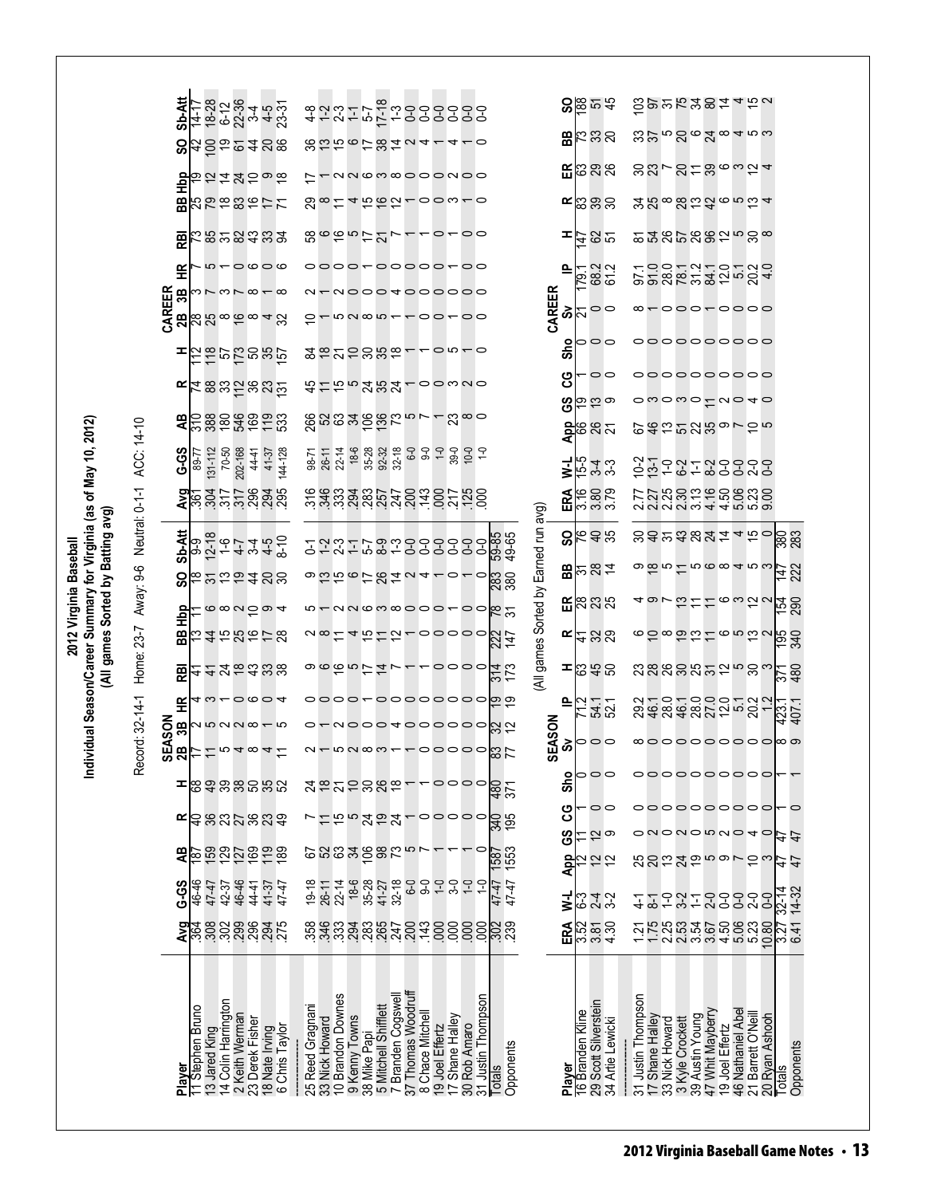|                                                                                                                                    | Neutral: 0-1-1 ACC: 14-10               | Sb-Att<br>င္တ<br>흉<br>æ<br>霞<br>또<br>CAREER<br>2B<br>3B<br>œ<br>੩<br><b>G-5</b><br>Sb-Att | 89-77                               | $131 - 112$<br>70-50                 | 202-168        | 44-41           | 1417<br>1828 4<br>1428 4531<br>1432<br>われれわった<br>ありはいのサイ<br>$m \leftarrow \circ \circ \circ \circ$<br>$m \wedge m \wedge m \wedge m$<br>85866848<br>ន្តនានក្នុងគ្ន<br><u>ដននងក៏ននង់</u><br><u>ក្ខិន្ធទី មិន ដូច</u><br>144-128<br>41-37<br>25575838<br><b>o</b> ch – 4 w 4 %<br>o 4 w 4 w 6<br>o 4 w 4 w 6 | 98-71        | 26-11<br>22-14<br>25              |                   | 8006678424110<br>NNGM@OOONOO<br>4565-00w-0<br>8665777<br>oooo~ooooo~oo<br>- NOOO 4000000<br>$m \alpha \omega$<br><b>2825888--00-0</b><br>おけちょみなみ100320<br><u> និងនិងទិន្និដែល - - ដឹល </u><br>$18-6$<br>35-28<br><u>ទ័ង្គប្លួងប្លួបដុទ្ធស្នូដុទ្ធ</u><br>ក្នុងប្លួងប្លូបដុទ្ធដូច ដុទ្ធ | $92 - 32$<br>$32 - 18$                  |                                        |                                  | $-0-00$<br>$\sim$ 00 $\sim$ 00 |                                                |                    | 59-85<br>49-65                                                                                                                                                  | CAREER                                              | ᆍ<br>으<br>စဲ<br>۰<br>ౚఀ<br>ပ္ပ<br>ဖိ<br>₹<br>ERA  | Ń                | 38.58<br>$B_0$ $B_0$ $B_0$ $B_0$<br>$E \otimes \otimes \otimes$<br>$\mathbf{K}$ တ္တြင္လည္<br>79.2<br>68.2<br>61.2<br>00<br>00<br>စ္ပြားတ<br><mark>ខ្</mark> នួន ន $\bar{\kappa}$<br>543<br>543<br>6000<br>1000<br>8648 |                    | $10 - 7$        |                    |                                    |                  | $\overleftarrow{\mathrm{5}}$ gyy $\mathrm{K}$ xg $\overleftarrow{\mathrm{5}}$ 4 $\overleftarrow{\mathrm{5}}$ a<br><u>జజాదింభం4నల</u><br><u>౫</u> य़ᢁয়৽ঽড়৽ড়<br>ຘౘౘౕ៲ౘౘౙ౽౻ౙ<br>១១១៥ ១៥ ១១ ១១ ១ ១<br>ooooooooo<br>000000000<br>owowotuo40<br>のおおいみあってかる<br>22729999<br>てておかれるのの<br>ことにおいます。<br>ことには、それは<br>sarasza <sub>450</sub><br>ၜၹႍၑႜ႞ႍၑၜၜၧႍၑၑ | 88                                                                                                                                         |           |
|------------------------------------------------------------------------------------------------------------------------------------|-----------------------------------------|-------------------------------------------------------------------------------------------|-------------------------------------|--------------------------------------|----------------|-----------------|------------------------------------------------------------------------------------------------------------------------------------------------------------------------------------------------------------------------------------------------------------------------------------------------------------|--------------|-----------------------------------|-------------------|----------------------------------------------------------------------------------------------------------------------------------------------------------------------------------------------------------------------------------------------------------------------------------------|-----------------------------------------|----------------------------------------|----------------------------------|--------------------------------|------------------------------------------------|--------------------|-----------------------------------------------------------------------------------------------------------------------------------------------------------------|-----------------------------------------------------|---------------------------------------------------|------------------|------------------------------------------------------------------------------------------------------------------------------------------------------------------------------------------------------------------------|--------------------|-----------------|--------------------|------------------------------------|------------------|-----------------------------------------------------------------------------------------------------------------------------------------------------------------------------------------------------------------------------------------------------------------------------------------------------------------------------------------------------|--------------------------------------------------------------------------------------------------------------------------------------------|-----------|
| vidual Season/Career Summary for Virginia (as of May 10, 2012)<br>(All games Sorted by Batting avg)<br>2012 Virginia Baseball<br>횯 | Home: 23-7 Away: 9-6<br>Record: 32-14-1 | င္တ<br>88<br>盈<br>똪<br>ន្តិធ<br>يز<br>بيا به<br>U)<br>≃<br>æ<br>G-S<br>Avg                | <b>ᅗᡰ</b> ᆇᇛᇮᇬᅌᅠᇰᇰ <i></i><br>46-46 | 47-47<br>42-37                       | 46-46          | 44-41           | <u> ㅎ ㅎ ㅎ ㅎ ㅎ ㅎ ㅎ</u><br>13458678<br>れれなるおお<br>4 w - 0 0 0 4<br>  2520<br>ドロロューロ<br>≖జఞిజిజి౭ినబ<br>ទ្ធន្លុក្កូន្លង្វ<br>878978998<br>41-37<br>47-47<br>ង្គ្រីខ្លួខ្លួខ្លួខ្លួខ្លួង <u>ដ</u>                                                                                                               | $19 - 18$    | ನೆ¤ನ<br>$26 - 11$                 | $22 - 14$         | BZZU4LOLO<br>0000000000000<br>o o o o - - 1 z d o o o o<br>°°0000000000<br>ម្នួងខ្នង<br>និងខ្លួងខ្លួនដ<br>18-6<br>35-28<br>sa sa sa santa 2000                                                                                                                                         | 41-27<br>32-18                          | ഥ<br>$6-0$                             |                                  | 0000<br>-00000<br>$-6 - 0$     | 222                                            |                    | 280<br>$\frac{8}{2}$<br>$\frac{314}{173}$<br><u>စ စ</u><br><u>o-uooo4000000000</u><br>82<br>2월<br>$\frac{40}{35}$<br>1587<br>1553<br>47-47<br>47-47<br>88<br>88 | (All games Sorted by Earned run avg)<br>EASON<br>UJ | ᆂ<br>≙<br>စိ<br>Sho<br>ပ<br>39<br>App<br>₹<br>ERA | ္ယ               | $B \approx 24$<br><b>E</b> 235<br>$\mathbf{K}$ $\approx$ $\approx$ $\approx$<br>នៃ#ន<br>711<br>541<br>521<br>000<br>000<br>$\circ$<br><u>ာ</u> စ<br>≚′22<br>22<br>24<br>8<br>858<br>004                                | ನಿ<br>7            | $\overline{8}$  | <u> 우 8</u><br>구 3 | $\overline{1}$                     | $0 - 0$          | <b>497</b> G776322<br>6080016502<br>ຌຌຌຘຌຘ຺ຌ຺຺ຨ຺<br>00100110012<br>0000110012<br>∞ㅇㅇㅇㅇㅇㅇㅇㅇㅇ <mark>∞</mark> ∞<br>000000000<br>000000000<br>onononno4c<br>12425570<br>8888<br>កក្តួបល្អូងចូលទីយួន<br>វីដ្ឋានជាមួយទីនឹងទី                                                                                                                              | 147<br>222<br>$\frac{154}{290}$<br><u>əsə</u><br>양설<br>423.1<br>407.1<br>47<br>47<br>47<br>47<br>$\frac{32.14}{14.32}$<br>$\frac{25}{641}$ |           |
|                                                                                                                                    |                                         | Player                                                                                    | Stephen Bruno                       | 14 Colin Harrington<br>13 Jared King | 2 Keith Werman | 23 Derek Fisher | 18 Nate Irving<br>6 Chris Taylor                                                                                                                                                                                                                                                                           | Reed Gragnan | 25 Reed Gragnai<br>33 Nick Howard | 10 Brandon Downes | 9 Kenny Towns<br>38 Mike Papi                                                                                                                                                                                                                                                          | 5 Mitchell Shifflett<br>7 Branden Cogsw | 37 Thomas Woodruff<br>Branden Cogswell | <b>Chace Mitchel</b><br>$\infty$ | 19 Joel Effertz                | Shane Halley<br>30 Rob Amaro<br>$\overline{1}$ | 31 Justin Thompson | Opponents<br>Totals                                                                                                                                             |                                                     | Player                                            | 16 Branden Kline | 29 Scott Silverstein<br>34 Artie Lewicki                                                                                                                                                                               | 31 Justin Thompson | 17 Shane Halley | 33 Nick Howard     | 3 Kyle Crockett<br>39 Austin Young | 47 Whit Mayberry | 19 Joel Effertz<br>46 Nathaniel Abel<br>21 Barrett O'Neill<br>20 Ryan Ashooh                                                                                                                                                                                                                                                                        | Totals                                                                                                                                     | Opponents |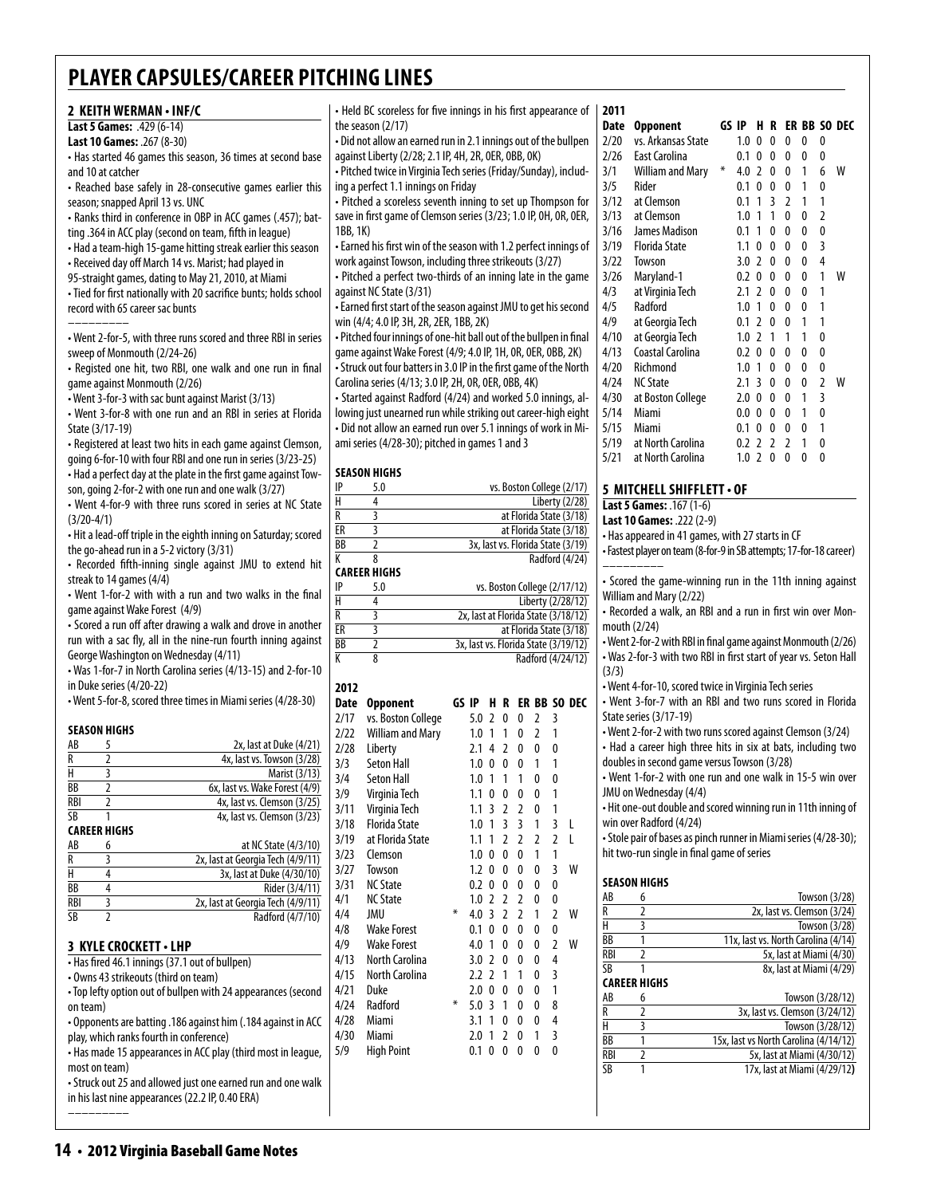| 2 KEITH WERMAN . INF/C                                                                                                                                                                                                                                                                                      | • Held BC scoreless for five innings in his first appearance of              | 2011                                                                       |
|-------------------------------------------------------------------------------------------------------------------------------------------------------------------------------------------------------------------------------------------------------------------------------------------------------------|------------------------------------------------------------------------------|----------------------------------------------------------------------------|
| Last 5 Games: .429 (6-14)                                                                                                                                                                                                                                                                                   | the season (2/17)                                                            | Date Opponent<br>GS IP H R ER BB SO DEC                                    |
| Last 10 Games: .267 (8-30)                                                                                                                                                                                                                                                                                  | • Did not allow an earned run in 2.1 innings out of the bullpen              | 2/20<br>vs. Arkansas State<br>1.0 0 0 0 0 0                                |
| • Has started 46 games this season, 36 times at second base                                                                                                                                                                                                                                                 | against Liberty (2/28; 2.1 IP, 4H, 2R, 0ER, 0BB, 0K)                         | 2/26<br><b>East Carolina</b><br>0.1 0 0 0 0 0                              |
| and 10 at catcher                                                                                                                                                                                                                                                                                           | - Pitched twice in Virginia Tech series (Friday/Sunday), includ-             | William and Mary *<br>6 W<br>3/1<br>4.0 2 0 0 1                            |
| • Reached base safely in 28-consecutive games earlier this                                                                                                                                                                                                                                                  | ing a perfect 1.1 innings on Friday                                          | 3/5<br>0.1 0 0 0 1<br>$\mathbf{0}$<br>Rider                                |
| season; snapped April 13 vs. UNC                                                                                                                                                                                                                                                                            | • Pitched a scoreless seventh inning to set up Thompson for                  | 3/12<br>at Clemson<br>0.1 1 3 2 1 1                                        |
|                                                                                                                                                                                                                                                                                                             | save in first game of Clemson series (3/23; 1.0 IP, OH, OR, OER,             | at Clemson<br>3/13<br>$1.0$ 1 1 0 0<br>$\overline{2}$                      |
| - Ranks third in conference in OBP in ACC games (.457); bat-                                                                                                                                                                                                                                                |                                                                              |                                                                            |
| ting .364 in ACC play (second on team, fifth in league)                                                                                                                                                                                                                                                     | 1BB, 1K)                                                                     | 3/16<br>James Madison<br>0.1 1 0<br>$0\quad 0$<br>$\overline{\phantom{0}}$ |
| • Had a team-high 15-game hitting streak earlier this season                                                                                                                                                                                                                                                | • Earned his first win of the season with 1.2 perfect innings of             | 3/19<br><b>Florida State</b><br>1.1 0 0 0 0 3                              |
| • Received day off March 14 vs. Marist; had played in                                                                                                                                                                                                                                                       | work against Towson, including three strikeouts (3/27)                       | 3/22<br>Towson<br>3.0 2 0 0 0<br>$\overline{4}$                            |
| 95-straight games, dating to May 21, 2010, at Miami                                                                                                                                                                                                                                                         | • Pitched a perfect two-thirds of an inning late in the game                 | 3/26<br>Maryland-1<br>0.2 0 0 0 0<br>1 W                                   |
| • Tied for first nationally with 20 sacrifice bunts; holds school                                                                                                                                                                                                                                           | against NC State (3/31)                                                      | 4/3<br>at Virginia Tech<br>2.1 2 0 0 0 1                                   |
| record with 65 career sac bunts                                                                                                                                                                                                                                                                             | • Earned first start of the season against JMU to get his second             | 4/5<br>Radford<br>1.0 1 0 0 0 1                                            |
|                                                                                                                                                                                                                                                                                                             | win (4/4; 4.0 IP, 3H, 2R, 2ER, 1BB, 2K)                                      | 4/9<br>at Georgia Tech<br>0.1 2 0 0 1 1                                    |
| • Went 2-for-5, with three runs scored and three RBI in series                                                                                                                                                                                                                                              | • Pitched four innings of one-hit ball out of the bullpen in final           | 4/10<br>at Georgia Tech<br>$1.0$ 2 1 1 1 0                                 |
| sweep of Monmouth (2/24-26)                                                                                                                                                                                                                                                                                 | game against Wake Forest (4/9; 4.0 IP, 1H, 0R, 0ER, 0BB, 2K)                 | 4/13<br>Coastal Carolina<br>0.2 0 0 0 0<br>$\mathbf{0}$                    |
| • Registed one hit, two RBI, one walk and one run in final                                                                                                                                                                                                                                                  | • Struck out four batters in 3.0 IP in the first game of the North           | 4/20<br>$\mathbf 0$<br>Richmond<br>1.0 1 0 0 0                             |
| game against Monmouth (2/26)                                                                                                                                                                                                                                                                                | Carolina series (4/13; 3.0 IP, 2H, 0R, 0ER, 0BB, 4K)                         | 2.1 3 0 0 0 2 W<br>4/24<br><b>NC State</b>                                 |
|                                                                                                                                                                                                                                                                                                             | • Started against Radford (4/24) and worked 5.0 innings, al-                 | 4/30<br>at Boston College<br>2.0 0 0 0 1 3                                 |
| • Went 3-for-3 with sac bunt against Marist (3/13)                                                                                                                                                                                                                                                          |                                                                              | 0.0 0 0 0 1 0                                                              |
| • Went 3-for-8 with one run and an RBI in series at Florida                                                                                                                                                                                                                                                 | lowing just unearned run while striking out career-high eight                | 5/14<br>Miami                                                              |
| State (3/17-19)                                                                                                                                                                                                                                                                                             | - Did not allow an earned run over 5.1 innings of work in Mi-                | 5/15<br>Miami<br>0.1 0 0 0 0 1                                             |
| • Registered at least two hits in each game against Clemson,                                                                                                                                                                                                                                                | ami series (4/28-30); pitched in games 1 and 3                               | 5/19<br>at North Carolina<br>0.2 2 2 2 1 0                                 |
| going 6-for-10 with four RBI and one run in series (3/23-25)                                                                                                                                                                                                                                                |                                                                              | 5/21<br>at North Carolina<br>1.020000                                      |
| - Had a perfect day at the plate in the first game against Tow-                                                                                                                                                                                                                                             | <b>SEASON HIGHS</b>                                                          |                                                                            |
| son, going 2-for-2 with one run and one walk (3/27)                                                                                                                                                                                                                                                         | IP<br>5.0<br>vs. Boston College (2/17)                                       | 5 MITCHELL SHIFFLETT . OF                                                  |
| • Went 4-for-9 with three runs scored in series at NC State                                                                                                                                                                                                                                                 | $\overline{H}$<br>4<br>Liberty (2/28)                                        | Last 5 Games: . 167 (1-6)                                                  |
| $(3/20-4/1)$                                                                                                                                                                                                                                                                                                | $\overline{R}$<br>$\overline{3}$<br>at Florida State (3/18)                  | Last 10 Games: .222 (2-9)                                                  |
| • Hit a lead-off triple in the eighth inning on Saturday; scored                                                                                                                                                                                                                                            | $\overline{\overline{3}}$<br>ER<br>at Florida State (3/18)                   | • Has appeared in 41 games, with 27 starts in CF                           |
| the go-ahead run in a 5-2 victory (3/31)                                                                                                                                                                                                                                                                    | $\overline{BB}$<br>$\overline{2}$<br>3x, last vs. Florida State (3/19)       |                                                                            |
| • Recorded fifth-inning single against JMU to extend hit                                                                                                                                                                                                                                                    | К<br>$\overline{\mathbf{8}}$<br>Radford (4/24)                               | • Fastest player on team (8-for-9 in SB attempts; 17-for-18 career)        |
|                                                                                                                                                                                                                                                                                                             | <b>CAREER HIGHS</b>                                                          |                                                                            |
| streak to 14 games (4/4)                                                                                                                                                                                                                                                                                    | vs. Boston College (2/17/12)<br>IP<br>5.0                                    | • Scored the game-winning run in the 11th inning against                   |
| • Went 1-for-2 with with a run and two walks in the final                                                                                                                                                                                                                                                   | $\overline{H}$<br>$\overline{4}$<br>Liberty (2/28/12)                        | William and Mary (2/22)                                                    |
| game against Wake Forest (4/9)                                                                                                                                                                                                                                                                              | $\overline{R}$<br>$\overline{3}$<br>2x, last at Florida State (3/18/12)      | • Recorded a walk, an RBI and a run in first win over Mon-                 |
| • Scored a run off after drawing a walk and drove in another                                                                                                                                                                                                                                                | $\overline{\text{ER}}$<br>$\overline{\mathbf{3}}$<br>at Florida State (3/18) | mouth (2/24)                                                               |
| run with a sac fly, all in the nine-run fourth inning against                                                                                                                                                                                                                                               | $\overline{BB}$<br>$\overline{2}$<br>3x, last vs. Florida State (3/19/12)    | • Went 2-for-2 with RBI in final game against Monmouth (2/26)              |
| George Washington on Wednesday (4/11)                                                                                                                                                                                                                                                                       | $\overline{\mathsf{K}}$<br>$\overline{8}$<br>Radford (4/24/12)               | . Was 2-for-3 with two RBI in first start of year vs. Seton Hall           |
| • Was 1-for-7 in North Carolina series (4/13-15) and 2-for-10                                                                                                                                                                                                                                               |                                                                              | (3/3)                                                                      |
| in Duke series (4/20-22)                                                                                                                                                                                                                                                                                    | 2012                                                                         | • Went 4-for-10, scored twice in Virginia Tech series                      |
| • Went 5-for-8, scored three times in Miami series (4/28-30)                                                                                                                                                                                                                                                | Date Opponent<br>GS IP H R ER BB SO DEC                                      | • Went 3-for-7 with an RBI and two runs scored in Florida                  |
|                                                                                                                                                                                                                                                                                                             |                                                                              | State series (3/17-19)                                                     |
| <b>SEASON HIGHS</b>                                                                                                                                                                                                                                                                                         | vs. Boston College<br>2/17<br>5.0 2 0 0 2 3                                  |                                                                            |
| 5<br>2x, last at Duke (4/21)<br>AB                                                                                                                                                                                                                                                                          | <b>William and Mary</b><br>2/22<br>$1.0$ 1 1 0 2 1                           | • Went 2-for-2 with two runs scored against Clemson (3/24)                 |
| $\overline{2}$<br>R<br>4x, last vs. Towson (3/28)                                                                                                                                                                                                                                                           | 2/28<br>Liberty<br>2.1 4 2 0 0 0                                             | • Had a career high three hits in six at bats, including two               |
| $\overline{H}$                                                                                                                                                                                                                                                                                              | 3/3<br><b>Seton Hall</b><br>1.0 0 0 0 1 1                                    | doubles in second game versus Towson (3/28)                                |
| $\overline{\mathbf{3}}$<br>Marist (3/13)                                                                                                                                                                                                                                                                    | 3/4<br>Seton Hall<br>1.0 1 1 1 0<br>$\boldsymbol{0}$                         | • Went 1-for-2 with one run and one walk in 15-5 win over                  |
| $\overline{BB}$<br>6x, last vs. Wake Forest (4/9)<br>$\overline{2}$                                                                                                                                                                                                                                         | 3/9<br>Virginia Tech<br>1.1 0 0 0 0<br>$\overline{1}$                        | JMU on Wednesday (4/4)                                                     |
| <b>RBI</b><br>$\overline{2}$<br>4x, last vs. Clemson (3/25)                                                                                                                                                                                                                                                 | 3/11<br>Virginia Tech<br>$1.1$ 3 2 2 0<br>$\mathbf{1}$                       | • Hit one-out double and scored winning run in 11th inning of              |
| SB<br>4x, last vs. Clemson (3/23)                                                                                                                                                                                                                                                                           | 3/18<br><b>Florida State</b><br>$1.0$ 1 3 3 1<br>3 <sub>l</sub>              | win over Radford (4/24)                                                    |
| <b>CAREER HIGHS</b>                                                                                                                                                                                                                                                                                         | 3/19<br>at Florida State<br>$1.1$ 1 2 2 2<br>2 L                             | • Stole pair of bases as pinch runner in Miami series (4/28-30);           |
| at NC State (4/3/10)<br>AB<br>6                                                                                                                                                                                                                                                                             | Clemson<br>$\mathbf{1}$                                                      | hit two-run single in final game of series                                 |
| 2x, last at Georgia Tech (4/9/11)<br>3<br>R<br>Η                                                                                                                                                                                                                                                            | 3/23<br>1.0 0 0 0 1                                                          |                                                                            |
| 4<br>3x, last at Duke (4/30/10)                                                                                                                                                                                                                                                                             | W<br>3/27<br>Towson<br>$1.2$ 0 0 0 0<br>3                                    | <b>SEASON HIGHS</b>                                                        |
| <b>BB</b><br>4<br>Rider (3/4/11)                                                                                                                                                                                                                                                                            | <b>NC State</b><br>$\mathbf 0$<br>3/31<br>0.2 0 0 0 0                        |                                                                            |
| <b>RBI</b><br>3<br>2x, last at Georgia Tech (4/9/11)                                                                                                                                                                                                                                                        | <b>NC State</b><br>$1.0$ 2 2 2 0<br>4/1<br>0                                 | Towson $(3/28)$<br>AB<br>6                                                 |
| <b>SB</b><br>$\overline{2}$<br>Radford (4/7/10)                                                                                                                                                                                                                                                             | *<br>4.0 3 2 2 1 2 W<br>4/4<br>JMU                                           | $\overline{2}$<br>2x, last vs. Clemson (3/24)<br>R                         |
|                                                                                                                                                                                                                                                                                                             | 4/8<br><b>Wake Forest</b><br>0.1 0 0 0<br>$\mathbf 0$<br>0                   | $\overline{H}$<br>3<br>Towson (3/28)                                       |
| 3 KYLE CROCKETT · LHP                                                                                                                                                                                                                                                                                       | 4/9<br><b>Wake Forest</b><br>4.0 1 0 0 0<br>W<br>2                           | 11x, last vs. North Carolina (4/14)<br>BB<br>$\mathbf{1}$                  |
| • Has fired 46.1 innings (37.1 out of bullpen)                                                                                                                                                                                                                                                              | 4/13<br><b>North Carolina</b><br>$3.0$ 2 0 0<br>0<br>4                       | <b>RBI</b><br>$\overline{2}$<br>5x, last at Miami (4/30)                   |
| • Owns 43 strikeouts (third on team)                                                                                                                                                                                                                                                                        | 4/15<br>North Carolina<br>2.2 2 1 1 0 3                                      | <b>SB</b><br>8x, last at Miami (4/29)<br>1                                 |
|                                                                                                                                                                                                                                                                                                             | 4/21<br>Duke<br>$2.0 \t0 \t0 \t0 \t0$<br>$\overline{1}$                      | <b>CAREER HIGHS</b>                                                        |
| • Top lefty option out of bullpen with 24 appearances (second                                                                                                                                                                                                                                               | $\ast$                                                                       | Towson (3/28/12)<br>AB<br>6                                                |
| on team)                                                                                                                                                                                                                                                                                                    | 4/24<br>Radford<br>5.0 3 1 0 0<br>8                                          | $\overline{2}$<br>3x, last vs. Clemson (3/24/12)<br>R                      |
|                                                                                                                                                                                                                                                                                                             | 4/28<br>Miami<br>3.1 1 0 0<br>$\mathbf 0$<br>$\overline{4}$                  | $\overline{H}$<br>3<br>Towson (3/28/12)                                    |
|                                                                                                                                                                                                                                                                                                             | 4/30<br>Miami<br>2.0 1 2 0 1 3                                               | BB<br>15x, last vs North Carolina (4/14/12)<br>$\mathbf{1}$                |
|                                                                                                                                                                                                                                                                                                             |                                                                              |                                                                            |
|                                                                                                                                                                                                                                                                                                             | 5/9<br><b>High Point</b><br>0.1 0 0 0 0 0                                    |                                                                            |
|                                                                                                                                                                                                                                                                                                             |                                                                              | <b>RBI</b><br>$\overline{2}$<br>5x, last at Miami (4/30/12)                |
|                                                                                                                                                                                                                                                                                                             |                                                                              | $\overline{\text{SB}}$<br>$\mathbf{1}$<br>17x, last at Miami (4/29/12)     |
| Opponents are batting .186 against him (.184 against in ACC<br>play, which ranks fourth in conference)<br>• Has made 15 appearances in ACC play (third most in league,<br>most on team)<br>• Struck out 25 and allowed just one earned run and one walk<br>in his last nine appearances (22.2 IP, 0.40 ERA) |                                                                              |                                                                            |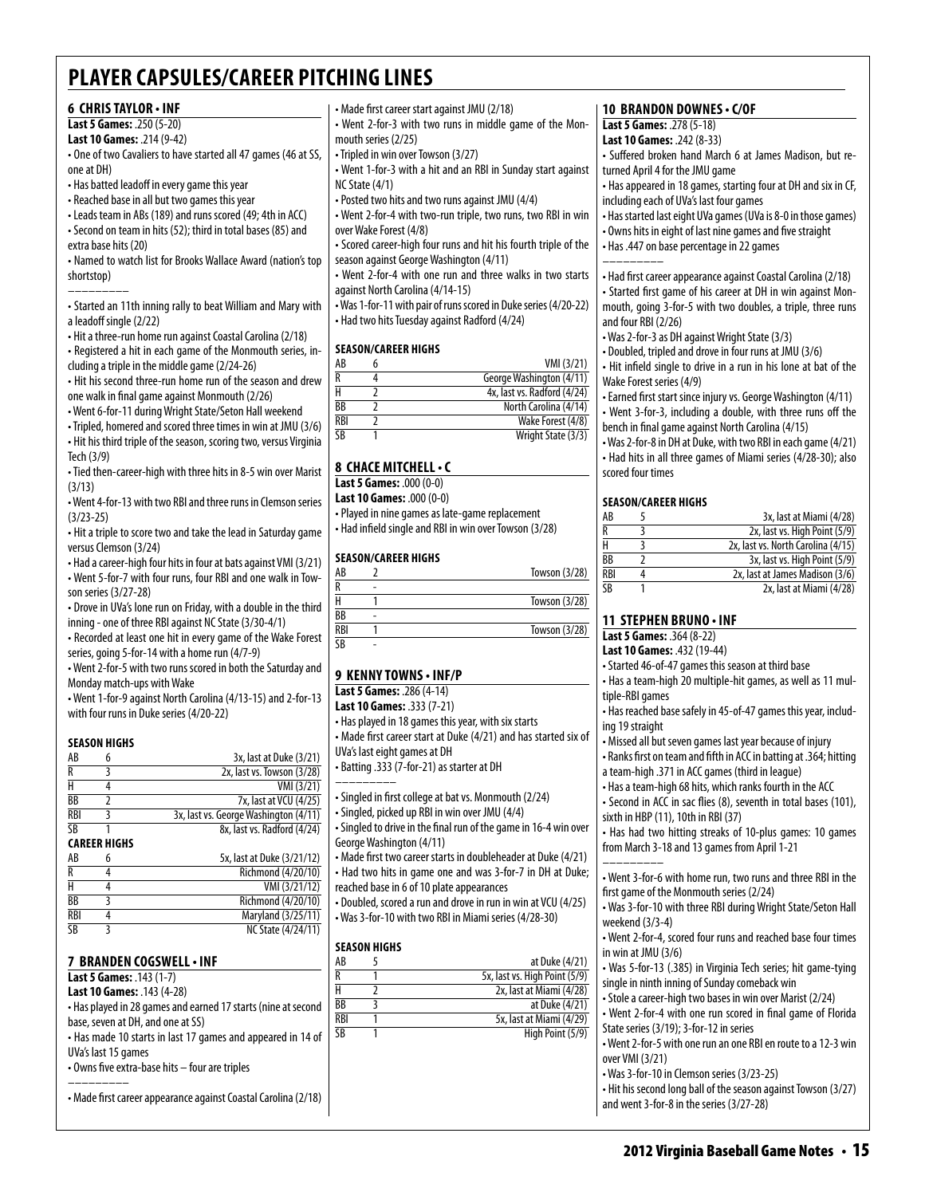### **6 Chris Taylor • INF**

### **Last 5 Games:** .250 (5-20)

**Last 10 Games:** .214 (9-42)

- One of two Cavaliers to have started all 47 games (46 at SS, one at DH)
- Has batted leadoff in every game this year
- Reached base in all but two games this year
- Leads team in ABs (189) and runs scored (49; 4th in ACC) • Second on team in hits (52); third in total bases (85) and extra base hits (20)

• Named to watch list for Brooks Wallace Award (nation's top shortstop)

––––––––– • Started an 11th inning rally to beat William and Mary with a leadoff single (2/22)

- Hit a three-run home run against Coastal Carolina (2/18)
- Registered a hit in each game of the Monmouth series, including a triple in the middle game (2/24-26)
- Hit his second three-run home run of the season and drew one walk in final game against Monmouth (2/26)

• Went 6-for-11 during Wright State/Seton Hall weekend

• Tripled, homered and scored three times in win at JMU (3/6)

• Hit his third triple of the season, scoring two, versus Virginia Tech (3/9)

• Tied then-career-high with three hits in 8-5 win over Marist (3/13)

• Went 4-for-13 with two RBI and three runs in Clemson series (3/23-25)

• Hit a triple to score two and take the lead in Saturday game versus Clemson (3/24)

• Had a career-high four hits in four at bats against VMI (3/21) • Went 5-for-7 with four runs, four RBI and one walk in Towson series (3/27-28)

• Drove in UVa's lone run on Friday, with a double in the third inning - one of three RBI against NC State (3/30-4/1)

• Recorded at least one hit in every game of the Wake Forest series, going 5-for-14 with a home run (4/7-9)

• Went 2-for-5 with two runs scored in both the Saturday and Monday match-ups with Wake

• Went 1-for-9 against North Carolina (4/13-15) and 2-for-13 with four runs in Duke series (4/20-22)

### **Season Highs**

| AB         | 3x, last at Duke (3/21)               |
|------------|---------------------------------------|
| R          | 2x, last vs. Towson (3/28)            |
|            | VMI (3/21)                            |
| BB         | 7x, last at VCU (4/25)                |
| <b>RBI</b> | 3x, last vs. George Washington (4/11) |
| <b>SB</b>  | 8x. last vs. Radford (4/24)           |

### **Career Highs**

| AB              | h | 5x, last at Duke (3/21/12) |
|-----------------|---|----------------------------|
| R               |   | Richmond (4/20/10)         |
| н               |   | VMI (3/21/12)              |
| BB              |   | Richmond (4/20/10)         |
| RBI             |   | Maryland (3/25/11)         |
| $\overline{SB}$ |   | <b>NC State (4/24/11)</b>  |

### **7 Branden Cogswell• INF**

**Last 5 Games:** .143 (1-7)

**Last 10 Games:** .143 (4-28)

• Has played in 28 games and earned 17 starts (nine at second base, seven at DH, and one at SS)

• Has made 10 starts in last 17 games and appeared in 14 of UVa's last 15 games

• Owns five extra-base hits – four are triples

––––––––– • Made first career appearance against Coastal Carolina (2/18) • Made first career start against JMU (2/18)

• Went 2-for-3 with two runs in middle game of the Monmouth series (2/25)

- Tripled in win over Towson (3/27)
- Went 1-for-3 with a hit and an RBI in Sunday start against NC State (4/1)
- Posted two hits and two runs against JMU (4/4)
- Went 2-for-4 with two-run triple, two runs, two RBI in win over Wake Forest (4/8)
- Scored career-high four runs and hit his fourth triple of the season against George Washington (4/11)

• Went 2-for-4 with one run and three walks in two starts against North Carolina (4/14-15)

• Was 1-for-11 with pair of runs scored in Duke series (4/20-22) • Had two hits Tuesday against Radford (4/24)

### **Season/Career Highs**

| AB              | VMI (3/21)                  |
|-----------------|-----------------------------|
|                 | George Washington (4/11)    |
|                 | 4x, last vs. Radford (4/24) |
| $\overline{BB}$ | North Carolina (4/14)       |
| RBI             | Wake Forest (4/8)           |
| ۲R              | Wright State (3/3)          |

### **8 chace mitchell• c**

**Last 5 Games:** .000 (0-0) **Last 10 Games:** .000 (0-0)

• Played in nine games as late-game replacement • Had infield single and RBI in win over Towson (3/28)

### **Season/career Highs**

| AB         |   | Towson $(3/28)$ |
|------------|---|-----------------|
|            |   |                 |
|            |   | Towson (3/28)   |
| <b>BB</b>  | ۰ |                 |
| <b>RBI</b> |   | Towson (3/28)   |
| CD         |   |                 |

### **9 Kenny towns • INF/P**

**Last 5 Games:** .286 (4-14)

**Last 10 Games:** .333 (7-21)

• Has played in 18 games this year, with six starts • Made first career start at Duke (4/21) and has started six of UVa's last eight games at DH

• Batting .333 (7-for-21) as starter at DH

–––––––––

- Singled in first college at bat vs. Monmouth (2/24)
- Singled, picked up RBI in win over JMU (4/4)
- Singled to drive in the final run of the game in 16-4 win over George Washington (4/11)

• Made first two career starts in doubleheader at Duke (4/21) • Had two hits in game one and was 3-for-7 in DH at Duke;

reached base in 6 of 10 plate appearances • Doubled, scored a run and drove in run in win at VCU (4/25)

• Was 3-for-10 with two RBI in Miami series (4/28-30)

### **Season Highs**

| AB         | at Duke (4/21)                |
|------------|-------------------------------|
|            | 5x, last vs. High Point (5/9) |
|            | 2x, last at Miami (4/28)      |
| ВB         | at Duke (4/21)                |
| <b>RBI</b> | 5x, last at Miami (4/29)      |
| ٢R         | High Point (5/9)              |

### **10 brandon downes • c/OF**

### **Last 5 Games:** .278 (5-18)

**Last 10 Games:** .242 (8-33)

• Suffered broken hand March 6 at James Madison, but returned April 4 for the JMU game

- Has appeared in 18 games, starting four at DH and six in CF, including each of UVa's last four games
- Has started last eight UVa games (UVa is 8-0 in those games)
- Owns hits in eight of last nine games and five straight
- Has .447 on base percentage in 22 games –––––––––

• Had first career appearance against Coastal Carolina (2/18)

• Started first game of his career at DH in win against Monmouth, going 3-for-5 with two doubles, a triple, three runs and four RBI (2/26)

- Was 2-for-3 as DH against Wright State (3/3)
- Doubled, tripled and drove in four runs at JMU (3/6)
- Hit infield single to drive in a run in his lone at bat of the Wake Forest series (4/9)

• Earned first start since injury vs. George Washington (4/11) • Went 3-for-3, including a double, with three runs off the bench in final game against North Carolina (4/15)

• Was 2-for-8 in DH at Duke, with two RBI in each game (4/21) • Had hits in all three games of Miami series (4/28-30); also scored four times

### **Season/Career Highs**

| AB         | 3x, last at Miami (4/28)           |
|------------|------------------------------------|
| R          | 2x, last vs. High Point (5/9)      |
| н          | 2x, last vs. North Carolina (4/15) |
| BB         | 3x, last vs. High Point (5/9)      |
| <b>RBI</b> | 2x, last at James Madison (3/6)    |
| ۲R         | 2x, last at Miami (4/28)           |

### **11 Stephen Bruno • INF**

### **Last 5 Games:** .364 (8-22)

**Last 10 Games:** .432 (19-44)

• Started 46-of-47 games this season at third base

• Has a team-high 20 multiple-hit games, as well as 11 multiple-RBI games

• Has reached base safely in 45-of-47 games this year, including 19 straight

• Missed all but seven games last year because of injury

• Ranks first on team and fifth in ACC in batting at .364; hitting a team-high .371 in ACC games (third in league)

• Has a team-high 68 hits, which ranks fourth in the ACC

• Second in ACC in sac flies (8), seventh in total bases (101), sixth in HBP (11), 10th in RBI (37)

• Has had two hitting streaks of 10-plus games: 10 games from March 3-18 and 13 games from April 1-21 –––––––––

• Went 3-for-6 with home run, two runs and three RBI in the first game of the Monmouth series (2/24)

• Was 3-for-10 with three RBI during Wright State/Seton Hall weekend (3/3-4)

• Went 2-for-4, scored four runs and reached base four times in win at JMU (3/6)

• Was 5-for-13 (.385) in Virginia Tech series; hit game-tying single in ninth inning of Sunday comeback win

• Stole a career-high two bases in win over Marist (2/24)

• Was 3-for-10 in Clemson series (3/23-25)

and went 3-for-8 in the series (3/27-28)

over VMI (3/21)

• Went 2-for-4 with one run scored in final game of Florida State series (3/19); 3-for-12 in series • Went 2-for-5 with one run an one RBI en route to a 12-3 win

• Hit his second long ball of the season against Towson (3/27)

2012 Virginia Baseball Game Notes • 15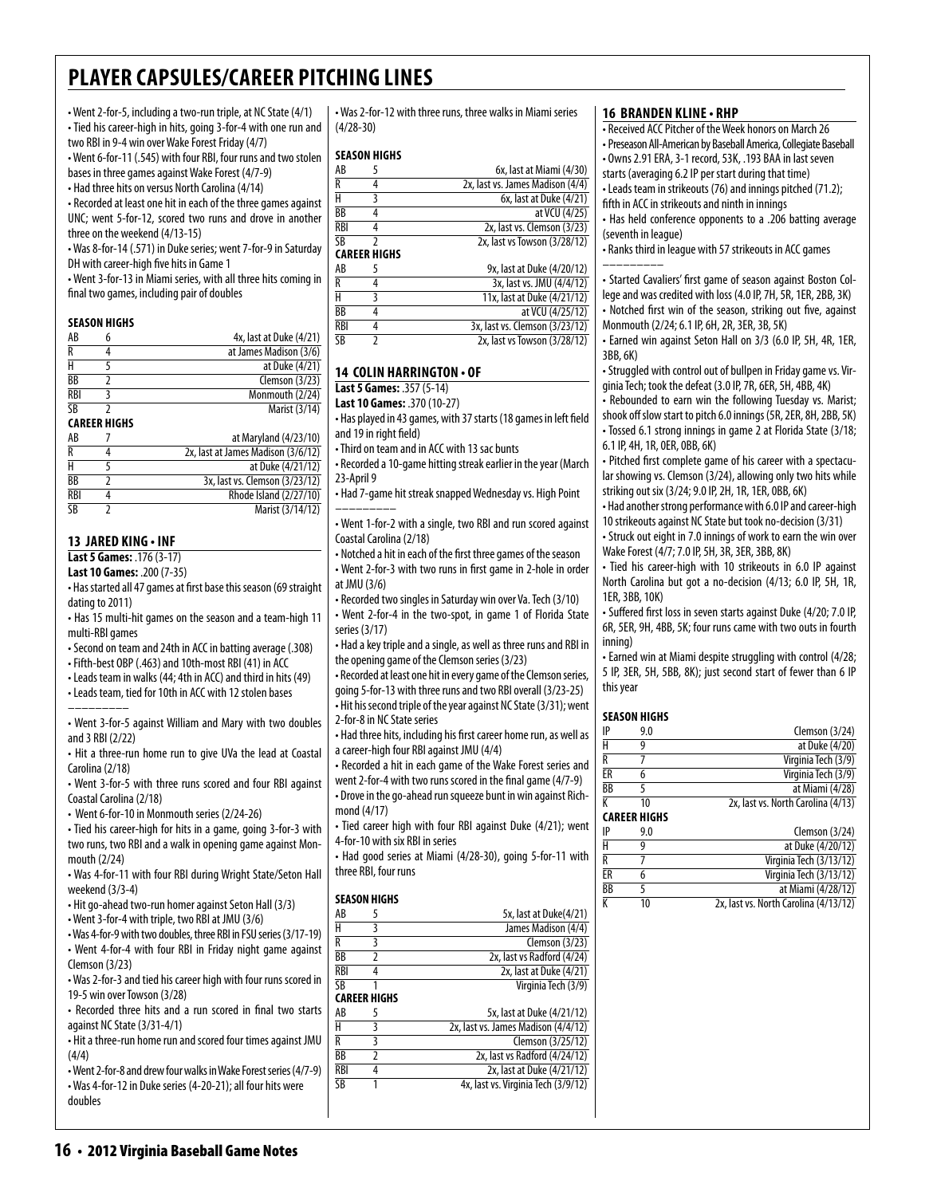• Went 2-for-5, including a two-run triple, at NC State (4/1) • Tied his career-high in hits, going 3-for-4 with one run and two RBI in 9-4 win over Wake Forest Friday (4/7)

• Went 6-for-11 (.545) with four RBI, four runs and two stolen bases in three games against Wake Forest (4/7-9)

• Had three hits on versus North Carolina (4/14)

• Recorded at least one hit in each of the three games against

UNC; went 5-for-12, scored two runs and drove in another three on the weekend (4/13-15)

• Was 8-for-14 (.571) in Duke series; went 7-for-9 in Saturday DH with career-high five hits in Game 1

• Went 3-for-13 in Miami series, with all three hits coming in final two games, including pair of doubles

### **Season Highs**

| 4x, last at Duke (4/21) |
|-------------------------|
| at James Madison (3/6)  |
| at Duke (4/21)          |
| Clemson (3/23)          |
| Monmouth (2/24)         |
| Marist (3/14)           |
|                         |

### **Career Highs**

| AB              | at Maryland (4/23/10)              |
|-----------------|------------------------------------|
| R               | 2x, last at James Madison (3/6/12) |
| н               | at Duke (4/21/12)                  |
| $\overline{BB}$ | 3x, last vs. Clemson (3/23/12)     |
| <b>RBI</b>      | Rhode Island (2/27/10)             |
| ςB              | Marist (3/14/12)                   |

### **13 Jared King • INF**

**Last 5 Games:** .176 (3-17)

**Last 10 Games:** .200 (7-35)

• Has started all 47 games at first base this season (69 straight dating to 2011)

• Has 15 multi-hit games on the season and a team-high 11 multi-RBI games

- Second on team and 24th in ACC in batting average (.308) • Fifth-best OBP (.463) and 10th-most RBI (41) in ACC
- Leads team in walks (44; 4th in ACC) and third in hits (49)
- Leads team, tied for 10th in ACC with 12 stolen bases

–––––––––

• Went 3-for-5 against William and Mary with two doubles and 3 RBI (2/22)

• Hit a three-run home run to give UVa the lead at Coastal Carolina (2/18)

• Went 3-for-5 with three runs scored and four RBI against Coastal Carolina (2/18)

• Went 6-for-10 in Monmouth series (2/24-26)

• Tied his career-high for hits in a game, going 3-for-3 with two runs, two RBI and a walk in opening game against Monmouth (2/24)

• Was 4-for-11 with four RBI during Wright State/Seton Hall weekend (3/3-4)

• Hit go-ahead two-run homer against Seton Hall (3/3)

• Went 3-for-4 with triple, two RBI at JMU (3/6)

• Was 4-for-9 with two doubles, three RBI in FSU series (3/17-19) • Went 4-for-4 with four RBI in Friday night game against Clemson (3/23)

• Was 2-for-3 and tied his career high with four runs scored in 19-5 win over Towson (3/28)

• Recorded three hits and a run scored in final two starts against NC State (3/31-4/1)

• Hit a three-run home run and scored four times against JMU (4/4)

• Went 2-for-8 and drew four walks in Wake Forest series (4/7-9) • Was 4-for-12 in Duke series (4-20-21); all four hits were

doubles

• Was 2-for-12 with three runs, three walks in Miami series (4/28-30)

### **season Highs**

| AB         |                     | 6x, last at Miami (4/30)         |
|------------|---------------------|----------------------------------|
| R          | 4                   | 2x, last vs. James Madison (4/4) |
| Н          | 3                   | 6x, last at Duke (4/21)          |
| <b>BB</b>  | 4                   | at VCU (4/25)                    |
| <b>RBI</b> | 4                   | 2x, last vs. Clemson (3/23)      |
| SB         | 7                   | 2x, last vs Towson (3/28/12)     |
|            | <b>CAREER HIGHS</b> |                                  |
| AB         | 5                   | 9x, last at Duke (4/20/12)       |
| R          | 4                   | 3x, last vs. JMU (4/4/12)        |
| H          | 3                   | 11x, last at Duke (4/21/12)      |
| <b>BB</b>  | 4                   | at VCU (4/25/12)                 |
| <b>RBI</b> | 4                   | 3x, last vs. Clemson (3/23/12)   |
| SΒ         | 7                   | 2x, last vs Towson (3/28/12)     |
|            |                     |                                  |

### **14 Colin Harrington • OF**

**Last 5 Games:** .357 (5-14)

**Last 10 Games:** .370 (10-27)

• Has played in 43 games, with 37 starts (18 games in left field and 19 in right field)

• Third on team and in ACC with 13 sac bunts

• Recorded a 10-game hitting streak earlier in the year (March 23-April 9

• Had 7-game hit streak snapped Wednesday vs. High Point –––––––––

• Went 1-for-2 with a single, two RBI and run scored against Coastal Carolina (2/18)

• Notched a hit in each of the first three games of the season • Went 2-for-3 with two runs in first game in 2-hole in order at JMU (3/6)

• Recorded two singles in Saturday win over Va. Tech (3/10)

• Went 2-for-4 in the two-spot, in game 1 of Florida State series (3/17)

• Had a key triple and a single, as well as three runs and RBI in the opening game of the Clemson series (3/23)

• Recorded at least one hit in every game of the Clemson series, going 5-for-13 with three runs and two RBI overall (3/23-25) • Hit his second triple of the year against NC State (3/31); went

2-for-8 in NC State series • Had three hits, including his first career home run, as well as

a career-high four RBI against JMU (4/4)

• Recorded a hit in each game of the Wake Forest series and went 2-for-4 with two runs scored in the final game (4/7-9) • Drove in the go-ahead run squeeze bunt in win against Richmond (4/17)

• Tied career high with four RBI against Duke (4/21); went 4-for-10 with six RBI in series

• Had good series at Miami (4/28-30), going 5-for-11 with three RBI, four runs

### **SEASON HIGHS**

| AB  | 5            | 5x, last at Duke(4/21)              |
|-----|--------------|-------------------------------------|
| H   | ξ            | James Madison (4/4)                 |
| R   | 3            | Clemson $(3/23)$                    |
| ВB  | 2            | 2x, last vs Radford (4/24)          |
| RBI | 4            | 2x, last at Duke (4/21)             |
| SB  |              | Virginia Tech (3/9)                 |
|     | CAREER HIGHS |                                     |
| AB  |              | 5x, last at Duke (4/21/12)          |
| H   | 3            | 2x, last vs. James Madison (4/4/12) |
| R   | 3            | Clemson (3/25/12)                   |
| BB  |              | 2x, last vs Radford (4/24/12)       |
| RBI | 4            | 2x, last at Duke (4/21/12)          |
| SB  | 1            | 4x, last vs. Virginia Tech (3/9/12) |
|     |              |                                     |
|     |              |                                     |

### **16 branden kline• RHP**

• Received ACC Pitcher of the Week honors on March 26

- 
- 

fifth in ACC in strikeouts and ninth in innings

• Has held conference opponents to a .206 batting average (seventh in league)

• Ranks third in league with 57 strikeouts in ACC games

• Started Cavaliers' first game of season against Boston College and was credited with loss (4.0 IP, 7H, 5R, 1ER, 2BB, 3K)

3BB, 6K)

• Struggled with control out of bullpen in Friday game vs. Vir-

• Rebounded to earn win the following Tuesday vs. Marist; shook off slow start to pitch 6.0 innings (5R, 2ER, 8H, 2BB, 5K) • Tossed 6.1 strong innings in game 2 at Florida State (3/18; 6.1 IP, 4H, 1R, 0ER, 0BB, 6K)

• Pitched first complete game of his career with a spectacular showing vs. Clemson (3/24), allowing only two hits while striking out six (3/24; 9.0 IP, 2H, 1R, 1ER, 0BB, 6K)

• Had another strong performance with 6.0 IP and career-high 10 strikeouts against NC State but took no-decision (3/31)

• Struck out eight in 7.0 innings of work to earn the win over Wake Forest (4/7; 7.0 IP, 5H, 3R, 3ER, 3BB, 8K)

• Tied his career-high with 10 strikeouts in 6.0 IP against North Carolina but got a no-decision (4/13; 6.0 IP, 5H, 1R, 1ER, 3BB, 10K)

• Suffered first loss in seven starts against Duke (4/20; 7.0 IP, 6R, 5ER, 9H, 4BB, 5K; four runs came with two outs in fourth inning)

• Earned win at Miami despite struggling with control (4/28; 5 IP, 3ER, 5H, 5BB, 8K); just second start of fewer than 6 IP this year

### **Season Highs**

| IP       | 9.0                 | Clemson (3/24)                     |
|----------|---------------------|------------------------------------|
| Н        | q                   | at Duke (4/20)                     |
| R        |                     | Virginia Tech (3/9)                |
| ER       |                     | Virginia Tech (3/9)                |
| BB       |                     | at Miami (4/28)                    |
| К        | 10                  | 2x, last vs. North Carolina (4/13) |
|          | <b>CAREER HIGHS</b> |                                    |
| IP       | 9.0                 | Clemson $(3/24)$                   |
| $\cdots$ |                     |                                    |

| Н  |    | at Duke (4/20/12)                     |
|----|----|---------------------------------------|
| R  |    | Virginia Tech (3/13/12)               |
| ER |    | Virginia Tech (3/13/12)               |
| ВB |    | at Miami (4/28/12)                    |
|    | 10 | 2x, last vs. North Carolina (4/13/12) |

• Preseason All-American by Baseball America, Collegiate Baseball • Owns 2.91 ERA, 3-1 record, 53K, .193 BAA in last seven

starts (averaging 6.2 IP per start during that time)

• Leads team in strikeouts (76) and innings pitched (71.2);

–––––––––

• Notched first win of the season, striking out five, against Monmouth (2/24; 6.1 IP, 6H, 2R, 3ER, 3B, 5K)

• Earned win against Seton Hall on 3/3 (6.0 IP, 5H, 4R, 1ER,

ginia Tech; took the defeat (3.0 IP, 7R, 6ER, 5H, 4BB, 4K)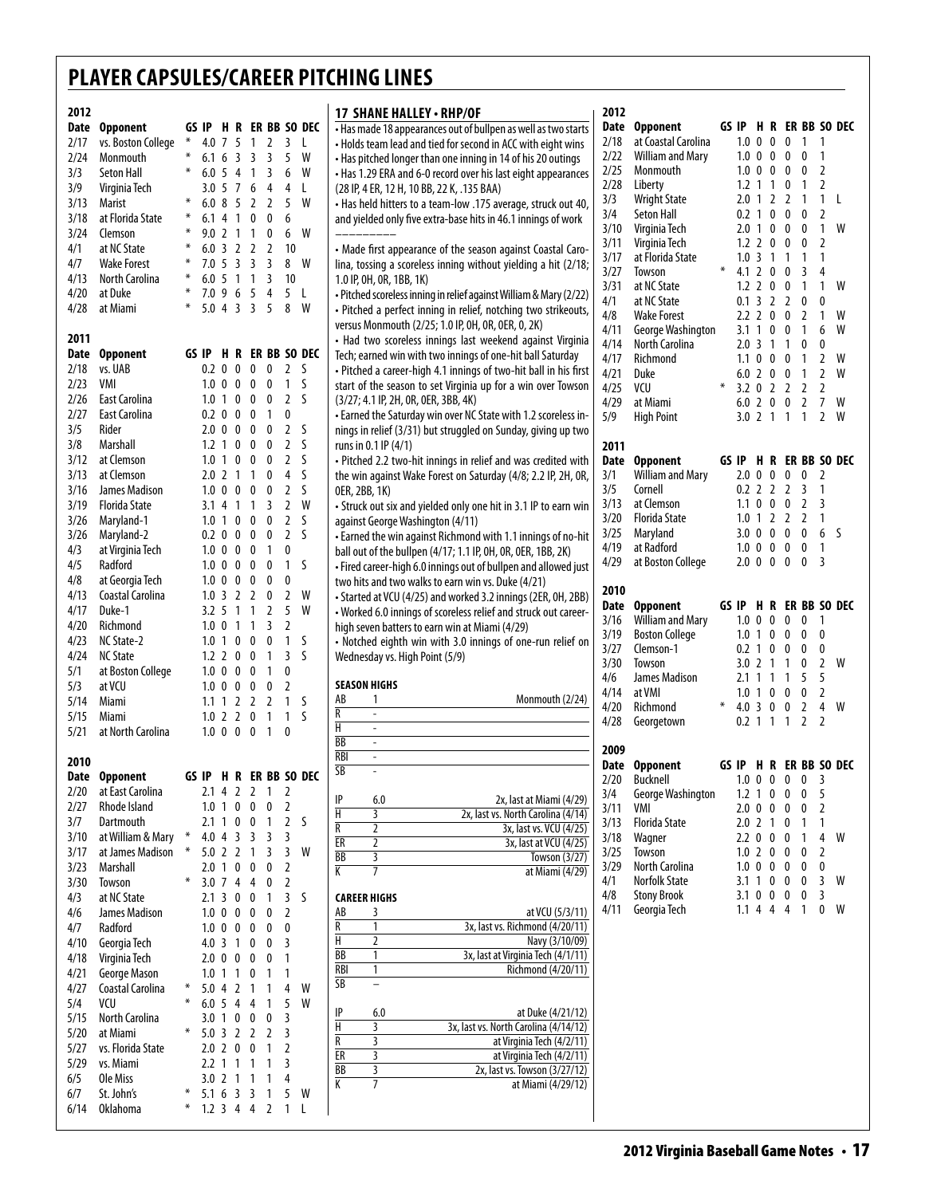|             | 2012                              |        |                   |                                  |                |                        | 2012<br>17 SHANE HALLEY · RHP/OF                                                                                                                  |                        |                                  |  |                            |                                 |                                  |   |
|-------------|-----------------------------------|--------|-------------------|----------------------------------|----------------|------------------------|---------------------------------------------------------------------------------------------------------------------------------------------------|------------------------|----------------------------------|--|----------------------------|---------------------------------|----------------------------------|---|
|             | Date Opponent                     |        |                   |                                  |                | GS IP H R ER BB SO DEC | Date Opponent<br>. Has made 18 appearances out of bullpen as well as two starts                                                                   | GS IP H R ER BB SO DEC |                                  |  |                            |                                 |                                  |   |
| 2/17        | vs. Boston College                |        |                   |                                  |                | * 4.0 7 5 1 2 3 L      | 2/18<br>at Coastal Carolina<br>. Holds team lead and tied for second in ACC with eight wins                                                       |                        |                                  |  |                            | 1.0 0 0 0 1 1                   |                                  |   |
| 2/24        | Monmouth                          | $\ast$ |                   | $6.1\;6\;3\;3\;3$                |                | 5 W                    | <b>William and Mary</b><br>2/22<br>• Has pitched longer than one inning in 14 of his 20 outings                                                   |                        |                                  |  |                            | 1.0 0 0 0 0 1                   |                                  |   |
| 3/3         | Seton Hall                        | $\ast$ |                   | 6.05413                          |                | 6 W                    | 2/25<br>Monmouth<br>• Has 1.29 ERA and 6-0 record over his last eight appearances                                                                 |                        |                                  |  |                            | 1.0 0 0 0 0 2                   |                                  |   |
| 3/9         | Virginia Tech                     |        |                   | 3.0 5 7 6 4                      |                | 4 L                    | 2/28<br>Liberty<br>(28 IP, 4 ER, 12 H, 10 BB, 22 K, .135 BAA)                                                                                     |                        | $1.2$ 1 1 0                      |  |                            | $\mathbf{1}$                    | 2                                |   |
| 3/13        | Marist                            | ⋇      |                   | 6.0 8 5 2 2                      |                | 5 W                    | 3/3<br><b>Wright State</b><br>• Has held hitters to a team-low .175 average, struck out 40,                                                       |                        |                                  |  | 2.0 1 2 2 1                |                                 | 1 L                              |   |
| 3/18        | at Florida State                  | $\ast$ | $6.1$ 4 1 0       |                                  | 0              | 6                      | 3/4<br>Seton Hall<br>and yielded only five extra-base hits in 46.1 innings of work<br>3/10<br>Virginia Tech                                       |                        |                                  |  | 0.2 1 0 0 0<br>2.0 1 0 0 0 |                                 | $\overline{2}$<br>$\overline{1}$ | W |
| 3/24        | Clemson                           | ⋇      |                   | 9.0 2 1 1 0                      |                | 6 W                    | 3/11<br>Virginia Tech                                                                                                                             |                        |                                  |  | $1.2$ 2 0 0 0              |                                 | $\overline{2}$                   |   |
| 4/1         | at NC State                       | $\ast$ |                   | 6.0 3 2 2 2                      |                | 10                     | • Made first appearance of the season against Coastal Caro-<br>3/17<br>at Florida State                                                           |                        |                                  |  |                            | 1.0 3 1 1 1 1                   |                                  |   |
| 4/7         | <b>Wake Forest</b>                | $\ast$ |                   | 7.0 5 3 3 3                      |                | 8 W                    | lina, tossing a scoreless inning without yielding a hit (2/18;<br>3/27<br>Towson                                                                  | $\ast$                 |                                  |  | 4.1 2 0 0                  | 3                               | $\overline{4}$                   |   |
| 4/13        | <b>North Carolina</b>             | ⋇      |                   | 6.0 5 1 1 3                      |                | 10                     | 1.0 IP, OH, OR, 1BB, 1K)<br>3/31<br>at NC State                                                                                                   |                        |                                  |  | $1.2$ 2 0 0 1              |                                 | 1 W                              |   |
| 4/20        | at Duke                           | $\ast$ |                   | 7.0 9 6 5 4                      |                | 5 L                    | · Pitched scoreless inning in relief against William & Mary (2/22)<br>4/1<br>at NC State                                                          |                        |                                  |  | $0.1 \t3 \t2 \t2$          | 0                               | 0                                |   |
| 4/28        | at Miami                          |        | $5.0$ 4 3 3       |                                  | - 5            | 8 W                    | • Pitched a perfect inning in relief, notching two strikeouts,<br>4/8<br><b>Wake Forest</b>                                                       |                        |                                  |  | $2.2$ 2 0 0 2              |                                 | $\overline{1}$                   | W |
| 2011        |                                   |        |                   |                                  |                |                        | versus Monmouth (2/25; 1.0 IP, 0H, 0R, 0ER, 0, 2K)<br>4/11<br>George Washington                                                                   |                        | 3.1 1 0 0                        |  |                            | $\mathbf{1}$                    | 6                                | W |
|             | Date Opponent                     |        |                   |                                  |                | GS IP H R ER BB SO DEC | • Had two scoreless innings last weekend against Virginia<br>4/14<br>North Carolina<br>Tech; earned win with two innings of one-hit ball Saturday |                        | $2.0 \t3 \t1 \t1$                |  |                            | 0                               | 0                                |   |
| 2/18        | vs. UAB                           |        |                   | 0.2 0 0 0 0 2 5                  |                |                        | 4/17<br>Richmond<br>• Pitched a career-high 4.1 innings of two-hit ball in his first                                                              |                        |                                  |  | 1.1 0 0 0 1                |                                 | 2 W                              |   |
| 2/23        | VMI                               |        |                   | 1.0 0 0 0 0                      |                | 1 S                    | 4/21<br>Duke<br>start of the season to set Virginia up for a win over Towson                                                                      | $\ast$                 |                                  |  | 6.0 2 0 0 1                |                                 | $\mathbf{2}$                     | W |
| 2/26        | East Carolina                     |        | 1.0 1 0 0         |                                  | 0              | 2 <sub>5</sub>         | 4/25<br>VCU<br>(3/27; 4.1 IP, 2H, OR, OER, 3BB, 4K)                                                                                               |                        |                                  |  |                            | 3.2 0 2 2 2 2                   |                                  |   |
| 2/27        | East Carolina                     |        |                   | 0.2 0 0 0 1                      |                | 0                      | 4/29<br>at Miami<br>- Earned the Saturday win over NC State with 1.2 scoreless in-<br>5/9<br><b>High Point</b>                                    |                        |                                  |  | 3.0 2 1 1 1                | 6.0 2 0 0 2 7 W                 | 2 W                              |   |
| 3/5         | Rider                             |        | $2.0 \t0 \t0 \t0$ |                                  | 0              | 2 <sub>5</sub>         | nings in relief (3/31) but struggled on Sunday, giving up two                                                                                     |                        |                                  |  |                            |                                 |                                  |   |
| 3/8         | Marshall                          |        | $1.2 \t1 \t0 \t0$ |                                  | 0              | 2 <sub>5</sub>         | runs in $0.1$ IP $(4/1)$<br>2011                                                                                                                  |                        |                                  |  |                            |                                 |                                  |   |
| 3/12        | at Clemson                        |        |                   | 1.0 1 0 0 0                      |                | 2 <sub>5</sub>         | • Pitched 2.2 two-hit innings in relief and was credited with<br><b>Opponent</b><br>Date                                                          | GS IP H R ER BB SO DEC |                                  |  |                            |                                 |                                  |   |
| 3/13        | at Clemson                        |        | $2.0$ 2 1 1       |                                  | 0              | 4S                     | 3/1<br><b>William and Mary</b><br>the win against Wake Forest on Saturday (4/8; 2.2 IP, 2H, OR,                                                   |                        |                                  |  |                            | 2.0 0 0 0 0 2                   |                                  |   |
| 3/16        | <b>James Madison</b>              |        | $1.0 \t0 \t0 \t0$ |                                  | 0              | 2 <sub>5</sub>         | 3/5<br>Cornell<br>OER, 2BB, 1K)                                                                                                                   |                        |                                  |  | $0.2$ 2 2 2 3              |                                 | $\overline{1}$                   |   |
| 3/19        | Florida State                     |        |                   | 3.1 4 1 1 3                      |                | 2 W                    | 3/13<br>at Clemson<br>• Struck out six and yielded only one hit in 3.1 IP to earn win                                                             |                        |                                  |  |                            | 1.1 0 0 0 2 3                   |                                  |   |
| 3/26        | Maryland-1                        |        | 1.0 1 0 0         |                                  | 0              | 2 <sub>5</sub>         | 3/20<br>Florida State<br>against George Washington (4/11)                                                                                         |                        |                                  |  |                            | 1.0 1 2 2 2 1                   |                                  |   |
| 3/26        | Maryland-2                        |        | $0.2 \t0 \t0 \t0$ |                                  | 0              | 2 <sub>5</sub>         | 3/25<br>Maryland<br>. Earned the win against Richmond with 1.1 innings of no-hit                                                                  |                        |                                  |  |                            | 3.0 0 0 0 0 6 S                 |                                  |   |
| 4/3         | at Virginia Tech                  |        |                   | 1.0 0 0 0 1                      |                | 0                      | at Radford<br>4/19<br>ball out of the bullpen (4/17; 1.1 IP, OH, OR, OER, 1BB, 2K)                                                                |                        |                                  |  |                            | 1.0 0 0 0 0 1                   |                                  |   |
| 4/5         | Radford                           |        |                   | 1.0 0 0 0 0                      |                | 1 <sub>5</sub>         | 4/29<br>at Boston College<br>• Fired career-high 6.0 innings out of bullpen and allowed just                                                      |                        |                                  |  |                            | 2.0 0 0 0 0 3                   |                                  |   |
| 4/8         | at Georgia Tech                   |        | $1.0 \t0 \t0 \t0$ |                                  | 0              | 0                      | two hits and two walks to earn win vs. Duke (4/21)<br>2010                                                                                        |                        |                                  |  |                            |                                 |                                  |   |
| 4/13        | Coastal Carolina                  |        |                   | $1.0$ 3 2 2 0                    |                | 2 W                    | • Started at VCU (4/25) and worked 3.2 innings (2ER, 0H, 2BB)<br>Date Opponent                                                                    | GS IP H R ER BB SO DEC |                                  |  |                            |                                 |                                  |   |
| 4/17        | Duke-1                            |        | $3.2 \t5 \t1 \t1$ |                                  | 2              | W<br>5                 | - Worked 6.0 innings of scoreless relief and struck out career-<br><b>William and Mary</b><br>3/16                                                |                        |                                  |  | 1.0 0 0 0 0                |                                 | $\overline{\phantom{0}}$         |   |
| 4/20        | Richmond                          |        | $1.0 \t0 \t1 \t1$ |                                  | 3              | 2                      | high seven batters to earn win at Miami (4/29)<br>3/19<br><b>Boston College</b>                                                                   |                        |                                  |  | 1.0 1 0 0 0                |                                 | - 0                              |   |
| 4/23        | NC State-2                        |        |                   | 1.0 1 0 0 0                      |                | 1 <sup>5</sup>         | • Notched eighth win with 3.0 innings of one-run relief on<br>3/27<br>Clemson-1                                                                   |                        |                                  |  | 0.2 1 0 0 0                |                                 | 0                                |   |
| 4/24        | <b>NC State</b>                   |        |                   | $1.2$ 2 0 0 1                    |                | 3 S                    | Wednesday vs. High Point (5/9)<br>3/30<br>Towson                                                                                                  |                        | 3.0 2 1 1                        |  |                            | 0                               | 2 W                              |   |
| 5/1         | at Boston College                 |        | $1.0 \t0 \t0 \t0$ |                                  | $\overline{1}$ | 0                      | 4/6<br>James Madison<br><b>SEASON HIGHS</b>                                                                                                       |                        |                                  |  | 2.1 1 1 1                  | 5                               | -5                               |   |
| 5/3<br>5/14 | at VCU                            |        |                   | $1.0 \t0 \t0 \t0 \t0$            |                | $\overline{2}$<br>1 S  | 4/14<br>at VMI<br>Monmouth (2/24)<br>AB<br>1                                                                                                      |                        |                                  |  | 1.0 1 0 0 0                |                                 | <sup>2</sup>                     |   |
| 5/15        | Miami<br>Miami                    |        | $1.0$ 2 2 0       | 1.1 1 2 2 2                      | $\overline{1}$ | 1 S                    | 4/20<br>Richmond<br>R<br>$\overline{\phantom{a}}$                                                                                                 | $\ast$                 |                                  |  |                            | 4.0 3 0 0 2 4 W                 |                                  |   |
| 5/21        | at North Carolina                 |        |                   | 1.0 0 0 0 1                      |                | 0                      | 4/28<br>Georgetown<br>Н<br>$\overline{\phantom{a}}$                                                                                               |                        |                                  |  |                            | $0.2$ 1 1 1 2 2                 |                                  |   |
|             |                                   |        |                   |                                  |                |                        |                                                                                                                                                   |                        |                                  |  |                            |                                 |                                  |   |
|             |                                   |        |                   |                                  |                |                        | BB<br>$\overline{\phantom{a}}$                                                                                                                    |                        |                                  |  |                            |                                 |                                  |   |
|             |                                   |        |                   |                                  |                |                        | 2009<br><b>RBI</b><br>ä,                                                                                                                          |                        |                                  |  |                            |                                 |                                  |   |
|             | 2010                              |        |                   |                                  |                |                        | Date Opponent<br>$\overline{\text{SB}}$<br>$\mathcal{L}$                                                                                          | GS IP H R ER BB SO DEC |                                  |  |                            |                                 |                                  |   |
|             | Date Opponent<br>at East Carolina |        |                   |                                  |                | GS IP H R ER BB SO DEC | 2/20 Bucknell                                                                                                                                     |                        |                                  |  |                            | 1.0 0 0 0 0 3                   |                                  |   |
| 2/27        | 2/20<br>Rhode Island              |        | 1.0 1 0 0         | 2.1 4 2 2 1 2                    | 0 <sub>2</sub> |                        | George Washington<br>3/4<br>6.0<br>2x, last at Miami (4/29)<br>IP<br>VMI                                                                          |                        |                                  |  |                            | $1.2$ 1 0 0 0 5<br>$\mathbf{0}$ | 2                                |   |
| 3/7         | Dartmouth                         |        |                   | 2.1 1 0 0 1 2 5                  |                |                        | 3/11<br>2x, last vs. North Carolina (4/14)<br>Н<br>3<br><b>Florida State</b><br>3/13                                                              |                        | $2.0 \t0 \t0 \t0$                |  |                            | $\overline{1}$                  | $\overline{1}$                   |   |
| 3/10        | at William & Mary * 4.0 4 3 3 3   |        |                   |                                  |                | 3                      | R<br>$\overline{2}$<br>3x, last vs. VCU (4/25)<br>3/18<br>Wagner                                                                                  |                        | $2.0$ 2 1 0<br>$2.2 \t0 \t0 \t0$ |  |                            | $\mathbf{1}$                    | 4 W                              |   |
| 3/17        | at James Madison *                |        | 5.0 2 2 1         |                                  | 3              | 3 W                    | $\mathbf{2}$<br>ER<br>3x, last at VCU (4/25)<br>3/25<br>Towson                                                                                    |                        | $1.0 \t2 \t0 \t0$                |  |                            | $\mathbf{0}$                    | 2                                |   |
| 3/23        | Marshall                          |        | 2.0 1 0 0         |                                  | $\mathbf 0$    | 2                      | BB<br>3<br>Towson (3/27)<br>3/29<br>North Carolina<br>7<br>K<br>at Miami (4/29)                                                                   |                        |                                  |  | $1.0 \t0 \t0 \t0 \t0$      |                                 | 0                                |   |
| 3/30        | Towson                            |        | 3.0 7 4 4         |                                  | $\mathbf 0$    | 2                      | <b>Norfolk State</b><br>4/1                                                                                                                       |                        |                                  |  |                            | 3.1 1 0 0 0 3 W                 |                                  |   |
| 4/3         | at NC State                       |        |                   | 2.1 3 0 0 1                      |                | 3 <sub>5</sub>         | 4/8<br><b>Stony Brook</b><br><b>CAREER HIGHS</b>                                                                                                  |                        |                                  |  | $3.1 \t0 \t0 \t0 \t0$      |                                 | 3                                |   |
| 4/6         | James Madison                     |        |                   | $1.0 \t0 \t0 \t0 \t0$            |                | 2                      | 4/11<br>Georgia Tech<br>at VCU (5/3/11)<br>AB<br>3                                                                                                |                        |                                  |  |                            | 1.1 4 4 4 1 0 W                 |                                  |   |
| 4/7         | Radford                           |        | $1.0 \t0 \t0 \t0$ |                                  | 0              | 0                      | 3x, last vs. Richmond (4/20/11)<br>1<br>R                                                                                                         |                        |                                  |  |                            |                                 |                                  |   |
| 4/10        | Georgia Tech                      |        | $4.0 \t3 \t1 \t0$ |                                  | $\mathbf{0}$   | 3                      | Н<br>$\overline{2}$<br>Navy (3/10/09)                                                                                                             |                        |                                  |  |                            |                                 |                                  |   |
| 4/18        | Virginia Tech                     |        |                   | 2.0 0 0 0 0 1                    |                |                        | 3x, last at Virginia Tech (4/1/11)<br>BB<br>$\mathbf{1}$                                                                                          |                        |                                  |  |                            |                                 |                                  |   |
| 4/21        | George Mason                      |        |                   | $1.0$ 1 1 0 1                    |                | $\mathbf{1}$           | $\mathbf{1}$<br>RBI<br>Richmond (4/20/11)                                                                                                         |                        |                                  |  |                            |                                 |                                  |   |
| 4/27        | Coastal Carolina                  |        | $5.0$ 4 2 1       |                                  | $\overline{1}$ | W<br>4                 | SB<br>$\overline{\phantom{0}}$                                                                                                                    |                        |                                  |  |                            |                                 |                                  |   |
| 5/4         | VCU                               |        |                   | 6.0 5 4 4 1                      |                | 5<br>W                 | IP<br>at Duke (4/21/12)<br>6.0                                                                                                                    |                        |                                  |  |                            |                                 |                                  |   |
| 5/15        | North Carolina                    |        |                   | 3.0 1 0 0 0                      |                | 3                      | Н<br>3x, last vs. North Carolina (4/14/12)<br>3                                                                                                   |                        |                                  |  |                            |                                 |                                  |   |
| 5/20        | at Miami                          | $*$    |                   | 5.0 3 2 2 2 3                    |                |                        | $\mathbf{3}$<br>at Virginia Tech (4/2/11)<br>R                                                                                                    |                        |                                  |  |                            |                                 |                                  |   |
| 5/27        | vs. Florida State                 |        |                   | 2.0 2 0 0 1 2                    |                |                        | ER<br>3<br>at Virginia Tech (4/2/11)                                                                                                              |                        |                                  |  |                            |                                 |                                  |   |
| 5/29        | vs. Miami                         |        |                   | 2.2 1 1 1 1                      |                | 3                      | 3<br>BB<br>2x, last vs. Towson (3/27/12)                                                                                                          |                        |                                  |  |                            |                                 |                                  |   |
| 6/5         | Ole Miss                          |        |                   | 3.0 2 1 1 1                      |                | 4                      | К<br>7<br>at Miami (4/29/12)                                                                                                                      |                        |                                  |  |                            |                                 |                                  |   |
| 6/7<br>6/14 | St. John's<br>Oklahoma            | $\ast$ |                   | 5.1 6 3 3 1<br>* 1.2 3 4 4 2 1 L |                | 5 W                    |                                                                                                                                                   |                        |                                  |  |                            |                                 |                                  |   |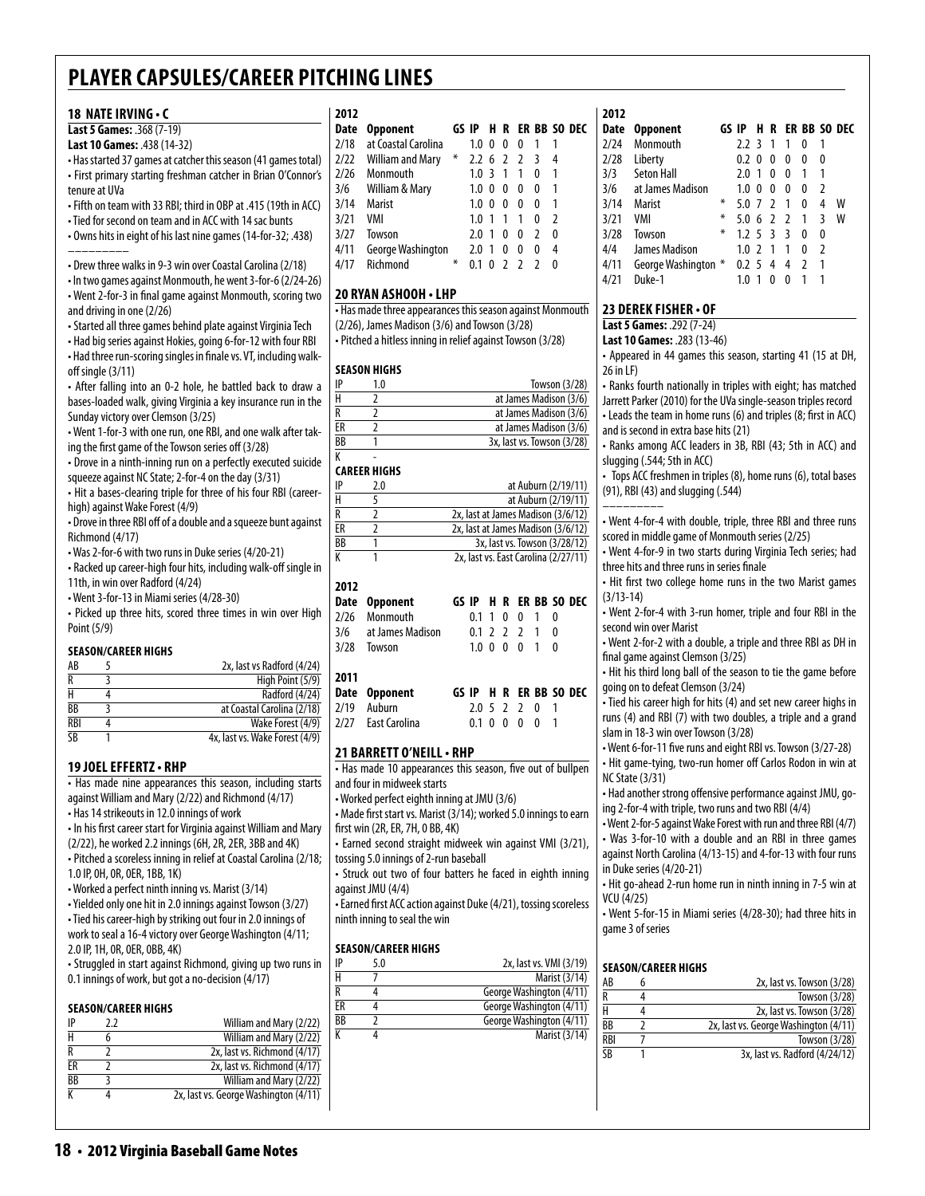#### **18 nateirving • c**

### **Last 5 Games:** .368 (7-19)

### **Last 10 Games:** .438 (14-32)

• Has started 37 games at catcher this season (41 games total) • First primary starting freshman catcher in Brian O'Connor's tenure at UVa

- Fifth on team with 33 RBI; third in OBP at .415 (19th in ACC)
- Tied for second on team and in ACC with 14 sac bunts
- Owns hits in eight of his last nine games (14-for-32; .438) –––––––––

• Drew three walks in 9-3 win over Coastal Carolina (2/18)

• In two games against Monmouth, he went 3-for-6 (2/24-26) • Went 2-for-3 in final game against Monmouth, scoring two and driving in one (2/26)

• Started all three games behind plate against Virginia Tech

• Had big series against Hokies, going 6-for-12 with four RBI • Had three run-scoring singles in finale vs. VT, including walkoff single (3/11)

• After falling into an 0-2 hole, he battled back to draw a bases-loaded walk, giving Virginia a key insurance run in the Sunday victory over Clemson (3/25)

• Went 1-for-3 with one run, one RBI, and one walk after taking the first game of the Towson series off (3/28)

• Drove in a ninth-inning run on a perfectly executed suicide squeeze against NC State; 2-for-4 on the day (3/31)

• Hit a bases-clearing triple for three of his four RBI (careerhigh) against Wake Forest (4/9)

• Drove in three RBI off of a double and a squeeze bunt against Richmond (4/17)

- Was 2-for-6 with two runs in Duke series (4/20-21)
- Racked up career-high four hits, including walk-off single in 11th, in win over Radford (4/24)

• Went 3-for-13 in Miami series (4/28-30)

• Picked up three hits, scored three times in win over High Point (5/9)

#### **Season/career Highs**

| AB         | 2x, last vs Radford (4/24)     |
|------------|--------------------------------|
| R          | High Point (5/9)               |
|            | Radford (4/24)                 |
| BB         | at Coastal Carolina (2/18)     |
| <b>RBI</b> | Wake Forest (4/9)              |
| <b>SR</b>  | 4x, last vs. Wake Forest (4/9) |

### **19 Joel Effertz• RHP**

• Has made nine appearances this season, including starts against William and Mary (2/22) and Richmond (4/17) • Has 14 strikeouts in 12.0 innings of work

• In his first career start for Virginia against William and Mary

(2/22), he worked 2.2 innings (6H, 2R, 2ER, 3BB and 4K) • Pitched a scoreless inning in relief at Coastal Carolina (2/18;

1.0 IP, 0H, 0R, 0ER, 1BB, 1K)

• Worked a perfect ninth inning vs. Marist (3/14)

• Yielded only one hit in 2.0 innings against Towson (3/27) • Tied his career-high by striking out four in 2.0 innings of work to seal a 16-4 victory over George Washington (4/11; 2.0 IP, 1H, 0R, 0ER, 0BB, 4K)

• Struggled in start against Richmond, giving up two runs in 0.1 innings of work, but got a no-decision (4/17)

### **Season/career Highs**

| IP              | 77 | William and Mary (2/22)               |
|-----------------|----|---------------------------------------|
|                 |    | William and Mary (2/22)               |
|                 |    | 2x, last vs. Richmond (4/17)          |
| ER              |    | 2x, last vs. Richmond (4/17)          |
| $\overline{BB}$ |    | William and Mary (2/22)               |
|                 |    | 2x, last vs. George Washington (4/11) |
|                 |    |                                       |

#### **2012**

| ZUIZ |                         |   |                  |    |                |                          |     |                        |
|------|-------------------------|---|------------------|----|----------------|--------------------------|-----|------------------------|
| Date | <b>Opponent</b>         |   |                  |    |                |                          |     | GS IP H R ER BB SO DEC |
| 2/18 | at Coastal Carolina     |   | $1.0 \ \ 0$      |    | 0              | 0                        |     |                        |
| 2/22 | <b>William and Mary</b> | ⋇ | $2.2 \t6 \t2$    |    |                | $\overline{2}$           | - 3 | 4                      |
| 2/26 | Monmouth                |   | $1.0 \cdot 3$    |    | $\overline{1}$ | 1                        | 0   |                        |
| 3/6  | William & Mary          |   | 1.0 <sub>0</sub> |    | 0              | 0                        | 0   |                        |
| 3/14 | Marist                  |   | 1.0 <sub>0</sub> |    | 0              | 0                        | 0   | 1                      |
| 3/21 | VMI                     |   | 1.0              | -1 | 1              | 1                        | 0   | $\mathcal{P}$          |
| 3/27 | Towson                  |   | 2.0              | -1 | 0              | 0                        | 2   | 0                      |
| 4/11 | George Washington       |   | 2.0              | -1 | 0              | 0                        | 0   | 4                      |
| 4/17 | Richmond                | ∗ |                  | 0  | $\mathcal{P}$  | $\overline{\phantom{a}}$ |     | O                      |
|      |                         |   |                  |    |                |                          |     |                        |

### **20 Ryan Ashooh • LHP**

• Has made three appearances this season against Monmouth (2/26), James Madison (3/6) and Towson (3/28) • Pitched a hitless inning in relief against Towson (3/28)

#### **Season Highs**

| IP | 1.0 | Towson (3/28)              |
|----|-----|----------------------------|
| Н  |     | at James Madison (3/6)     |
| R  |     | at James Madison (3/6)     |
| ЕR |     | at James Madison (3/6)     |
| ВB |     | 3x, last vs. Towson (3/28) |
|    |     |                            |

| 2.0 | at Auburn (2/19/11)                  |
|-----|--------------------------------------|
|     | at Auburn (2/19/11)                  |
|     | 2x, last at James Madison (3/6/12)   |
|     | 2x, last at James Madison (3/6/12)   |
|     | 3x, last vs. Towson (3/28/12)        |
|     | 2x, last vs. East Carolina (2/27/11) |
|     |                                      |

#### **2012**

|      | Date Opponent        |               |  |               |  | GS IP H R ER BB SO DEC |
|------|----------------------|---------------|--|---------------|--|------------------------|
|      | 2/26 Monmouth        |               |  | 0.1 1 0 0 1 0 |  |                        |
|      | 3/6 at James Madison | 0.1 2 2 2 1 0 |  |               |  |                        |
| 3/28 | Towson               | 1.0 0 0 0 1 0 |  |               |  |                        |
|      |                      |               |  |               |  |                        |
| 2011 |                      |               |  |               |  |                        |
|      | Date Opponent        |               |  |               |  | GS IP H R ER BB SO DEC |
| 2/19 | Auburn               |               |  | 2.0 5 2 2 0 1 |  |                        |
|      | 2/27 Fast Carolina   |               |  | 0.1 0 0 0 0 1 |  |                        |

### **21 Barrett o'neill• RHP**

• Has made 10 appearances this season, five out of bullpen and four in midweek starts

• Worked perfect eighth inning at JMU (3/6)

• Made first start vs. Marist (3/14); worked 5.0 innings to earn first win (2R, ER, 7H, 0 BB, 4K)

• Earned second straight midweek win against VMI (3/21), tossing 5.0 innings of 2-run baseball

• Struck out two of four batters he faced in eighth inning against JMU (4/4)

• Earned first ACC action against Duke (4/21), tossing scoreless ninth inning to seal the win

### **Season/career Highs**

| IP | 5.0 | 2x, last vs. VMI (3/19)  |
|----|-----|--------------------------|
|    |     | Marist (3/14)            |
|    |     | George Washington (4/11) |
| FR |     | George Washington (4/11) |
| BB |     | George Washington (4/11) |
|    |     | Marist (3/14)            |

### **2012**

| <b>Opponent</b>   |   |                     |          |                                           |                |                          |   |              |
|-------------------|---|---------------------|----------|-------------------------------------------|----------------|--------------------------|---|--------------|
| Monmouth          |   | 7.7                 |          | 1                                         | 1              | 0                        |   |              |
| Liberty           |   | 0.2                 | $\theta$ | 0                                         | 0              | 0                        | 0 |              |
| <b>Seton Hall</b> |   | 2.0                 | 1        | 0                                         | 0              | 1                        | 1 |              |
| at James Madison  |   | 1.0                 |          | 0                                         | 0              | 0                        | 2 |              |
| Marist            | ⋇ | 5.0                 |          | $\mathfrak z$                             | 1              | 0                        | 4 | w            |
| VMI               | ∗ |                     |          |                                           |                | 1                        | 3 | W            |
| Towson            | ∗ |                     |          |                                           | 3              | N                        | 0 |              |
| James Madison     |   |                     |          | -1                                        | 1              | 0                        | 2 |              |
|                   |   | 0.2                 |          | 4                                         | 4              | 2                        | 1 |              |
| Duke-1            |   | 1.0                 |          | O                                         | 0              |                          |   |              |
|                   |   | George Washington * |          | ्र<br>$\Omega$<br>7<br>1.25<br>1.02<br>-5 | $\overline{3}$ | HR.<br>$5.0 \t6 \t2 \t2$ |   | ER BB SO DEC |

### **23 Derek fisher • of**

**Last 5 Games:** .292 (7-24)

**Last 10 Games:** .283 (13-46)

• Appeared in 44 games this season, starting 41 (15 at DH, 26 in LF)

• Ranks fourth nationally in triples with eight; has matched Jarrett Parker (2010) for the UVa single-season triples record • Leads the team in home runs (6) and triples (8; first in ACC)

and is second in extra base hits (21) • Ranks among ACC leaders in 3B, RBI (43; 5th in ACC) and slugging (.544; 5th in ACC)

• Tops ACC freshmen in triples (8), home runs (6), total bases (91), RBI (43) and slugging (.544)

–––––––––

• Went 4-for-4 with double, triple, three RBI and three runs scored in middle game of Monmouth series (2/25)

• Went 4-for-9 in two starts during Virginia Tech series; had three hits and three runs in series finale

• Hit first two college home runs in the two Marist games (3/13-14)

• Went 2-for-4 with 3-run homer, triple and four RBI in the second win over Marist

• Went 2-for-2 with a double, a triple and three RBI as DH in final game against Clemson (3/25)

• Hit his third long ball of the season to tie the game before going on to defeat Clemson (3/24)

• Tied his career high for hits (4) and set new career highs in runs (4) and RBI (7) with two doubles, a triple and a grand slam in 18-3 win over Towson (3/28)

• Went 6-for-11 five runs and eight RBI vs. Towson (3/27-28) • Hit game-tying, two-run homer off Carlos Rodon in win at

NC State (3/31) • Had another strong offensive performance against JMU, go-

ing 2-for-4 with triple, two runs and two RBI (4/4)

• Went 2-for-5 against Wake Forest with run and three RBI (4/7) • Was 3-for-10 with a double and an RBI in three games

against North Carolina (4/13-15) and 4-for-13 with four runs in Duke series (4/20-21)

• Hit go-ahead 2-run home run in ninth inning in 7-5 win at VCU (4/25)

• Went 5-for-15 in Miami series (4/28-30); had three hits in game 3 of series

### **Season/career Highs**

| AB         | 2x, last vs. Towson (3/28)            |
|------------|---------------------------------------|
| R          | Towson (3/28)                         |
| н          | 2x, last vs. Towson (3/28)            |
| <b>BB</b>  | 2x, last vs. George Washington (4/11) |
| <b>RBI</b> | Towson (3/28)                         |
| SB         | 3x, last vs. Radford (4/24/12)        |

| at James Mac     |
|------------------|
| at James Mac     |
| at James Mac     |
| 3x, last vs. Tow |
|                  |

#### K - **Career Highs**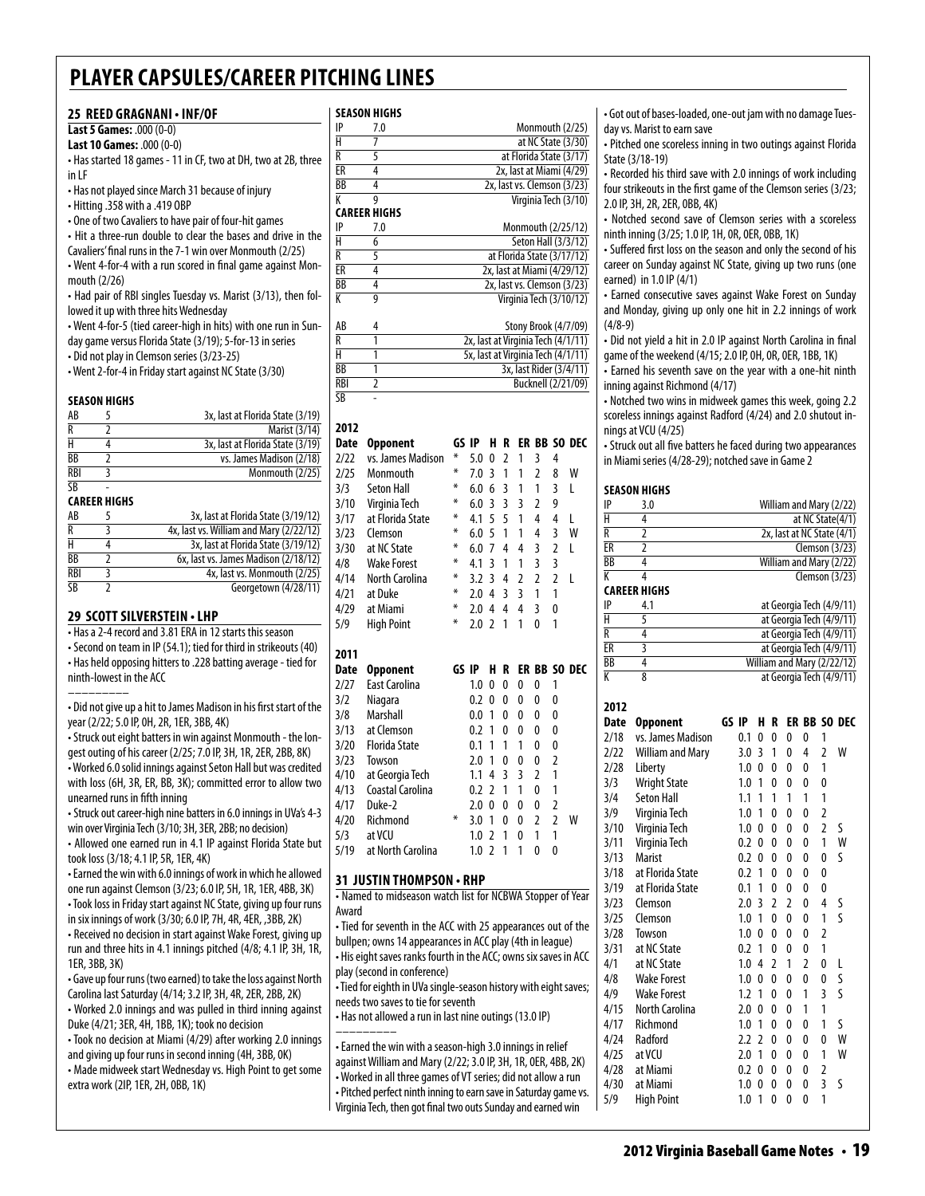### **25 Reed Gragnani • INF/OF**

### **Last 5 Games:** .000 (0-0)

**Last 10 Games:** .000 (0-0) • Has started 18 games - 11 in CF, two at DH, two at 2B, three in LF

• Has not played since March 31 because of injury

• Hitting .358 with a .419 OBP

• One of two Cavaliers to have pair of four-hit games

• Hit a three-run double to clear the bases and drive in the

Cavaliers' final runs in the 7-1 win over Monmouth (2/25)

• Went 4-for-4 with a run scored in final game against Monmouth (2/26)

• Had pair of RBI singles Tuesday vs. Marist (3/13), then followed it up with three hits Wednesday

• Went 4-for-5 (tied career-high in hits) with one run in Sun-

day game versus Florida State (3/19); 5-for-13 in series • Did not play in Clemson series (3/23-25)

• Went 2-for-4 in Friday start against NC State (3/30)

#### **Season Highs**

| AB             | 3x, last at Florida State (3/19) |
|----------------|----------------------------------|
|                | Marist (3/14)                    |
|                | 3x, last at Florida State (3/19) |
| ВB             | vs. James Madison (2/18)         |
| <b>RBI</b>     | Monmouth (2/25)                  |
| $\overline{R}$ |                                  |

#### **Career Highs**

| AB                     | 3x, last at Florida State (3/19/12)     |
|------------------------|-----------------------------------------|
| R                      | 4x, last vs. William and Mary (2/22/12) |
| н                      | 3x, last at Florida State (3/19/12)     |
| ВB                     | 6x, last vs. James Madison (2/18/12)    |
| <b>RBI</b>             | 4x, last vs. Monmouth (2/25)            |
| $\overline{\text{SB}}$ | Georgetown (4/28/11)                    |

#### **29 scott silverstein • LHP**

• Has a 2-4 record and 3.81 ERA in 12 starts this season • Second on team in IP (54.1); tied for third in strikeouts (40) • Has held opposing hitters to .228 batting average - tied for ninth-lowest in the ACC

––––––––– • Did not give up a hit to James Madison in his first start of the year (2/22; 5.0 IP, 0H, 2R, 1ER, 3BB, 4K)

• Struck out eight batters in win against Monmouth - the longest outing of his career (2/25; 7.0 IP, 3H, 1R, 2ER, 2BB, 8K) • Worked 6.0 solid innings against Seton Hall but was credited with loss (6H, 3R, ER, BB, 3K); committed error to allow two unearned runs in fifth inning

• Struck out career-high nine batters in 6.0 innings in UVa's 4-3 win over Virginia Tech (3/10; 3H, 3ER, 2BB; no decision)

• Allowed one earned run in 4.1 IP against Florida State but took loss (3/18; 4.1 IP, 5R, 1ER, 4K)

• Earned the win with 6.0 innings of work in which he allowed one run against Clemson (3/23; 6.0 IP, 5H, 1R, 1ER, 4BB, 3K) • Took loss in Friday start against NC State, giving up four runs in six innings of work (3/30; 6.0 IP, 7H, 4R, 4ER, ,3BB, 2K)

• Received no decision in start against Wake Forest, giving up run and three hits in 4.1 innings pitched (4/8; 4.1 IP, 3H, 1R, 1ER, 3BB, 3K)

• Gave up four runs (two earned) to take the loss against North Carolina last Saturday (4/14; 3.2 IP, 3H, 4R, 2ER, 2BB, 2K) • Worked 2.0 innings and was pulled in third inning against Duke (4/21; 3ER, 4H, 1BB, 1K); took no decision

• Took no decision at Miami (4/29) after working 2.0 innings and giving up four runs in second inning (4H, 3BB, 0K) • Made midweek start Wednesday vs. High Point to get some extra work (2IP, 1ER, 2H, 0BB, 1K)

#### **season Highs**

| IP | 7.0                  | Monmouth (2/25)             |
|----|----------------------|-----------------------------|
| Н  |                      | at NC State (3/30)          |
| R  |                      | at Florida State (3/17)     |
| ER |                      | 2x, last at Miami (4/29)    |
| BB |                      | 2x, last vs. Clemson (3/23) |
| K  |                      | Virginia Tech (3/10)        |
|    | <u>earer IIIeile</u> |                             |

|           | LANLLN IIIWIIJ |                             |
|-----------|----------------|-----------------------------|
| IP        | 7.0            | Monmouth (2/25/12)          |
| H         |                | Seton Hall (3/3/12)         |
| R         |                | at Florida State (3/17/12)  |
| <b>FR</b> |                | 2x, last at Miami (4/29/12) |
| BB        |                | 2x, last vs. Clemson (3/23) |
| К         |                | Virginia Tech (3/10/12)     |

| AB         | Stony Brook (4/7/09)               |
|------------|------------------------------------|
| R          | 2x, last at Virginia Tech (4/1/11) |
| н          | 5x, last at Virginia Tech (4/1/11) |
| BB         | 3x, last Rider (3/4/11)            |
| <b>RBI</b> | Bucknell (2/21/09)                 |
| <b>SB</b>  |                                    |

## **2012**

| <b>Date</b> | <b>Opponent</b>      | GS IP |     | H                        | R              | ER             |                |                | <b>BB SO DEC</b> |
|-------------|----------------------|-------|-----|--------------------------|----------------|----------------|----------------|----------------|------------------|
| 2/22        | vs. James Madison    | ⋇     | 5.0 | 0                        | $\overline{2}$ | 1              | 3              | 4              |                  |
| 2/25        | Monmouth             | ⋇     | 7.0 | 3                        | 1              | 1              | $\overline{2}$ | 8              | W                |
| 3/3         | <b>Seton Hall</b>    | ⋇     | 6.0 | 6                        | 3              | 1              | 1              | 3              | L                |
| 3/10        | Virginia Tech        | ∗     | 6.0 | 3                        | $\overline{3}$ | 3              | $\overline{2}$ | 9              |                  |
| 3/17        | at Florida State     | ⋇     | 4.1 | 5                        | 5              | 1              | 4              | 4              | L                |
| 3/23        | Clemson              | ∗     | 6.0 | 5                        | 1              | 1              | 4              | 3              | W                |
| 3/30        | at NC State          | ⋇     | 6.0 | 7                        | 4              | 4              | 3              | $\overline{2}$ | L                |
| 4/8         | <b>Wake Forest</b>   | ⋇     | 4.1 | 3                        | 1              | 1              | 3              | 3              |                  |
| 4/14        | North Carolina       | ∗     | 3.2 | 3                        | 4              | $\overline{2}$ | $\overline{2}$ | $\overline{2}$ | L                |
| 4/21        | at Duke              | ∗     | 2.0 | 4                        | 3              | 3              | 1              | 1              |                  |
| 4/29        | at Miami             | ∗     | 2.0 | 4                        | 4              | 4              | 3              | 0              |                  |
| 5/9         | <b>High Point</b>    | ∗     | 2.0 | $\overline{2}$           | 1              | 1              | $\mathbf{0}$   | 1              |                  |
|             |                      |       |     |                          |                |                |                |                |                  |
|             |                      |       |     |                          |                |                |                |                |                  |
| 2011        |                      |       |     |                          |                |                |                |                |                  |
| Date        | <b>Opponent</b>      | GS IP |     | н                        | R              |                |                |                | ER BB SO DEC     |
| 2/27        | <b>East Carolina</b> |       | 1.0 | 0                        | $\mathbf{0}$   | 0              | 0              | 1              |                  |
| 3/2         | Niagara              |       | 0.2 | 0                        | $\mathbf{0}$   | 0              | 0              | 0              |                  |
| 3/8         | Marshall             |       | 0.0 | 1                        | 0              | 0              | 0              | 0              |                  |
| 3/13        | at Clemson           |       | 0.2 | 1                        | $\mathbf{0}$   | 0              | 0              | 0              |                  |
| 3/20        | <b>Florida State</b> |       | 0.1 | 1                        | 1              | 1              | 0              | 0              |                  |
| 3/23        | Towson               |       | 2.0 | 1                        | $\mathbf{0}$   | 0              | 0              | $\overline{2}$ |                  |
| 4/10        | at Georgia Tech      |       | 1.1 | 4                        | 3              | 3              | 2              | 1              |                  |
| 4/13        | Coastal Carolina     |       | 0.2 | $\overline{\phantom{a}}$ | 1              | 1              | 0              | 1              |                  |
| 4/17        | Duke-2               |       | 2.0 | $\mathbf{0}$             | 0              | 0              | 0              | $\overline{2}$ |                  |
| 4/20        | Richmond             | ⋇     | 3.0 | 1                        | 0              | 0              | 2              | $\overline{2}$ | W                |
| 5/3         | at VCU               |       | 1.0 | 2                        | 1              | 0              | 1              | 1              |                  |
| 5/19        | at North Carolina    |       | 1.0 | $\overline{\phantom{a}}$ | 1              | 1              | 0              | 0              |                  |

### **31 justin thompson • RHP**

• Named to midseason watch list for NCBWA Stopper of Year Award

• Tied for seventh in the ACC with 25 appearances out of the bullpen; owns 14 appearances in ACC play (4th in league) • His eight saves ranks fourth in the ACC; owns six saves in ACC play (second in conference)

• Tied for eighth in UVa single-season history with eight saves; needs two saves to tie for seventh

• Has not allowed a run in last nine outings (13.0 IP)

––––––––– • Earned the win with a season-high 3.0 innings in relief against William and Mary (2/22; 3.0 IP, 3H, 1R, 0ER, 4BB, 2K) • Worked in all three games of VT series; did not allow a run • Pitched perfect ninth inning to earn save in Saturday game vs. Virginia Tech, then got final two outs Sunday and earned win

• Got out of bases-loaded, one-out jam with no damage Tuesday vs. Marist to earn save

• Pitched one scoreless inning in two outings against Florida State (3/18-19)

• Recorded his third save with 2.0 innings of work including four strikeouts in the first game of the Clemson series (3/23; 2.0 IP, 3H, 2R, 2ER, 0BB, 4K)

• Notched second save of Clemson series with a scoreless ninth inning (3/25; 1.0 IP, 1H, 0R, 0ER, 0BB, 1K)

• Suffered first loss on the season and only the second of his career on Sunday against NC State, giving up two runs (one earned) in 1.0 IP (4/1)

• Earned consecutive saves against Wake Forest on Sunday and Monday, giving up only one hit in 2.2 innings of work (4/8-9)

• Did not yield a hit in 2.0 IP against North Carolina in final game of the weekend (4/15; 2.0 IP, 0H, 0R, 0ER, 1BB, 1K)

• Earned his seventh save on the year with a one-hit ninth inning against Richmond (4/17)

• Notched two wins in midweek games this week, going 2.2 scoreless innings against Radford (4/24) and 2.0 shutout innings at VCU (4/25)

• Struck out all five batters he faced during two appearances in Miami series (4/28-29); notched save in Game 2

### **season Highs**

|                | SEASUN NIUNS            |       |     |                |                |                |                |                |                            |
|----------------|-------------------------|-------|-----|----------------|----------------|----------------|----------------|----------------|----------------------------|
| IP             | 3.0                     |       |     |                |                |                |                |                | William and Mary (2/22)    |
| H              | $\overline{4}$          |       |     |                |                |                |                |                | at NC State(4/1)           |
| R              | $\overline{2}$          |       |     |                |                |                |                |                | 2x, last at NC State (4/1) |
| ER             | $\overline{2}$          |       |     |                |                |                |                |                | Clemson (3/23)             |
| BB             | $\overline{4}$          |       |     |                |                |                |                |                | William and Mary (2/22)    |
| K              | 4                       |       |     |                |                |                |                |                | Clemson $(3/23)$           |
|                | <b>CAREER HIGHS</b>     |       |     |                |                |                |                |                |                            |
| IP             | 4.1                     |       |     |                |                |                |                |                | at Georgia Tech (4/9/11)   |
| H              | 5                       |       |     |                |                |                |                |                | at Georgia Tech (4/9/11)   |
| $\overline{R}$ | 4                       |       |     |                |                |                |                |                | at Georgia Tech (4/9/11)   |
| ER             | 3                       |       |     |                |                |                |                |                | at Georgia Tech (4/9/11)   |
| <b>BB</b>      | $\overline{4}$          |       |     |                |                |                |                |                | William and Mary (2/22/12) |
| K              | 8                       |       |     |                |                |                |                |                | at Georgia Tech (4/9/11)   |
| 2012           |                         |       |     |                |                |                |                |                |                            |
| <b>Date</b>    | <b>Opponent</b>         | GS IP |     | H              | R              |                |                |                | ER BB SO DEC               |
| 2/18           | vs. James Madison       |       | 0.1 | 0              | 0              | 0              | 0              | 1              |                            |
| 2/22           | <b>William and Mary</b> |       | 3.0 | 3              | 1              | 0              | 4              | $\overline{2}$ | W                          |
| 2/28           | Liberty                 |       | 1.0 | 0              | 0              | 0              | 0              | 1              |                            |
| 3/3            | <b>Wright State</b>     |       | 1.0 | 1              | 0              | 0              | 0              | 0              |                            |
| 3/4            | <b>Seton Hall</b>       |       | 1.1 | 1              | 1              | 1              | 1              | 1              |                            |
| 3/9            | Virginia Tech           |       | 1.0 | 1              | 0              | 0              | 0              | $\overline{2}$ |                            |
| 3/10           | Virginia Tech           |       | 1.0 | 0              | 0              | 0              | 0              | $\overline{2}$ | S                          |
| 3/11           | Virginia Tech           |       | 0.2 | 0              | 0              | 0              | 0              | 1              | W                          |
| 3/13           | <b>Marist</b>           |       | 0.2 | 0              | 0              | 0              | 0              | 0              | S                          |
| 3/18           | at Florida State        |       | 0.2 | 1              | 0              | 0              | 0              | 0              |                            |
| 3/19           | at Florida State        |       | 0.1 | 1              | 0              | 0              | 0              | 0              |                            |
| 3/23           | Clemson                 |       | 2.0 | 3              | $\overline{2}$ | $\overline{2}$ | 0              | 4              | S                          |
| 3/25           | Clemson                 |       | 1.0 | 1              | 0              | 0              | 0              | 1              | S                          |
| 3/28           | Towson                  |       | 1.0 | 0              | 0              | 0              | 0              | 2              |                            |
| 3/31           | at NC State             |       | 0.2 | 1              | 0              | 0              | 0              | 1              |                            |
| 4/1            | at NC State             |       | 1.0 | 4              | $\overline{2}$ | 1              | $\overline{2}$ | 0              | L                          |
| 4/8            | <b>Wake Forest</b>      |       | 1.0 | 0              | 0              | 0              | 0              | 0              | S                          |
| 4/9            | <b>Wake Forest</b>      |       | 1.2 | 1              | 0              | 0              | 1              | 3              | S                          |
| 4/15           | <b>North Carolina</b>   |       | 2.0 | 0              | 0              | 0              | 1              | 1              |                            |
| 4/17           | Richmond                |       | 1.0 | 1              | 0              | 0              | 0              | 1              | ς                          |
| 4/24           | Radford                 |       | 2.2 | $\overline{2}$ | 0              | 0              | 0              | 0              | W                          |
| 4/25           | at VCU                  |       | 2.0 | 1              | 0              | 0              | 0              | 1              | W                          |
| 4/28           | at Miami                |       | 0.2 | 0              | 0              | 0              | 0              | $\overline{2}$ |                            |
| 4/30           | at Miami                |       | 1.0 | 0              | 0              | 0              | 0              | 3              | S                          |
| 5/9            | <b>High Point</b>       |       | 1.0 | 1              | 0              | 0              | 0              | 1              |                            |
|                |                         |       |     |                |                |                |                |                |                            |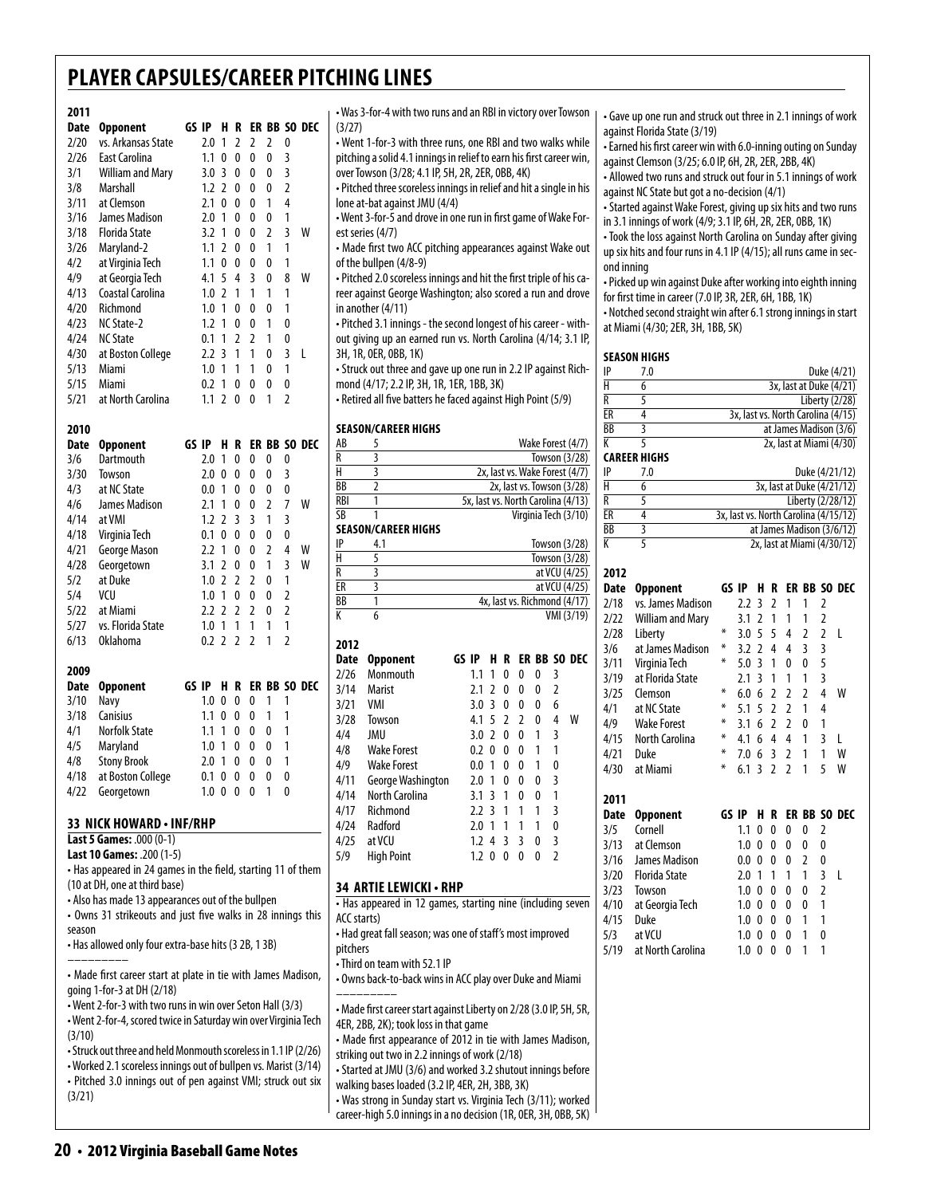#### **2011 Date Opponent GS IP H R ER BB SO DEC** 2/20 vs. Arkansas State 2.0 1 2 2 2 0 2/26 East Carolina 1.1 0 0 0 0 3<br>3/1 William and Marv 3.0 3 0 0 0 3  $3.0 \t3.0 \t0.0 \t3.0$ 3/8 Marshall 1.2 2 0 0 0 2 3/11 at Clemson 2.1 0 0 0 1 4 3/16 James Madison 2.0 1 0 0 0 1 3/18 Florida State 3.2 1 0 0 2 3 W  $1.1$  2 0 0 1 1 4/2 at Virginia Tech 1.1 0 0 0 0 1 4/9 at Georgia Tech 4.1 5 4 3 0 8 W 4/13 Coastal Carolina 1.0 2 1 1 1 1 4/20 Richmond 1.0 1 0 0 0 1 4/23 NC State-2 1.2 1 0 0 1 0  $0.1$  1 2 2 1 0 4/30 at Boston College 2.2 3 1 1 0 3 L 5/13 Miami 1.0 1 1 1 0 1 5/15 Miami 0.2 1 0 0 0 0<br>5/21 at North Carolina 1.1 2 0 0 1 2 5/21 at North Carolina 1.1 2 0 0 1 2 **2010**

| Date | Opponent          | GS IP |                  | н              | R        |                |   |                | ER BB SO DEC |
|------|-------------------|-------|------------------|----------------|----------|----------------|---|----------------|--------------|
| 3/6  | Dartmouth         |       | 2.0              | 1              | 0        | 0              | 0 | 0              |              |
| 3/30 | Towson            |       | 2.0              | 0              | 0        | 0              | 0 | 3              |              |
| 4/3  | at NC State       |       | 0.0              | 1              | 0        | 0              | 0 | 0              |              |
| 4/6  | James Madison     |       | 2.1              | 1              | 0        | 0              | 2 | 7              | W            |
| 4/14 | at VMI            |       | $1.2^{\circ}$    | $\overline{2}$ | 3        | 3              | 1 | 3              |              |
| 4/18 | Virginia Tech     |       | 0.1              | 0              | 0        | 0              | 0 | 0              |              |
| 4/21 | George Mason      |       | 2.2              | 1              | 0        | 0              | 2 | 4              | W            |
| 4/28 | Georgetown        |       | 3.1              | 2              | 0        | 0              | 1 | 3              | W            |
| 5/2  | at Duke           |       | 1.0              | 2              | 2        | 2              | 0 | 1              |              |
| 5/4  | VCU               |       | 1.0              | 1              | 0        | 0              | 0 | 2              |              |
| 5/22 | at Miami          |       | 2.2              | $\mathcal{P}$  | 2        | 2              | 0 | $\overline{2}$ |              |
| 5/27 | vs. Florida State |       | 1.0              | 1              | 1        | 1              | 1 | 1              |              |
| 6/13 | <b>Oklahoma</b>   |       | 0.2 <sub>2</sub> |                | 2        | $\overline{2}$ | 1 | 2              |              |
| 2009 |                   |       |                  |                |          |                |   |                |              |
| Date | Opponent          | GS IP |                  | н              | R        |                |   |                | ER BB SO DEC |
| 3/10 | Navy              |       | 1.0              | 0              | 0        | 0              | 1 | 1              |              |
| 3/18 | <b>Canisius</b>   |       | 1.1              | 0              | 0        | 0              | 1 | 1              |              |
| 1/1  | Norfolk State     |       | 11               | 1              | $\Omega$ | ∩              | ∩ | 1              |              |

4/1 Norfolk State<br>4/5 Maryland 4/5 Maryland 1.0 1 0 0 0 1 4/8 Stony Brook 2.0 1 0 0 0 1 4/18 at Boston College 0.1 0 0 0 0 0 4/22 Georgetown 1.0 0 0 0 1 0

### **33 nick howard • inf/rhp**

**Last 5 Games:** .000 (0-1) **Last 10 Games:** .200 (1-5)

• Has appeared in 24 games in the field, starting 11 of them (10 at DH, one at third base)

• Also has made 13 appearances out of the bullpen

• Owns 31 strikeouts and just five walks in 28 innings this season

• Has allowed only four extra-base hits (3 2B, 1 3B) –––––––––

• Made first career start at plate in tie with James Madison, going 1-for-3 at DH (2/18)

• Went 2-for-3 with two runs in win over Seton Hall (3/3)

• Went 2-for-4, scored twice in Saturday win over Virginia Tech (3/10)

• Struck out three and held Monmouth scoreless in 1.1 IP (2/26) • Worked 2.1 scoreless innings out of bullpen vs. Marist (3/14) • Pitched 3.0 innings out of pen against VMI; struck out six (3/21)

• Was 3-for-4 with two runs and an RBI in victory over Towson (3/27)

• Went 1-for-3 with three runs, one RBI and two walks while pitching a solid 4.1 innings in relief to earn his first career win, over Towson (3/28; 4.1 IP, 5H, 2R, 2ER, 0BB, 4K)

• Pitched three scoreless innings in relief and hit a single in his lone at-bat against JMU (4/4)

• Went 3-for-5 and drove in one run in first game of Wake Forest series (4/7)

• Made first two ACC pitching appearances against Wake out of the bullpen (4/8-9)

• Pitched 2.0 scoreless innings and hit the first triple of his career against George Washington; also scored a run and drove in another (4/11)

• Pitched 3.1 innings - the second longest of his career - without giving up an earned run vs. North Carolina (4/14; 3.1 IP, 3H, 1R, 0ER, 0BB, 1K)

• Struck out three and gave up one run in 2.2 IP against Richmond (4/17; 2.2 IP, 3H, 1R, 1ER, 1BB, 3K)

• Retired all five batters he faced against High Point (5/9)

### **Season/career Highs**

| AB          | 5                                                                  |         |                |        |   |   |                | Wake Forest (4/7)                  |
|-------------|--------------------------------------------------------------------|---------|----------------|--------|---|---|----------------|------------------------------------|
| R           | 3                                                                  |         |                |        |   |   |                | Towson (3/28)                      |
| н           | 3                                                                  |         |                |        |   |   |                | 2x, last vs. Wake Forest (4/7)     |
| BB          | $\overline{2}$                                                     |         |                |        |   |   |                | 2x, last vs. Towson (3/28)         |
| <b>RBI</b>  | 1                                                                  |         |                |        |   |   |                | 5x, last vs. North Carolina (4/13) |
| SB          | 1                                                                  |         |                |        |   |   |                | Virginia Tech (3/10)               |
|             | <b>SEASON/CAREER HIGHS</b>                                         |         |                |        |   |   |                |                                    |
| IP          | 4.1                                                                |         |                |        |   |   |                | Towson (3/28)                      |
| Н           | 5                                                                  |         |                |        |   |   |                | Towson (3/28)                      |
| R           | 3                                                                  |         |                |        |   |   |                | at VCU (4/25)                      |
| ER          | 3                                                                  |         |                |        |   |   |                | at VCU (4/25)                      |
| ВB          | 1                                                                  |         |                |        |   |   |                | 4x, last vs. Richmond (4/17)       |
| К           | 6                                                                  |         |                |        |   |   |                | VMI (3/19)                         |
|             |                                                                    |         |                |        |   |   |                |                                    |
| 2012        |                                                                    | GS IP-  | H              | R      |   |   |                |                                    |
| <b>Date</b> | Opponent                                                           | 1.1     | 1              | 0      | 0 | 0 | 3              | ER BB SO DEC                       |
| 2/26        | Monmouth                                                           | 2.1     | $\overline{2}$ | 0      | 0 | 0 | $\overline{2}$ |                                    |
| 3/14        | Marist<br>VMI                                                      |         | 3              |        |   |   |                |                                    |
| 3/21        |                                                                    | 3.0     |                | 0<br>2 | 0 | 0 | 6<br>4         |                                    |
| 3/28        | Towson                                                             | 4.1     | 5              |        | 2 | 0 |                | W                                  |
| 4/4         | JMU                                                                | 3.0     | $\overline{2}$ | 0      | 0 | 1 | 3              |                                    |
| 4/8         | <b>Wake Forest</b>                                                 | 0.2     | 0              | 0      | 0 | 1 | 1              |                                    |
| 4/9         | <b>Wake Forest</b>                                                 | $0.0\,$ | 1              | 0      | 0 | 1 | 0              |                                    |
| 4/11        | George Washington                                                  | 2.0     | 1              | 0      | 0 | 0 | 3              |                                    |
| 4/14        | North Carolina                                                     | 3.1     | 3              | 1      | 0 | 0 | 1              |                                    |
| 4/17        | Richmond                                                           | 2.2     | 3              | 1      | 1 | 1 | $\overline{3}$ |                                    |
| 4/24        | Radford                                                            | 2.0     | $\overline{1}$ | 1      | 1 | 1 | 0              |                                    |
| 4/25        | at VCU                                                             | 1.2     | 4              | 3      | 3 | 0 | 3              |                                    |
| 5/9         | <b>High Point</b>                                                  | 1.2     | 0              | 0      | 0 | 0 | $\overline{2}$ |                                    |
|             |                                                                    |         |                |        |   |   |                |                                    |
|             | 34 ARTIE LEWICKI · RHP                                             |         |                |        |   |   |                |                                    |
|             | . Has appeared in 12 games, starting nine (including seven         |         |                |        |   |   |                |                                    |
| ACC starts) |                                                                    |         |                |        |   |   |                |                                    |
|             | • Had great fall season; was one of staff's most improved          |         |                |        |   |   |                |                                    |
| pitchers    |                                                                    |         |                |        |   |   |                |                                    |
|             | • Third on team with 52.1 IP                                       |         |                |        |   |   |                |                                    |
|             | . Owns back-to-back wins in ACC play over Duke and Miami           |         |                |        |   |   |                |                                    |
|             |                                                                    |         |                |        |   |   |                |                                    |
|             | • Made first career start against Liberty on 2/28 (3.0 IP, 5H, 5R, |         |                |        |   |   |                |                                    |
|             | 4ER, 2BB, 2K); took loss in that game                              |         |                |        |   |   |                |                                    |
|             | • Made first appearance of 2012 in tie with James Madison,         |         |                |        |   |   |                |                                    |
|             | striking out two in 2.2 innings of work (2/18)                     |         |                |        |   |   |                |                                    |
|             | • Started at JMU (3/6) and worked 3.2 shutout innings before       |         |                |        |   |   |                |                                    |
|             | walking bases loaded (3.2 IP, 4ER, 2H, 3BB, 3K)                    |         |                |        |   |   |                |                                    |
|             | • Was strong in Sunday start vs. Virginia Tech (3/11); worked      |         |                |        |   |   |                |                                    |
|             | career-high 5.0 innings in a no decision (1R, OER, 3H, OBB, 5K)    |         |                |        |   |   |                |                                    |

• Gave up one run and struck out three in 2.1 innings of work against Florida State (3/19)

• Earned his first career win with 6.0-inning outing on Sunday against Clemson (3/25; 6.0 IP, 6H, 2R, 2ER, 2BB, 4K)

• Allowed two runs and struck out four in 5.1 innings of work against NC State but got a no-decision (4/1)

• Started against Wake Forest, giving up six hits and two runs in 3.1 innings of work (4/9; 3.1 IP, 6H, 2R, 2ER, 0BB, 1K)

• Took the loss against North Carolina on Sunday after giving up six hits and four runs in 4.1 IP (4/15); all runs came in second inning

• Picked up win against Duke after working into eighth inning for first time in career (7.0 IP, 3R, 2ER, 6H, 1BB, 1K)

• Notched second straight win after 6.1 strong innings in start at Miami (4/30; 2ER, 3H, 1BB, 5K)

#### **season Highs**

| IP        | 7.0 | Duke (4/21)                        |
|-----------|-----|------------------------------------|
|           |     | 3x, last at Duke (4/21)            |
| R         |     | Liberty (2/28)                     |
| ER        |     | 3x, last vs. North Carolina (4/15) |
| <b>BB</b> |     | at James Madison (3/6)             |
|           |     | 2x, last at Miami (4/30)           |
|           |     |                                    |

#### **career Highs**

| IP | 7.0 | Duke (4/21/12)                        |
|----|-----|---------------------------------------|
| н  |     | 3x, last at Duke (4/21/12)            |
| R  |     | Liberty (2/28/12)                     |
| ER |     | 3x, last vs. North Carolina (4/15/12) |
| BB |     | at James Madison (3/6/12)             |
| K  |     | 2x, last at Miami (4/30/12)           |

| 2012        |                         |       |       |                |                          |                |   |                |                  |
|-------------|-------------------------|-------|-------|----------------|--------------------------|----------------|---|----------------|------------------|
| <b>Date</b> | <b>Opponent</b>         |       | GS IP | н              | R                        |                |   |                | ER BB SO DEC     |
| 2/18        | vs. James Madison       |       | 2.2   | 3              | 2                        | 1              | 1 | 2              |                  |
| 2/22        | <b>William and Mary</b> |       | 3.1   | $\overline{2}$ | 1                        | 1              | 1 | 2              |                  |
| 2/28        | Liberty                 | ⋇     | 3.0   | 5              | 5                        | 4              | 2 | $\overline{2}$ | L                |
| 3/6         | at James Madison        | ⋇     | 3.2   | $\mathfrak z$  | 4                        | 4              | 3 | 3              |                  |
| 3/11        | Virginia Tech           | ⋇     | 5.0   | 3              | 1                        | $\Omega$       | 0 | 5              |                  |
| 3/19        | at Florida State        |       | 2.1   | 3              | 1                        | 1              | 1 | 3              |                  |
| 3/25        | Clemson                 | ∗     | 6.0   | 6              | $\overline{2}$           | $\overline{2}$ | 2 | 4              | W                |
| 4/1         | at NC State             | ∗     | 5.1   | 5              | $\overline{\phantom{a}}$ | $\overline{2}$ | 1 | 4              |                  |
| 4/9         | <b>Wake Forest</b>      | ∗     | 3.1   | 6              | $\mathfrak{p}$           | $\overline{2}$ | 0 | 1              |                  |
| 4/15        | North Carolina          | ⋇     | 4.1   | 6              | 4                        | 4              | 1 | 3              | L                |
| 4/21        | Duke                    | ∗     | 7.0   | 6              | 3                        | $\overline{2}$ | 1 | 1              | W                |
| 4/30        | at Miami                | ∗     | 6.1   | 3              | $\overline{2}$           | $\overline{2}$ | 1 | 5              | W                |
| 2011        |                         |       |       |                |                          |                |   |                |                  |
| Date        | <b>Opponent</b>         | GS IP |       | н              | R                        | ER             |   |                | <b>BB SO DEC</b> |
| 3/5         | Cornell                 |       | 1.1   | 0              | 0                        | 0              | 0 | $\overline{2}$ |                  |
| 3/13        | at Clemson              |       | 1.0   | 0              | 0                        | 0              | 0 | 0              |                  |
| 3/16        | James Madison           |       | 0.0   | 0              | 0                        | 0              | 2 | 0              |                  |
| 3/20        | <b>Florida State</b>    |       | 2.0   | 1              | 1                        | 1              | 1 | 3              | L                |
| 3/23        | Towson                  |       | 1.0   | 0              | 0                        | 0              | 0 | $\overline{2}$ |                  |
| 4/10        | at Georgia Tech         |       | 1.0   | 0              | 0                        | 0              | 0 | 1              |                  |
| 4/15        | Duke                    |       | 1.0   | 0              | 0                        | 0              | 1 | 1              |                  |
| 5/3         | at VCU                  |       | 1.0   | 0              | 0                        | 0              | 1 | 0              |                  |
| 5/19        | at North Carolina       |       | 1.0   | 0              | 0                        | 0              | 1 | 1              |                  |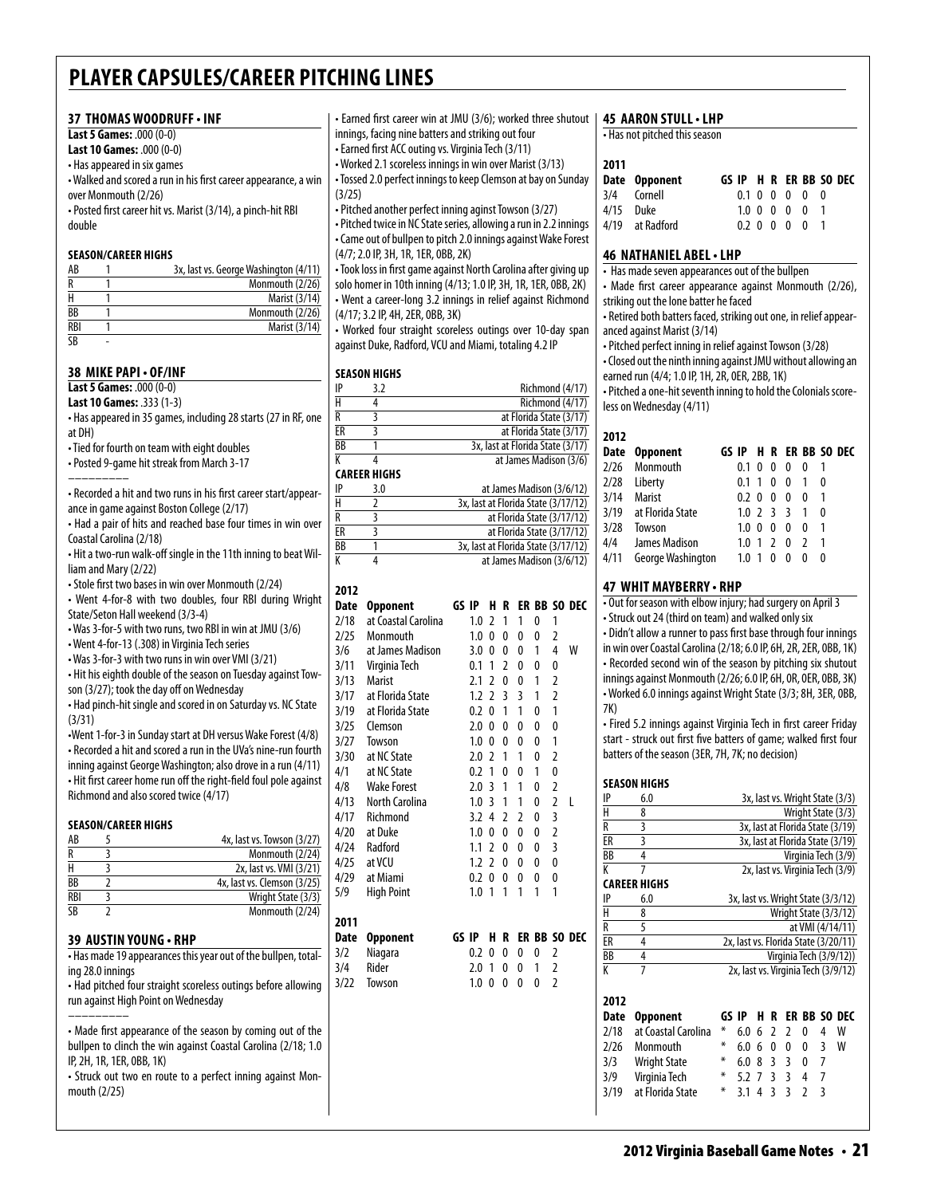### **37 thomas woodruff • inf**

**Last 5 Games:** .000 (0-0) **Last 10 Games:** .000 (0-0) • Has appeared in six games • Walked and scored a run in his first career appearance, a win over Monmouth (2/26)

• Posted first career hit vs. Marist (3/14), a pinch-hit RBI double

#### **Season/career Highs**

| AB                     | 3x, last vs. George Washington (4/11) |
|------------------------|---------------------------------------|
| R                      | Monmouth (2/26)                       |
| н                      | Marist (3/14)                         |
| BB                     | Monmouth (2/26)                       |
| <b>RBI</b>             | Marist (3/14)                         |
| $\overline{\text{SB}}$ |                                       |

### **38 mike papi • OF/inf**

**Last 5 Games:** .000 (0-0) **Last 10 Games:** .333 (1-3)

• Has appeared in 35 games, including 28 starts (27 in RF, one at DH)

• Tied for fourth on team with eight doubles

• Posted 9-game hit streak from March 3-17

––––––––– • Recorded a hit and two runs in his first career start/appearance in game against Boston College (2/17)

• Had a pair of hits and reached base four times in win over Coastal Carolina (2/18)

• Hit a two-run walk-off single in the 11th inning to beat William and Mary (2/22)

• Stole first two bases in win over Monmouth (2/24)

• Went 4-for-8 with two doubles, four RBI during Wright State/Seton Hall weekend (3/3-4)

• Was 3-for-5 with two runs, two RBI in win at JMU (3/6) • Went 4-for-13 (.308) in Virginia Tech series

• Was 3-for-3 with two runs in win over VMI (3/21)

• Hit his eighth double of the season on Tuesday against Towson (3/27); took the day off on Wednesday

• Had pinch-hit single and scored in on Saturday vs. NC State (3/31)

•Went 1-for-3 in Sunday start at DH versus Wake Forest (4/8) • Recorded a hit and scored a run in the UVa's nine-run fourth inning against George Washington; also drove in a run (4/11) • Hit first career home run off the right-field foul pole against Richmond and also scored twice (4/17)

### **Season/career Highs**

| AB              | 4x, last vs. Towson (3/27)  |
|-----------------|-----------------------------|
|                 | Monmouth (2/24)             |
|                 | 2x, last vs. VMI (3/21)     |
| <b>BB</b>       | 4x, last vs. Clemson (3/25) |
| <b>RBI</b>      | Wright State (3/3)          |
| $\overline{SR}$ | Monmouth (2/24)             |

### **39 austin young • rHP**

• Has made 19 appearances this year out of the bullpen, totaling 28.0 innings

• Had pitched four straight scoreless outings before allowing run against High Point on Wednesday

––––––––– • Made first appearance of the season by coming out of the bullpen to clinch the win against Coastal Carolina (2/18; 1.0 IP, 2H, 1R, 1ER, 0BB, 1K)

• Struck out two en route to a perfect inning against Monmouth (2/25)

• Earned first career win at JMU (3/6); worked three shutout innings, facing nine batters and striking out four

• Earned first ACC outing vs. Virginia Tech (3/11)

• Worked 2.1 scoreless innings in win over Marist (3/13) • Tossed 2.0 perfect innings to keep Clemson at bay on Sunday (3/25)

• Pitched another perfect inning aginst Towson (3/27) • Pitched twice in NC State series, allowing a run in 2.2 innings • Came out of bullpen to pitch 2.0 innings against Wake Forest (4/7; 2.0 IP, 3H, 1R, 1ER, 0BB, 2K)

• Took loss in first game against North Carolina after giving up solo homer in 10th inning (4/13; 1.0 IP, 3H, 1R, 1ER, 0BB, 2K) • Went a career-long 3.2 innings in relief against Richmond (4/17; 3.2 IP, 4H, 2ER, 0BB, 3K)

• Worked four straight scoreless outings over 10-day span against Duke, Radford, VCU and Miami, totaling 4.2 IP

### **season Highs**

|    | CAREER HIGHS |                                  |
|----|--------------|----------------------------------|
| K  |              | at James Madison (3/6)           |
| ВB |              | 3x, last at Florida State (3/17) |
| ER |              | at Florida State (3/17)          |
| R  |              | at Florida State (3/17)          |
| H  |              | Richmond (4/17)                  |
| IP | 3.2          | Richmond (4/17)                  |

| IP | 3.0 | at James Madison (3/6/12)           |
|----|-----|-------------------------------------|
| н  |     | 3x, last at Florida State (3/17/12) |
| R  |     | at Florida State (3/17/12)          |
| ER |     | at Florida State (3/17/12)          |
| ВB |     | 3x, last at Florida State (3/17/12) |
| K  |     | at James Madison (3/6/12)           |
|    |     |                                     |

| ER BB SO DEC |
|--------------|
|              |
|              |
|              |
| W            |
|              |
|              |
|              |
|              |
|              |
|              |
|              |
|              |
|              |
| L            |
|              |
|              |
|              |
|              |
|              |
|              |
|              |
| ER BB SO DEC |
|              |
|              |
|              |
|              |
|              |
|              |
|              |

### **45 Aaron Stull• LHP**

• Has not pitched this season

#### **2011**

| GS IP H R ER BB SO DEC |
|------------------------|
| 0.1 0 0 0 0 0          |
| 1.0 0 0 0 0 1          |
|                        |
|                        |

### **46 Nathaniel abel• LHP**

• Has made seven appearances out of the bullpen

- Made first career appearance against Monmouth (2/26),
- striking out the lone batter he faced • Retired both batters faced, striking out one, in relief appear-
- anced against Marist (3/14)
- Pitched perfect inning in relief against Towson (3/28)
- Closed out the ninth inning against JMU without allowing an earned run (4/4; 1.0 IP, 1H, 2R, 0ER, 2BB, 1K)

• Pitched a one-hit seventh inning to hold the Colonials scoreless on Wednesday (4/11)

| 2012 |                       |             |    |               |              |               |                        |  |
|------|-----------------------|-------------|----|---------------|--------------|---------------|------------------------|--|
|      | Date Opponent         |             |    |               |              |               | GS IP H R ER BB SO DEC |  |
| 2/26 | Monmouth              | 0.1         | 0  | 0             | 0            | 0             |                        |  |
| 2/28 | Liberty               | 0.1         | -1 | 0             | 0            |               | 0                      |  |
| 3/14 | <b>Marist</b>         | 0.2         | -0 | 0             | 0            | 0             |                        |  |
|      | 3/19 at Florida State | $1.0$ 2 3 3 |    |               |              | 1             | 0                      |  |
| 3/28 | Towson                | 1.0         | 0  | 0             | 0            | 0             |                        |  |
| 4/4  | James Madison         | 1.0         | 1  | $\mathcal{L}$ | $\mathbf{0}$ | $\mathcal{I}$ |                        |  |
| 4/11 | George Washington     | 1.0         |    |               | O            |               | 0                      |  |

### **47 whit mayberry • RHP**

• Out for season with elbow injury; had surgery on April 3 • Struck out 24 (third on team) and walked only six

• Didn't allow a runner to pass first base through four innings in win over Coastal Carolina (2/18; 6.0 IP, 6H, 2R, 2ER, 0BB, 1K) • Recorded second win of the season by pitching six shutout innings against Monmouth (2/26; 6.0 IP, 6H, 0R, 0ER, 0BB, 3K) • Worked 6.0 innings against Wright State (3/3; 8H, 3ER, 0BB, 7K)

• Fired 5.2 innings against Virginia Tech in first career Friday start - struck out first five batters of game; walked first four batters of the season (3ER, 7H, 7K; no decision)

### **season Highs**

| IP                      | 6.0                 |       |     |   |   |    |               |     | 3x, last vs. Wright State (3/3)      |
|-------------------------|---------------------|-------|-----|---|---|----|---------------|-----|--------------------------------------|
| $\overline{\mathsf{H}}$ | 8                   |       |     |   |   |    |               |     | Wright State (3/3)                   |
| $\overline{\mathsf{R}}$ | 3                   |       |     |   |   |    |               |     | 3x, last at Florida State (3/19)     |
| ER                      | 3                   |       |     |   |   |    |               |     | 3x, last at Florida State (3/19)     |
| ВB                      | 4                   |       |     |   |   |    |               |     | Virginia Tech (3/9)                  |
| K                       | 7                   |       |     |   |   |    |               |     | 2x, last vs. Virginia Tech (3/9)     |
|                         | CAREER HIGHS        |       |     |   |   |    |               |     |                                      |
| IP                      | 6.0                 |       |     |   |   |    |               |     | 3x, last vs. Wright State (3/3/12)   |
| H                       | 8                   |       |     |   |   |    |               |     | Wright State (3/3/12)                |
| R                       | 5                   |       |     |   |   |    |               |     | at VMI (4/14/11)                     |
| ER                      | 4                   |       |     |   |   |    |               |     | 2x, last vs. Florida State (3/20/11) |
| ВB                      | 4                   |       |     |   |   |    |               |     | Virginia Tech (3/9/12))              |
| K                       | 7                   |       |     |   |   |    |               |     | 2x, last vs. Virginia Tech (3/9/12)  |
|                         |                     |       |     |   |   |    |               |     |                                      |
| 2012                    |                     |       |     |   |   |    |               |     |                                      |
| Date                    | <b>Opponent</b>     | GS IP |     | н | R | FR | BB            | SO. | DEC                                  |
| 2/18                    | at Coastal Carolina | ∗     | 6.0 | 6 | 2 | 2  | 0             | 4   | w                                    |
| 2/26                    | Monmouth            | ⋇     | 6.0 | 6 | 0 | 0  | 0             | 3   | w                                    |
| 3/3                     | <b>Wright State</b> | ⋇     | 6.0 | 8 | 3 | 3  | 0             | 7   |                                      |
| 3/9                     | Virginia Tech       | ∗     | 5.2 | 7 | 3 | 3  | 4             | 7   |                                      |
| 3/19                    | at Florida State    | ⋇     | 3.1 | 4 | 3 | 3  | $\mathfrak z$ | 3   |                                      |
|                         |                     |       |     |   |   |    |               |     |                                      |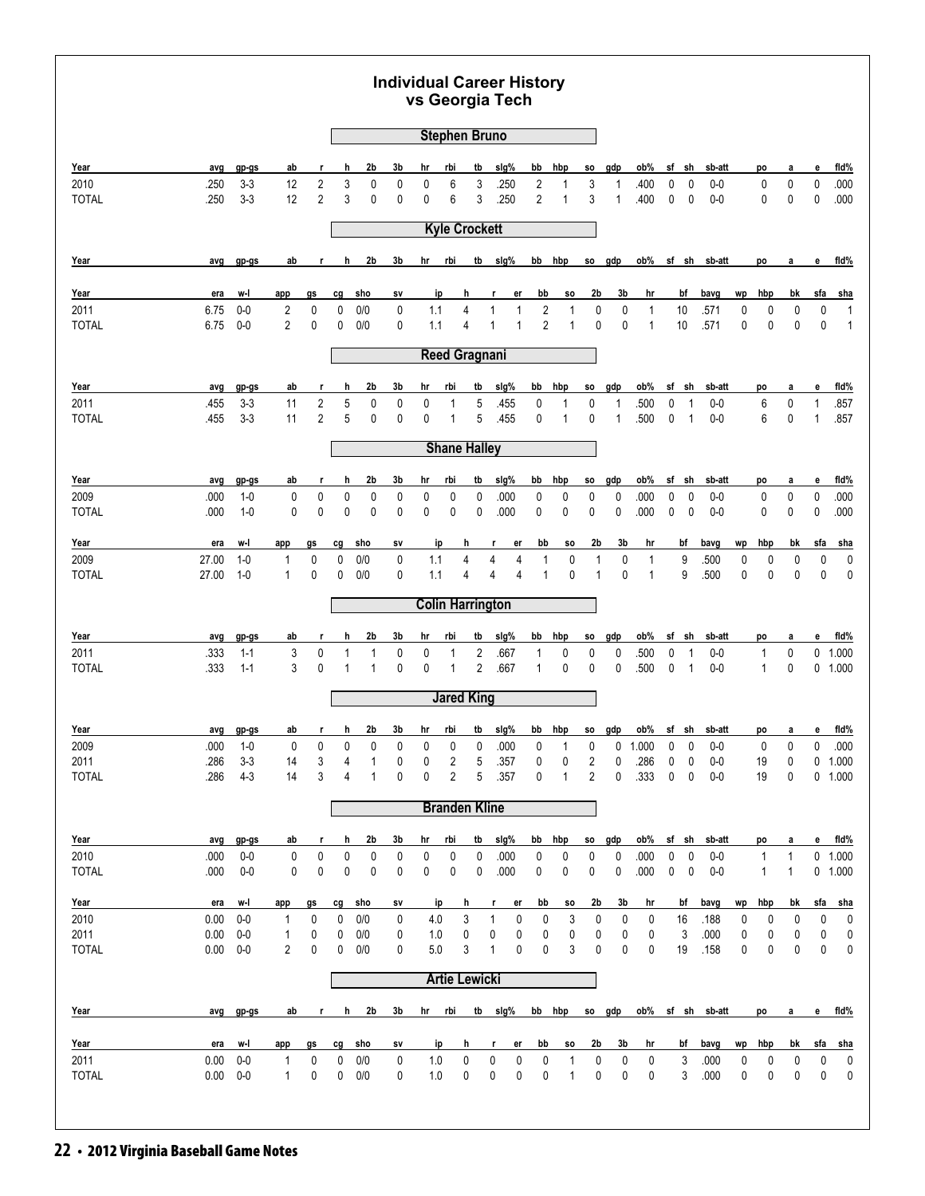|                      |              |                    |                |                |        |                | <b>Individual Career History</b> | vs Georgia Tech |                         |        |              |              |                |                   |                     |                |              |                |                  |                |        |              |              |              |                    |
|----------------------|--------------|--------------------|----------------|----------------|--------|----------------|----------------------------------|-----------------|-------------------------|--------|--------------|--------------|----------------|-------------------|---------------------|----------------|--------------|----------------|------------------|----------------|--------|--------------|--------------|--------------|--------------------|
|                      |              |                    |                |                |        |                |                                  |                 | <b>Stephen Bruno</b>    |        |              |              |                |                   |                     |                |              |                |                  |                |        |              |              |              |                    |
| Year                 | avg          | gp-gs              | ab             | r,             | h      | 2b             | 3b                               | hr              | rbi                     | tb     | sig%         |              | bb             | hbp               | <b>SO</b>           | gdp            | ob%          | sf             | sh               | sb-att         |        | po           | a            | е            | fld%               |
| 2010                 | .250         | $3 - 3$            | 12             | $\sqrt{2}$     | 3      | 0              | 0                                | 0               | 6                       | 3      | .250         |              | 2              | 1                 | 3                   | 1              | .400         | 0              | 0                | $0-0$          |        | 0            | 0            | $\pmb{0}$    | .000               |
| <b>TOTAL</b>         | .250         | $3-3$              | 12             | $\overline{2}$ | 3      | 0              | 0                                | 0               | 6                       | 3      | .250         |              | $\overline{2}$ | 1                 | 3                   | $\mathbf{1}$   | .400         | 0              | $\mathbf 0$      | $0-0$          |        | 0            | 0            | 0            | .000               |
|                      |              |                    |                |                |        |                |                                  |                 | <b>Kyle Crockett</b>    |        |              |              |                |                   |                     |                |              |                |                  |                |        |              |              |              |                    |
| Year                 | avg          | gp-gs              | ab             | r              | h      | 2b             | 3b                               | hr              | rbi                     | tb     | slg%         |              | bb             | hbp               |                     | so gdp         | ob%          |                | sf sh            | sb-att         |        | po           | a            | e            | <u>fid%</u>        |
| Year                 | era          | w-l                | app            | gs             | cg     | sho            | sv                               |                 | ip                      | h      |              | er           | bb             | SO.               | 2b                  | 3b             | hr           |                | bf               | bavg           | wp     | hbp          | bk           | sfa          | <u>sha</u>         |
| 2011                 | 6.75         | $0-0$              | $\overline{2}$ | $\pmb{0}$      | 0      | 0/0            | 0                                | 1.1             |                         | 4      | $\mathbf{1}$ | $\mathbf{1}$ | $\sqrt{2}$     | $\mathbf{1}$      | $\mathbf 0$         | $\pmb{0}$      | $\mathbf{1}$ |                | 10               | .571           | 0      | 0            | 0            | 0            | $\mathbf{1}$       |
| <b>TOTAL</b>         | 6.75         | $0-0$              | $\overline{2}$ | 0              | 0      | 0/0            | 0                                | 1.1             |                         | 4      | 1            | $\mathbf{1}$ | $\overline{2}$ | $\mathbf 1$       | $\mathbf 0$         | $\mathbf 0$    | $\mathbf{1}$ |                | 10               | .571           | 0      | 0            | 0            | 0            | $\mathbf{1}$       |
|                      |              |                    |                |                |        |                |                                  |                 | <b>Reed Gragnani</b>    |        |              |              |                |                   |                     |                |              |                |                  |                |        |              |              |              |                    |
| Year                 | avg          | gp-gs              | ab             | r              | h      | 2b             | 3b                               | hr              | rbi                     | tb     | slg%         |              | bb             | hbp               | <b>SO</b>           | gdp            | ob%          | sf             | sh               | sb-att         |        | po           | а            | е            | fid%               |
| 2011                 | .455         | $3 - 3$            | 11             | $\overline{c}$ | 5      | 0              | 0                                | 0               | 1                       | 5      | .455         |              | 0              | 1                 | 0                   | 1              | .500         | 0              | 1                | $0-0$          |        | 6            | 0            | $\mathbf{1}$ | .857               |
| <b>TOTAL</b>         | .455         | $3 - 3$            | 11             | $\overline{2}$ | 5      | 0              | 0                                | 0               | 1                       | 5      |              | .455         | 0              | 1                 | $\mathbf 0$         | $\mathbf{1}$   | .500         | 0              | $\mathbf{1}$     | $0-0$          |        | 6            | 0            | $\mathbf{1}$ | .857               |
|                      |              |                    |                |                |        |                |                                  |                 | <b>Shane Halley</b>     |        |              |              |                |                   |                     |                |              |                |                  |                |        |              |              |              |                    |
| Year                 | avg          | gp-gs              | ab             | r              | h      | 2b             | 3b                               | hr              | rbi                     | tb     | slg%         |              | bb             | hbp               | <b>SO</b>           | gdp            | ob%          | sf             | sh               | sb-att         |        | po           | а            | е            | <u>fid%</u>        |
| 2009                 | .000         | $1 - 0$            | 0              | 0              | 0      | 0              | 0                                | 0               | 0                       | 0      | .000         |              | 0              | 0                 | 0                   | 0              | .000         | 0              | $\mathbf 0$      | $0-0$          |        | 0            | 0            | $\pmb{0}$    | .000               |
| <b>TOTAL</b>         | .000         | $1 - 0$            | $\mathbf 0$    | 0              | 0      | 0              | 0                                | 0               | 0                       | 0      | .000         |              | 0              | $\mathbf 0$       | 0                   | 0              | .000         | 0              | $\mathbf 0$      | $0-0$          |        | 0            | 0            | 0            | .000               |
| Year                 | era          | w-l                | app            | gs             | cg     | sho            | SV                               |                 | ip                      | h      | r            | er           | bb             | so                | 2b                  | 3b             | hr           |                | bf               | bavg           | wp     | hbp          | bk           | sfa          | <u>sha</u>         |
| 2009                 | 27.00        | $1 - 0$            | 1              | 0              | 0      | 0/0            | 0                                | 1.1             |                         | 4      | 4            | 4            | $\mathbf{1}$   | 0                 | 1                   | $\pmb{0}$      | 1            |                | 9                | .500           | 0      | 0            | 0            | 0            | $\pmb{0}$          |
| <b>TOTAL</b>         | 27.00        | $1-0$              | $\mathbf{1}$   | 0              | 0      | 0/0            | 0                                | 1.1             |                         | 4      | 4            | 4            | $\mathbf{1}$   | $\mathbf 0$       | $\mathbf{1}$        | $\mathbf 0$    | $\mathbf{1}$ |                | 9                | .500           | 0      | 0            | 0            | 0            | $\mathbf 0$        |
|                      |              |                    |                |                |        |                |                                  |                 | <b>Colin Harrington</b> |        |              |              |                |                   |                     |                |              |                |                  |                |        |              |              |              |                    |
| Year                 | avg          | gp-gs              | ab             | r              | h      | 2b             | 3b                               | hr              | rbi                     | tb     | slg%         |              | bb             | hbp               | <b>SO</b>           | gdp            | ob%          | sf             | sh               | sb-att         |        | po           | а            | е            | fid%               |
| 2011                 | .333         | $1 - 1$            | 3              | 0              | 1      | 1              | 0                                | 0               | 1                       | 2      | .667         |              | $\mathbf{1}$   | 0                 | 0                   | 0              | .500         | 0              | 1                | $0-0$          |        | $\mathbf{1}$ | $\mathbf 0$  | 0            | 1.000              |
| <b>TOTAL</b>         | .333         | $1 - 1$            | 3              | 0              | 1      | 1              | 0                                | 0               | $\mathbf{1}$            | 2      | .667         |              | 1              | 0                 | 0                   | 0              | .500         | 0              | $\mathbf{1}$     | $0-0$          |        | $\mathbf 1$  | 0            |              | $0$ 1.000          |
|                      |              |                    |                |                |        |                |                                  |                 | <b>Jared King</b>       |        |              |              |                |                   |                     |                |              |                |                  |                |        |              |              |              |                    |
| Year                 | avg          | $gp-gs$            | ab             | r              | h      | 2b             | 3b                               | hr              | rbi                     | tb     | sig%         |              | bb             | hbp               | so.                 | gdp            | ob%          |                | sf sh            | sb-att         |        | po           | а            | е            | <u>fid%</u>        |
| 2009                 | .000         | $1 - 0$            | 0              | 0              | 0      | 0              | 0                                | 0               | 0                       | 0      | .000         |              | 0              |                   | 0                   | 0              | 1.000        | $\pmb{0}$      | 0                | $0-0$          |        | 0            | 0            | 0            | .000               |
| 2011<br><b>TOTAL</b> | .286<br>.286 | $3 - 3$<br>$4 - 3$ | 14<br>14       | 3<br>3         | 4<br>4 | 1<br>1         | 0<br>0                           | 0<br>0          | 2<br>2                  | 5<br>5 | .357<br>.357 |              | 0<br>0         | 0<br>$\mathbf{1}$ | 2<br>$\overline{2}$ | 0<br>0         | .286<br>.333 | $\pmb{0}$<br>0 | 0<br>$\mathbf 0$ | $0-0$<br>$0-0$ |        | 19<br>19     | 0<br>0       | 0            | 1.000<br>$0$ 1.000 |
|                      |              |                    |                |                |        |                |                                  |                 |                         |        |              |              |                |                   |                     |                |              |                |                  |                |        |              |              |              |                    |
|                      |              |                    |                |                |        |                |                                  |                 | <b>Branden Kline</b>    |        |              |              |                |                   |                     |                |              |                |                  |                |        |              |              |              |                    |
| Year                 | avg          | gp-gs              | ab             | r              | h      | 2b             | 3b                               | hr              | rbi                     | tb     | slg%         |              | bb             | hbp               | <b>SO</b>           | gdp            | ob%          |                | sf sh            | sb-att         |        | po           | a            | e            | fid%               |
| 2010                 | .000         | $0-0$              | 0              | 0              | 0      | 0              | 0                                | 0               | 0                       | 0      | .000         |              | 0              | 0                 | 0                   | 0              | .000         | 0              | 0                | $0-0$          |        | 1            | $\mathbf{1}$ |              | $0$ 1.000          |
| <b>TOTAL</b>         | .000         | $0-0$              | 0              | 0              | 0      | $\mathbf 0$    | 0                                | 0               | 0                       | 0      | .000         |              | 0              | 0                 | 0                   | 0              | .000         | 0              | $\pmb{0}$        | $0-0$          |        | $\mathbf{1}$ | $\mathbf{1}$ |              | $0$ 1.000          |
| Year                 | era          | w-l                | app            | gs             | cg     | <u>sho</u>     | sv                               |                 | ip                      | h      | r            | er           | bb             | <b>SO</b>         | 2b                  | 3b             | hr           |                | bf               | bavg           | wp     | <u>hbp</u>   | bk           | sfa          | <u>sha</u>         |
| 2010                 | 0.00         | $0-0$              | 1              | 0              | 0      | 0/0            | 0                                | 4.0             |                         | 3      | 1            | 0            | 0              | 3                 | 0                   | 0              | 0            |                | 16               | .188           | 0      | 0            | 0            | 0            | 0                  |
| 2011<br><b>TOTAL</b> | 0.00<br>0.00 | $0-0$<br>$0-0$     | 1<br>2         | 0<br>0         | 0<br>0 | 0/0<br>0/0     | 0<br>0                           | 1.0<br>5.0      |                         | 0<br>3 | 0<br>1       | 0<br>0       | 0<br>0         | 0<br>3            | 0<br>0              | 0<br>0         | 0<br>0       |                | 3<br>19          | .000<br>.158   | 0<br>0 | 0<br>0       | 0<br>0       | 0<br>0       | 0<br>0             |
|                      |              |                    |                |                |        |                |                                  |                 | <b>Artie Lewicki</b>    |        |              |              |                |                   |                     |                |              |                |                  |                |        |              |              |              |                    |
| Year                 | avg          | gp-gs              | ab             | r.             | h      | 2 <sub>b</sub> | 3 <sub>b</sub>                   | <u>hr</u>       | rbi                     | tb     | sig%         |              |                | bb hbp            |                     | so gdp         | ob%          |                |                  | sf sh sb-att   |        | po           | a            | e            | fid%               |
|                      |              |                    |                |                |        |                |                                  |                 |                         |        |              |              |                |                   |                     |                |              |                |                  |                |        |              |              |              |                    |
| Year                 | era          | w-l                | app            | gs             | cg     | sho            | SV                               |                 | ip                      | h      | r            | er           | bb             | SO.               | 2 <sub>b</sub>      | 3 <sub>b</sub> | hr           |                | bf               | bavg           | wp     | hbp          | bk           | sfa          | <u>sha</u>         |
| 2011<br><b>TOTAL</b> | 0.00<br>0.00 | $0-0$<br>$0-0$     | 1<br>1         | 0<br>0         | 0<br>0 | 0/0<br>0/0     | 0<br>0                           | 1.0<br>1.0      |                         | 0<br>0 | 0<br>0       | 0<br>0       | 0<br>0         | $\mathbf{1}$<br>1 | 0<br>0              | 0<br>0         | 0<br>0       |                | 3<br>3           | .000<br>.000   | 0<br>0 | 0<br>0       | 0<br>0       | 0<br>0       | 0<br>0             |
|                      |              |                    |                |                |        |                |                                  |                 |                         |        |              |              |                |                   |                     |                |              |                |                  |                |        |              |              |              |                    |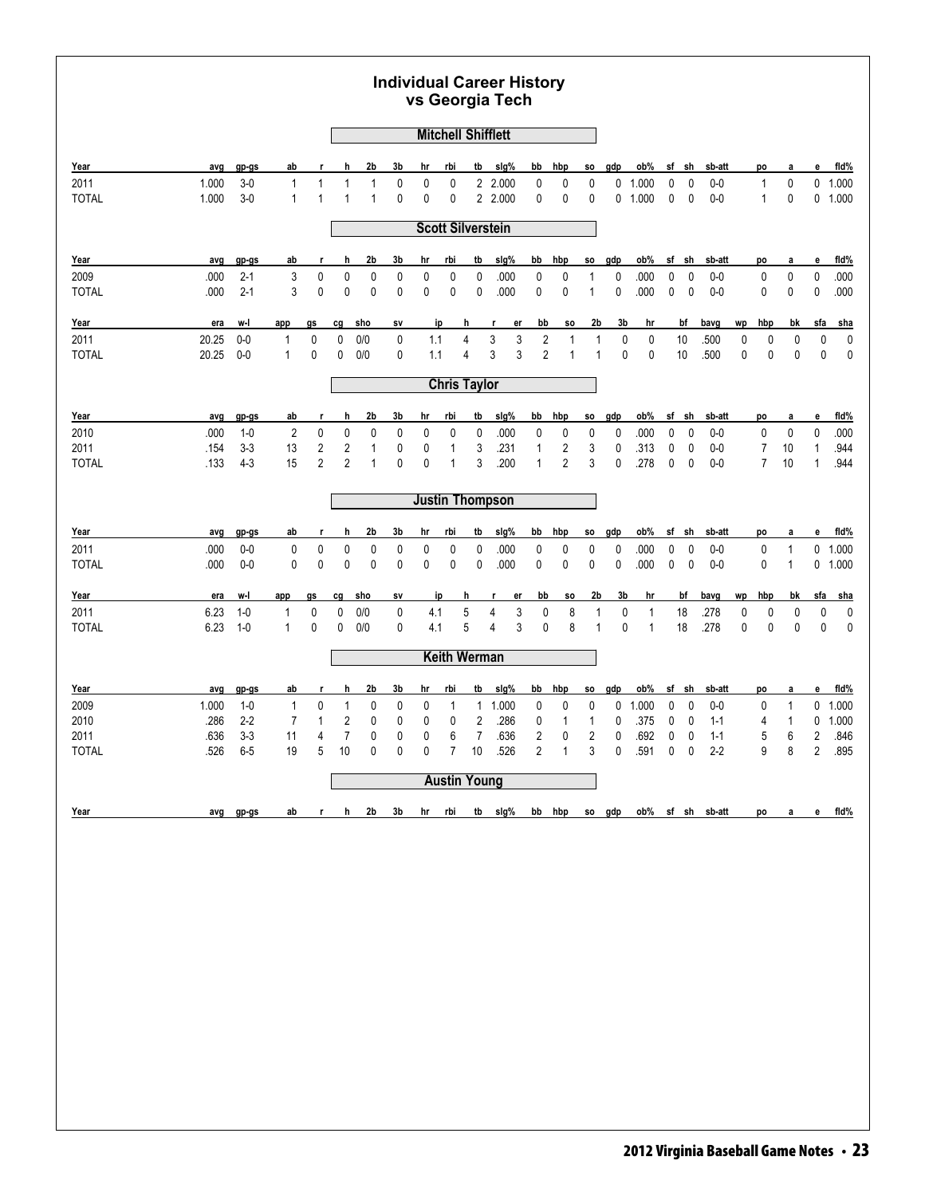|                      |                |                    |                                |                              |                              |                             |                |                |                   |                     | <b>Individual Career History</b><br>vs Georgia Tech                    |                   |                                           |                              |                  |                              |         |                  |                  |        |                              |                              |                              |                    |
|----------------------|----------------|--------------------|--------------------------------|------------------------------|------------------------------|-----------------------------|----------------|----------------|-------------------|---------------------|------------------------------------------------------------------------|-------------------|-------------------------------------------|------------------------------|------------------|------------------------------|---------|------------------|------------------|--------|------------------------------|------------------------------|------------------------------|--------------------|
|                      |                |                    |                                |                              |                              |                             |                |                |                   |                     | <b>Mitchell Shifflett</b>                                              |                   |                                           |                              |                  |                              |         |                  |                  |        |                              |                              |                              |                    |
| Year                 | avg            | gp-gs              | ab                             | r                            | h                            | 2b                          | 3b             | hr             | rbi               | tb                  | slg%                                                                   | bb                | hbp                                       | SO.                          | gdp              | ob%                          | sf      | sh               | sb-att           |        | po                           | а                            | е                            | fid%               |
| 2011<br><b>TOTAL</b> | 1.000<br>1.000 | $3-0$<br>$3-0$     | $\mathbf{1}$<br>$\mathbf{1}$   | $\mathbf{1}$<br>$\mathbf{1}$ | $\mathbf{1}$<br>$\mathbf{1}$ | $\mathbf{1}$<br>1           | 0<br>0         | 0<br>0         | $\mathbf 0$<br>0  |                     | 2 2.000<br>2 2.000                                                     | 0<br>0            | 0<br>0                                    | 0<br>0                       | 0<br>$\mathbf 0$ | 1.000<br>1.000               | 0<br>0  | $\mathbf 0$<br>0 | $0-0$<br>$0-0$   |        | $\mathbf{1}$<br>$\mathbf{1}$ | 0<br>0                       | 0                            | 0 1.000<br>1.000   |
|                      |                |                    |                                |                              |                              |                             |                |                |                   |                     | <b>Scott Silverstein</b>                                               |                   |                                           |                              |                  |                              |         |                  |                  |        |                              |                              |                              |                    |
|                      |                |                    |                                |                              |                              |                             |                |                |                   |                     |                                                                        |                   |                                           |                              |                  |                              |         |                  |                  |        |                              |                              |                              |                    |
| Year<br>2009         | avg<br>.000    | gp-gs<br>$2 - 1$   | ab<br>3                        | r<br>0                       | h<br>0                       | 2b<br>$\pmb{0}$             | 3b<br>0        | hr<br>0        | rbi<br>0          | tb<br>0             | slg%<br>.000                                                           | bb<br>$\pmb{0}$   | hbp                                       | SO.<br>1                     | gdp<br>0         | ob%<br>.000                  | sf<br>0 | sh<br>$\pmb{0}$  | sb-att<br>$0-0$  |        | po<br>0                      | а<br>0                       | е<br>$\pmb{0}$               | fid%<br>.000       |
| <b>TOTAL</b>         | .000           | $2 - 1$            | 3                              | 0                            | 0                            | $\pmb{0}$                   | 0              | $\pmb{0}$      | 0                 | 0                   | .000                                                                   | $\mathbf 0$       | 0<br>0                                    | 1                            | 0                | .000                         | 0       | $\mathbf 0$      | $0-0$            |        | $\mathbf 0$                  | 0                            | 0                            | .000               |
| Year                 | era            | w-l                | app                            | gs                           | cg                           | sho                         | sv             |                | ip                | h                   | er<br>r                                                                | bb                | <b>SO</b>                                 | 2b                           | 3b               | hr                           |         | bf               | bavg             | wp     | hbp                          | bk                           | sfa                          | sha                |
| 2011                 | 20.25          | $0-0$              | 1                              | 0                            | 0                            | 0/0                         | 0              | 1.1            |                   | $\overline{4}$      | 3<br>3                                                                 | $\sqrt{2}$        | 1                                         | $\mathbf{1}$                 | $\pmb{0}$        | 0                            |         | 10               | .500             | 0      | 0                            | 0                            | 0                            | 0                  |
| <b>TOTAL</b>         | 20.25          | $0-0$              | $\mathbf{1}$                   | 0                            | 0                            | 0/0                         | 0              | 1.1            |                   | 4                   | 3<br>3                                                                 | $\overline{c}$    | $\mathbf{1}$                              | $\mathbf{1}$                 | 0                | 0                            |         | 10               | .500             | 0      | 0                            | 0                            | 0                            | $\mathbf 0$        |
| <b>Chris Taylor</b>  |                |                    |                                |                              |                              |                             |                |                |                   |                     |                                                                        |                   |                                           |                              |                  |                              |         |                  |                  |        |                              |                              |                              |                    |
| Year                 | avg            | gp-gs              | ab                             | r                            | h                            | 2b                          | 3b             | hr             | rbi               | tb                  | slg%                                                                   | bb                | hbp                                       | <b>SO</b>                    | gdp              | ob%                          | sf      | sh               | sb-att           |        | po                           | a                            | е                            | fld%               |
| 2010                 | .000           | $1-0$              | $\sqrt{2}$                     | 0                            | 0                            | 0                           | 0              | 0              | 0                 | $\pmb{0}$           | .000                                                                   | 0                 | 0                                         | 0                            | 0                | .000                         | 0       | $\pmb{0}$        | $0-0$            |        | $\mathbf 0$                  | $\pmb{0}$                    | $\pmb{0}$                    | .000               |
| 2011<br><b>TOTAL</b> | .154<br>.133   | $3 - 3$<br>$4 - 3$ | 13<br>15                       | 2<br>$\overline{2}$          | 2<br>$\overline{2}$          | $\mathbf 1$<br>$\mathbf{1}$ | 0<br>0         | 0<br>0         | $\mathbf{1}$<br>1 | 3<br>3              | .231<br>.200                                                           | $\mathbf{1}$<br>1 | $\overline{\mathbf{c}}$<br>$\overline{2}$ | 3<br>3                       | 0<br>0           | .313<br>.278                 | 0<br>0  | $\pmb{0}$<br>0   | $0-0$<br>$0-0$   |        | 7<br>7                       | 10<br>10                     | $\mathbf{1}$<br>$\mathbf{1}$ | .944<br>.944       |
|                      |                |                    |                                |                              |                              |                             |                |                |                   |                     |                                                                        |                   |                                           |                              |                  |                              |         |                  |                  |        |                              |                              |                              |                    |
|                      |                |                    |                                |                              |                              |                             |                |                |                   |                     | <b>Justin Thompson</b>                                                 |                   |                                           |                              |                  |                              |         |                  |                  |        |                              |                              |                              |                    |
| Year                 | avg            | gp-gs              | ab                             | r                            | h                            | 2b                          | 3b             | hr             | rbi               | tb                  | slg%                                                                   | bb                | hbp                                       | SO.                          | gdp              | ob%                          | sf      | sh               | sb-att           |        | po                           | a                            | е                            | fid%               |
| 2011<br><b>TOTAL</b> | .000<br>.000   | $0-0$<br>$0-0$     | 0<br>0                         | 0<br>0                       | 0<br>0                       | $\pmb{0}$<br>$\pmb{0}$      | 0<br>$\pmb{0}$ | 0<br>$\pmb{0}$ | 0<br>$\pmb{0}$    | 0<br>$\pmb{0}$      | .000<br>.000                                                           | $\pmb{0}$<br>0    | 0<br>0                                    | 0<br>0                       | 0<br>0           | .000<br>.000                 | 0<br>0  | 0<br>$\pmb{0}$   | $0-0$<br>$0-0$   |        | 0<br>0                       | $\mathbf{1}$<br>$\mathbf{1}$ | 0                            | 1.000<br>$0$ 1.000 |
|                      |                |                    |                                |                              |                              |                             |                |                |                   |                     |                                                                        |                   |                                           |                              |                  |                              |         |                  |                  |        |                              |                              |                              |                    |
| Year                 | era            | w-l                | app                            | gs                           | cg                           | sho                         | SV             |                | ip                | h                   | er<br>r                                                                | bb                | <b>SO</b>                                 | 2b                           | 3b               | hr                           |         | bf               | bavg             | wp     | hbp                          | bk                           | sfa                          | <u>sha</u>         |
| 2011<br><b>TOTAL</b> | 6.23<br>6.23   | $1 - 0$<br>$1-0$   | 1<br>$\mathbf{1}$              | 0<br>$\mathbf 0$             | 0<br>$\mathbf{0}$            | 0/0<br>0/0                  | 0<br>0         | 4.1<br>4.1     |                   | 5<br>5              | 4<br>3<br>$\overline{4}$<br>3                                          | 0<br>0            | 8<br>8                                    | $\mathbf{1}$<br>$\mathbf{1}$ | 0<br>0           | $\mathbf{1}$<br>$\mathbf{1}$ |         | 18<br>18         | .278<br>.278     | 0<br>0 | 0<br>$\mathbf 0$             | 0<br>0                       | 0<br>$\mathbf 0$             | 0<br>$\mathbf 0$   |
|                      |                |                    |                                |                              |                              |                             |                |                |                   | <b>Keith Werman</b> |                                                                        |                   |                                           |                              |                  |                              |         |                  |                  |        |                              |                              |                              |                    |
|                      |                |                    |                                |                              |                              |                             |                |                |                   |                     |                                                                        |                   |                                           |                              |                  |                              |         |                  |                  |        |                              |                              |                              |                    |
| Year                 | avg            | gp-gs              | ab                             | r,                           | h                            | 2b                          | 3b             | hr             | rbi               | tb                  | slg%                                                                   | bb                | hbp                                       | <b>SO</b>                    | gdp              | ob%                          | sf      | sh               | sb-att           |        | po                           | а                            | е                            | fid%               |
| 2009<br>2010         | 1.000<br>.286  | $1 - 0$<br>$2 - 2$ | $\mathbf{1}$<br>$\overline{7}$ | 0<br>$\mathbf{1}$            | $\mathbf{1}$<br>2            | 0<br>0                      | 0<br>0         | 0<br>0         | 1<br>0            | 1<br>$\overline{2}$ | 1.000<br>.286                                                          | 0<br>0            | 0<br>1                                    | 0<br>1                       | 0<br>0           | 1.000<br>.375                | 0<br>0  | 0<br>0           | $0-0$<br>$1 - 1$ |        | 0<br>4                       | $\mathbf{1}$<br>$\mathbf{1}$ | $\mathbf{0}$<br>0            | 1.000<br>1.000     |
| 2011                 | .636           | $3 - 3$            | 11                             | 4                            | 7                            | 0                           | 0              | 0              | 6                 | 7                   | .636                                                                   | $\overline{2}$    | 0                                         | $\overline{2}$               | 0                | .692                         | 0       | 0                | $1 - 1$          |        | 5                            | 6                            | 2                            | .846               |
| <b>TOTAL</b>         |                | .526 6-5           | 19                             |                              |                              |                             |                |                |                   |                     | 5 10 0 0 0 7 10 .526 2 1 3 0 .591 0 0 2-2                              |                   |                                           |                              |                  |                              |         |                  |                  |        |                              |                              |                              | 9 8 2 895          |
|                      |                |                    |                                |                              |                              |                             |                |                |                   | <b>Austin Young</b> |                                                                        |                   |                                           |                              |                  |                              |         |                  |                  |        |                              |                              |                              |                    |
| Year                 |                | avg gp-gs          |                                |                              |                              |                             |                |                |                   |                     | ab r h 2b 3b hr rbi tb sig% bb hbp so gdp ob% sf sh sb-att po a e fid% |                   |                                           |                              |                  |                              |         |                  |                  |        |                              |                              |                              |                    |
|                      |                |                    |                                |                              |                              |                             |                |                |                   |                     |                                                                        |                   |                                           |                              |                  |                              |         |                  |                  |        |                              |                              |                              |                    |
|                      |                |                    |                                |                              |                              |                             |                |                |                   |                     |                                                                        |                   |                                           |                              |                  |                              |         |                  |                  |        |                              |                              |                              |                    |
|                      |                |                    |                                |                              |                              |                             |                |                |                   |                     |                                                                        |                   |                                           |                              |                  |                              |         |                  |                  |        |                              |                              |                              |                    |
|                      |                |                    |                                |                              |                              |                             |                |                |                   |                     |                                                                        |                   |                                           |                              |                  |                              |         |                  |                  |        |                              |                              |                              |                    |
|                      |                |                    |                                |                              |                              |                             |                |                |                   |                     |                                                                        |                   |                                           |                              |                  |                              |         |                  |                  |        |                              |                              |                              |                    |
|                      |                |                    |                                |                              |                              |                             |                |                |                   |                     |                                                                        |                   |                                           |                              |                  |                              |         |                  |                  |        |                              |                              |                              |                    |
|                      |                |                    |                                |                              |                              |                             |                |                |                   |                     |                                                                        |                   |                                           |                              |                  |                              |         |                  |                  |        |                              |                              |                              |                    |
|                      |                |                    |                                |                              |                              |                             |                |                |                   |                     |                                                                        |                   |                                           |                              |                  |                              |         |                  |                  |        |                              |                              |                              |                    |
|                      |                |                    |                                |                              |                              |                             |                |                |                   |                     |                                                                        |                   |                                           |                              |                  |                              |         |                  |                  |        |                              |                              |                              |                    |
|                      |                |                    |                                |                              |                              |                             |                |                |                   |                     |                                                                        |                   |                                           |                              |                  |                              |         |                  |                  |        |                              |                              |                              |                    |
|                      |                |                    |                                |                              |                              |                             |                |                |                   |                     |                                                                        |                   |                                           |                              |                  |                              |         |                  |                  |        |                              |                              |                              |                    |
|                      |                |                    |                                |                              |                              |                             |                |                |                   |                     |                                                                        |                   |                                           |                              |                  |                              |         |                  |                  |        |                              |                              |                              |                    |
|                      |                |                    |                                |                              |                              |                             |                |                |                   |                     |                                                                        |                   |                                           |                              |                  |                              |         |                  |                  |        |                              |                              |                              |                    |
|                      |                |                    |                                |                              |                              |                             |                |                |                   |                     |                                                                        |                   |                                           |                              |                  |                              |         |                  |                  |        |                              |                              |                              |                    |